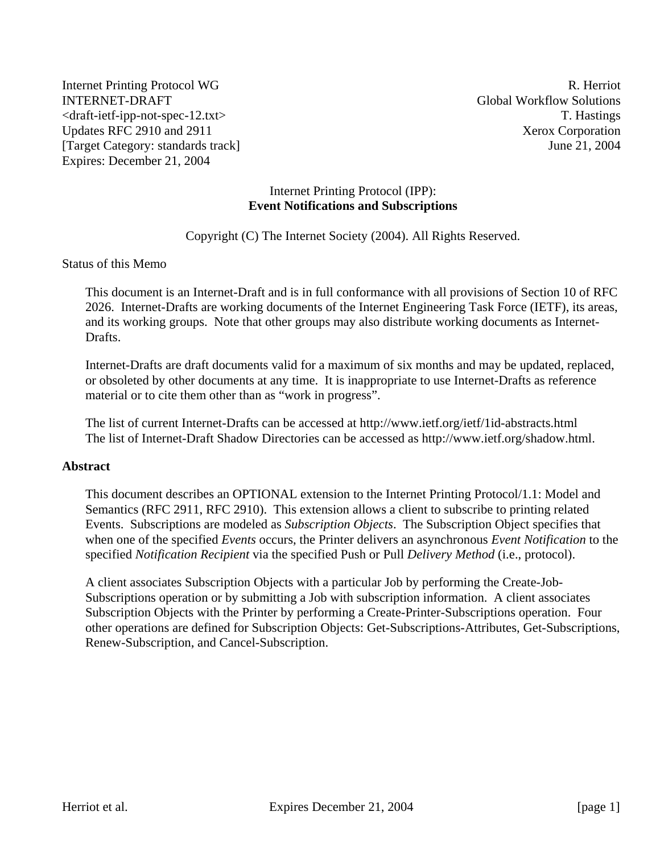Internet Printing Protocol WG R. Herriot INTERNET-DRAFT Global Workflow Solutions <draft-ietf-ipp-not-spec-12.txt> T. Hastings Updates RFC 2910 and 2911 Xerox Corporation [Target Category: standards track] June 21, 2004 Expires: December 21, 2004

#### Internet Printing Protocol (IPP): **Event Notifications and Subscriptions**

Copyright (C) The Internet Society (2004). All Rights Reserved.

#### Status of this Memo

This document is an Internet-Draft and is in full conformance with all provisions of Section 10 of RFC 2026. Internet-Drafts are working documents of the Internet Engineering Task Force (IETF), its areas, and its working groups. Note that other groups may also distribute working documents as Internet-Drafts.

Internet-Drafts are draft documents valid for a maximum of six months and may be updated, replaced, or obsoleted by other documents at any time. It is inappropriate to use Internet-Drafts as reference material or to cite them other than as "work in progress".

The list of current Internet-Drafts can be accessed at http://www.ietf.org/ietf/1id-abstracts.html The list of Internet-Draft Shadow Directories can be accessed as http://www.ietf.org/shadow.html.

#### **Abstract**

This document describes an OPTIONAL extension to the Internet Printing Protocol/1.1: Model and Semantics (RFC 2911, RFC 2910). This extension allows a client to subscribe to printing related Events. Subscriptions are modeled as *Subscription Objects*. The Subscription Object specifies that when one of the specified *Events* occurs, the Printer delivers an asynchronous *Event Notification* to the specified *Notification Recipient* via the specified Push or Pull *Delivery Method* (i.e., protocol).

A client associates Subscription Objects with a particular Job by performing the Create-Job-Subscriptions operation or by submitting a Job with subscription information. A client associates Subscription Objects with the Printer by performing a Create-Printer-Subscriptions operation. Four other operations are defined for Subscription Objects: Get-Subscriptions-Attributes, Get-Subscriptions, Renew-Subscription, and Cancel-Subscription.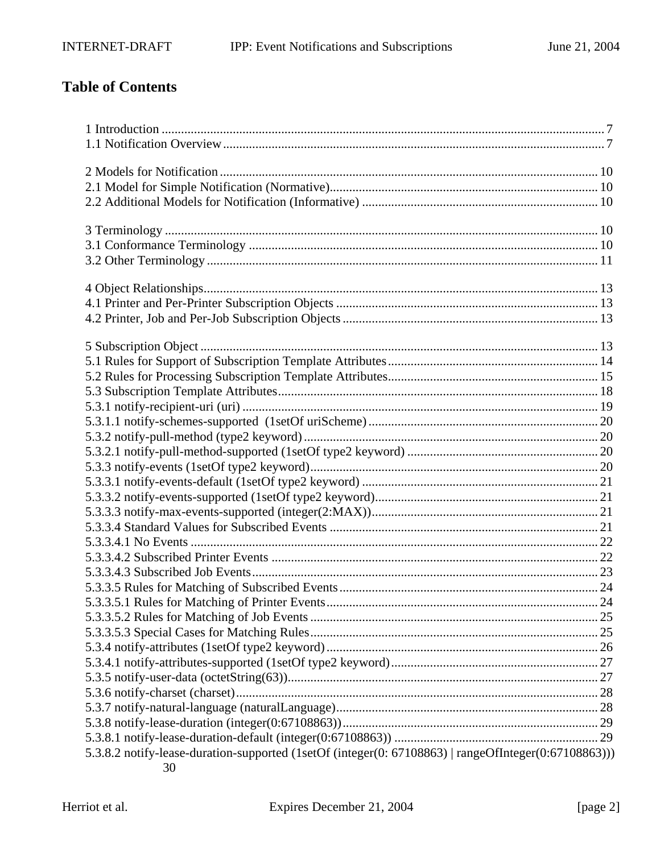# **Table of Contents**

| 5.3.8.2 notify-lease-duration-supported (1setOf (integer(0: 67108863)   rangeOfInteger(0:67108863))) |  |
|------------------------------------------------------------------------------------------------------|--|
| 30                                                                                                   |  |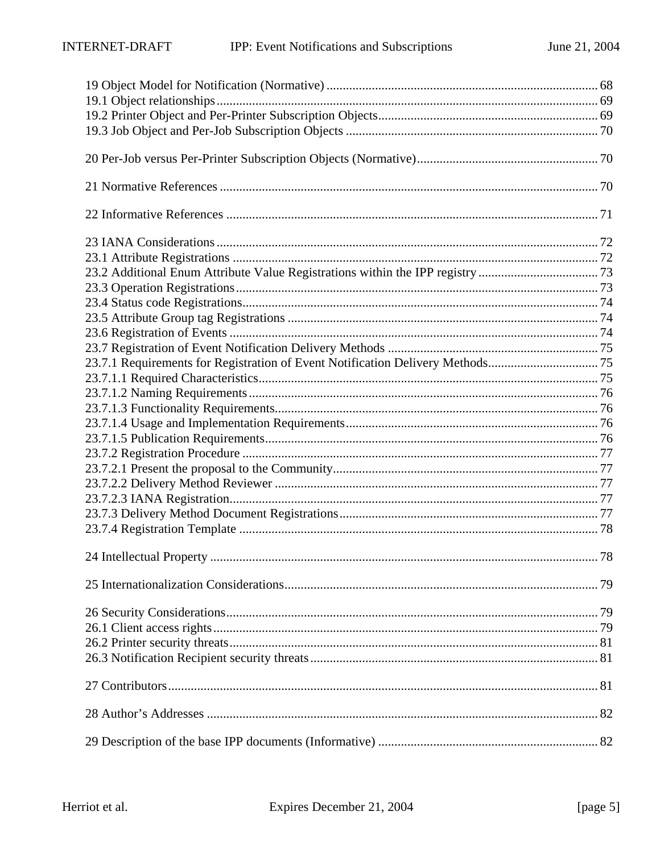| 23.7.1 Requirements for Registration of Event Notification Delivery Methods75 |            |
|-------------------------------------------------------------------------------|------------|
|                                                                               |            |
|                                                                               |            |
|                                                                               |            |
|                                                                               |            |
|                                                                               |            |
|                                                                               |            |
|                                                                               |            |
|                                                                               |            |
|                                                                               |            |
|                                                                               |            |
|                                                                               |            |
|                                                                               |            |
| 24 Intellectual Property                                                      | $\dots 78$ |
|                                                                               |            |
|                                                                               |            |
|                                                                               |            |
|                                                                               |            |
|                                                                               |            |
|                                                                               |            |
|                                                                               |            |
|                                                                               |            |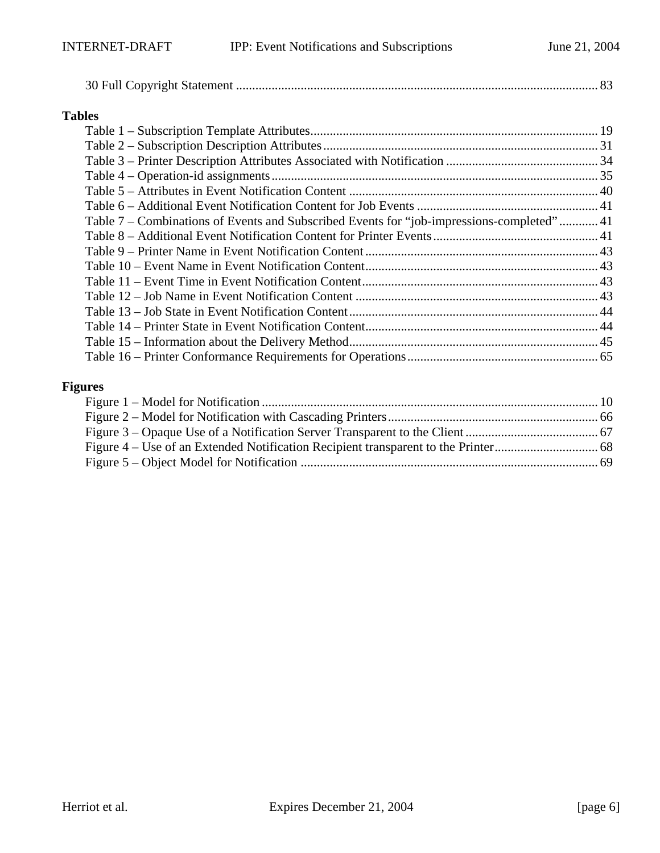## **Tables**

| Table 7 – Combinations of Events and Subscribed Events for "job-impressions-completed" 41 |  |
|-------------------------------------------------------------------------------------------|--|
|                                                                                           |  |
|                                                                                           |  |
|                                                                                           |  |
|                                                                                           |  |
|                                                                                           |  |
|                                                                                           |  |
|                                                                                           |  |
|                                                                                           |  |
|                                                                                           |  |

## **Figures**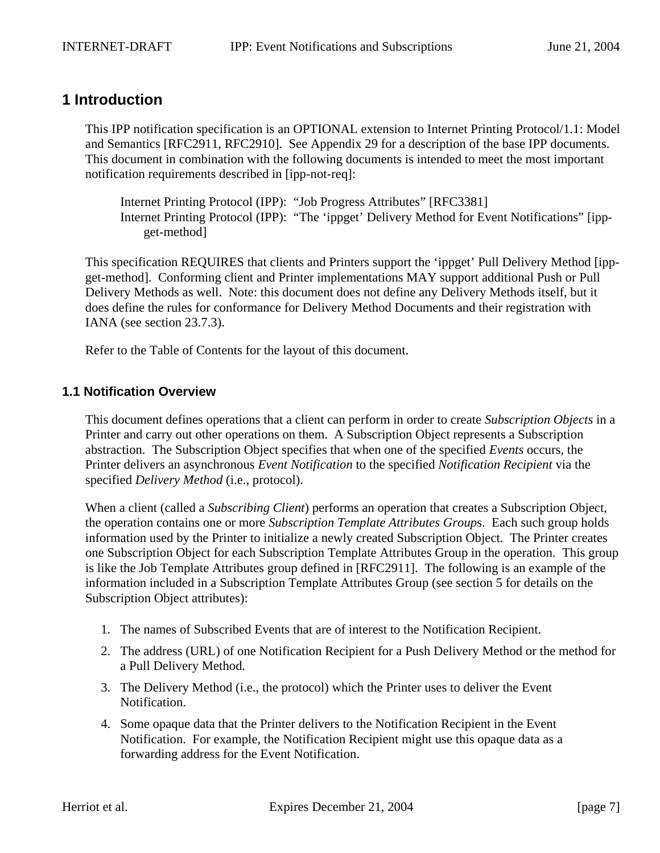# **1 Introduction**

This IPP notification specification is an OPTIONAL extension to Internet Printing Protocol/1.1: Model and Semantics [RFC2911, RFC2910]. See Appendix 29 for a description of the base IPP documents. This document in combination with the following documents is intended to meet the most important notification requirements described in [ipp-not-req]:

Internet Printing Protocol (IPP): "Job Progress Attributes" [RFC3381] Internet Printing Protocol (IPP): "The 'ippget' Delivery Method for Event Notifications" [ippget-method]

This specification REQUIRES that clients and Printers support the 'ippget' Pull Delivery Method [ippget-method]. Conforming client and Printer implementations MAY support additional Push or Pull Delivery Methods as well. Note: this document does not define any Delivery Methods itself, but it does define the rules for conformance for Delivery Method Documents and their registration with IANA (see section 23.7.3).

Refer to the Table of Contents for the layout of this document.

## **1.1 Notification Overview**

This document defines operations that a client can perform in order to create *Subscription Objects* in a Printer and carry out other operations on them. A Subscription Object represents a Subscription abstraction. The Subscription Object specifies that when one of the specified *Events* occurs, the Printer delivers an asynchronous *Event Notification* to the specified *Notification Recipient* via the specified *Delivery Method* (i.e., protocol).

When a client (called a *Subscribing Client*) performs an operation that creates a Subscription Object, the operation contains one or more *Subscription Template Attributes Group*s. Each such group holds information used by the Printer to initialize a newly created Subscription Object. The Printer creates one Subscription Object for each Subscription Template Attributes Group in the operation. This group is like the Job Template Attributes group defined in [RFC2911]. The following is an example of the information included in a Subscription Template Attributes Group (see section 5 for details on the Subscription Object attributes):

- 1. The names of Subscribed Events that are of interest to the Notification Recipient.
- 2. The address (URL) of one Notification Recipient for a Push Delivery Method or the method for a Pull Delivery Method.
- 3. The Delivery Method (i.e., the protocol) which the Printer uses to deliver the Event Notification.
- 4. Some opaque data that the Printer delivers to the Notification Recipient in the Event Notification. For example, the Notification Recipient might use this opaque data as a forwarding address for the Event Notification.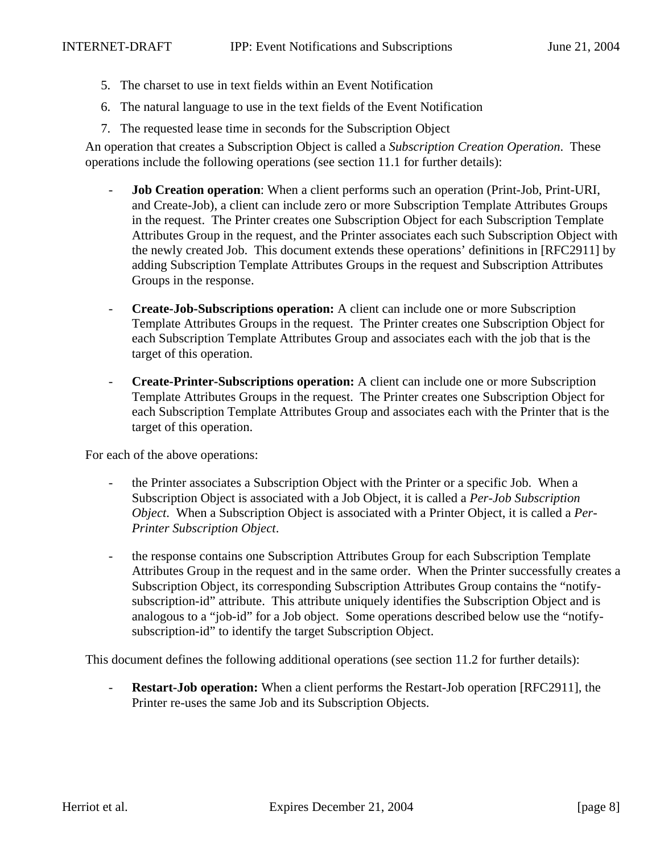- 5. The charset to use in text fields within an Event Notification
- 6. The natural language to use in the text fields of the Event Notification
- 7. The requested lease time in seconds for the Subscription Object

An operation that creates a Subscription Object is called a *Subscription Creation Operation*. These operations include the following operations (see section 11.1 for further details):

- **Job Creation operation**: When a client performs such an operation (Print-Job, Print-URI, and Create-Job), a client can include zero or more Subscription Template Attributes Groups in the request. The Printer creates one Subscription Object for each Subscription Template Attributes Group in the request, and the Printer associates each such Subscription Object with the newly created Job. This document extends these operations' definitions in [RFC2911] by adding Subscription Template Attributes Groups in the request and Subscription Attributes Groups in the response.
- **Create-Job-Subscriptions operation:** A client can include one or more Subscription Template Attributes Groups in the request. The Printer creates one Subscription Object for each Subscription Template Attributes Group and associates each with the job that is the target of this operation.
- **Create-Printer-Subscriptions operation:** A client can include one or more Subscription Template Attributes Groups in the request. The Printer creates one Subscription Object for each Subscription Template Attributes Group and associates each with the Printer that is the target of this operation.

For each of the above operations:

- the Printer associates a Subscription Object with the Printer or a specific Job. When a Subscription Object is associated with a Job Object, it is called a *Per-Job Subscription Object*. When a Subscription Object is associated with a Printer Object, it is called a *Per-Printer Subscription Object*.
- the response contains one Subscription Attributes Group for each Subscription Template Attributes Group in the request and in the same order. When the Printer successfully creates a Subscription Object, its corresponding Subscription Attributes Group contains the "notifysubscription-id" attribute. This attribute uniquely identifies the Subscription Object and is analogous to a "job-id" for a Job object. Some operations described below use the "notifysubscription-id" to identify the target Subscription Object.

This document defines the following additional operations (see section 11.2 for further details):

**Restart-Job operation:** When a client performs the Restart-Job operation [RFC2911], the Printer re-uses the same Job and its Subscription Objects.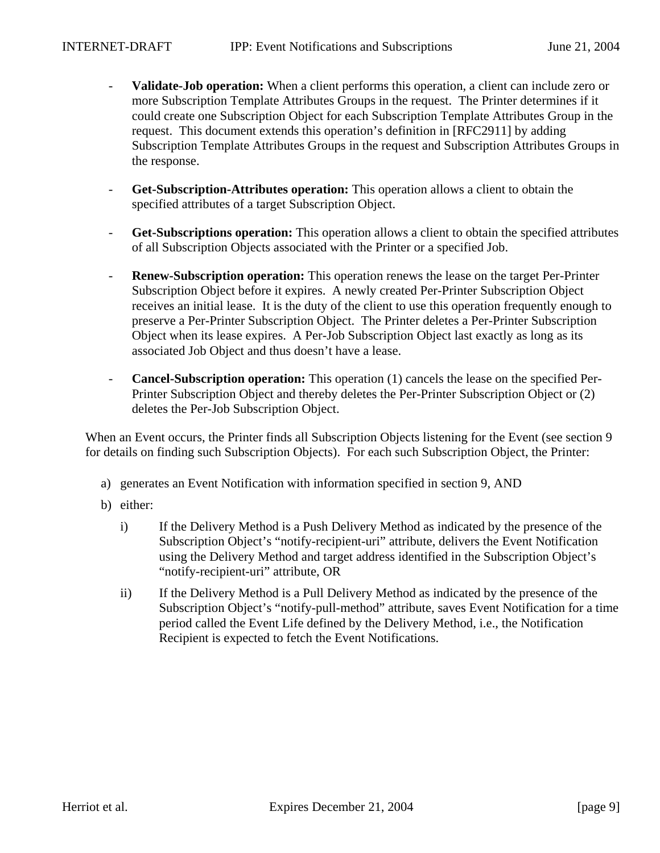- **Validate-Job operation:** When a client performs this operation, a client can include zero or more Subscription Template Attributes Groups in the request. The Printer determines if it could create one Subscription Object for each Subscription Template Attributes Group in the request. This document extends this operation's definition in [RFC2911] by adding Subscription Template Attributes Groups in the request and Subscription Attributes Groups in the response.
- **Get-Subscription-Attributes operation:** This operation allows a client to obtain the specified attributes of a target Subscription Object.
- **Get-Subscriptions operation:** This operation allows a client to obtain the specified attributes of all Subscription Objects associated with the Printer or a specified Job.
- **Renew-Subscription operation:** This operation renews the lease on the target Per-Printer Subscription Object before it expires. A newly created Per-Printer Subscription Object receives an initial lease. It is the duty of the client to use this operation frequently enough to preserve a Per-Printer Subscription Object. The Printer deletes a Per-Printer Subscription Object when its lease expires. A Per-Job Subscription Object last exactly as long as its associated Job Object and thus doesn't have a lease.
- **Cancel-Subscription operation:** This operation (1) cancels the lease on the specified Per-Printer Subscription Object and thereby deletes the Per-Printer Subscription Object or (2) deletes the Per-Job Subscription Object.

When an Event occurs, the Printer finds all Subscription Objects listening for the Event (see section 9 for details on finding such Subscription Objects). For each such Subscription Object, the Printer:

- a) generates an Event Notification with information specified in section 9, AND
- b) either:
	- i) If the Delivery Method is a Push Delivery Method as indicated by the presence of the Subscription Object's "notify-recipient-uri" attribute, delivers the Event Notification using the Delivery Method and target address identified in the Subscription Object's "notify-recipient-uri" attribute, OR
	- ii) If the Delivery Method is a Pull Delivery Method as indicated by the presence of the Subscription Object's "notify-pull-method" attribute, saves Event Notification for a time period called the Event Life defined by the Delivery Method, i.e., the Notification Recipient is expected to fetch the Event Notifications.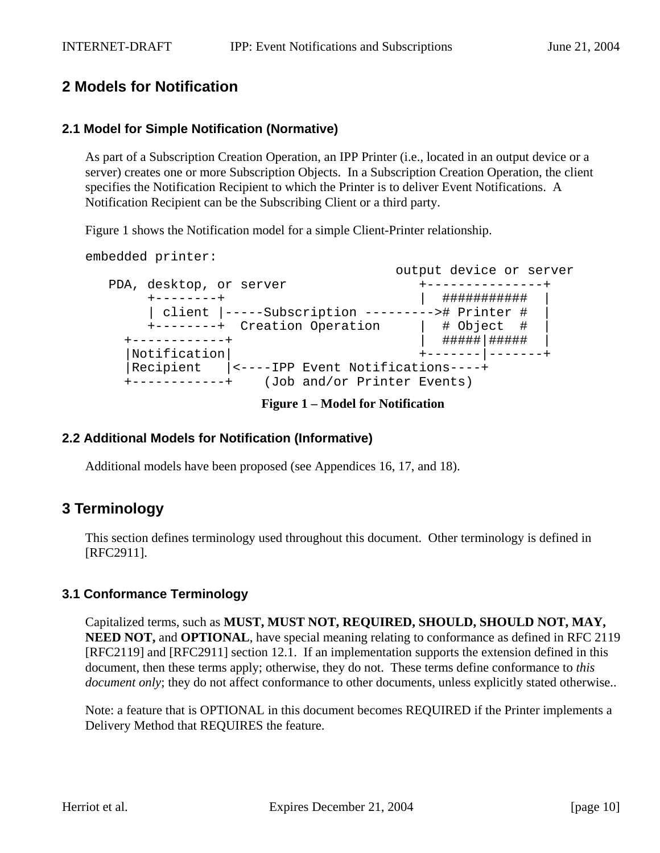# **2 Models for Notification**

## **2.1 Model for Simple Notification (Normative)**

As part of a Subscription Creation Operation, an IPP Printer (i.e., located in an output device or a server) creates one or more Subscription Objects. In a Subscription Creation Operation, the client specifies the Notification Recipient to which the Printer is to deliver Event Notifications. A Notification Recipient can be the Subscribing Client or a third party.

Figure 1 shows the Notification model for a simple Client-Printer relationship.

embedded printer:

 output device or server PDA, desktop, or server +-------------------- +--------+ | ########### | | client |-----Subscription ---------># Printer # | +--------+ Creation Operation | # Object # | +------------+ | #####|##### | |Notification| +-------|-------+ |Recipient |<----IPP Event Notifications----+ +------------+ (Job and/or Printer Events)

**Figure 1 – Model for Notification**

#### **2.2 Additional Models for Notification (Informative)**

Additional models have been proposed (see Appendices 16, 17, and 18).

## **3 Terminology**

This section defines terminology used throughout this document. Other terminology is defined in [RFC2911].

#### **3.1 Conformance Terminology**

Capitalized terms, such as **MUST, MUST NOT, REQUIRED, SHOULD, SHOULD NOT, MAY, NEED NOT, and OPTIONAL**, have special meaning relating to conformance as defined in RFC 2119 [RFC2119] and [RFC2911] section 12.1. If an implementation supports the extension defined in this document, then these terms apply; otherwise, they do not. These terms define conformance to *this document only*; they do not affect conformance to other documents, unless explicitly stated otherwise..

Note: a feature that is OPTIONAL in this document becomes REQUIRED if the Printer implements a Delivery Method that REQUIRES the feature.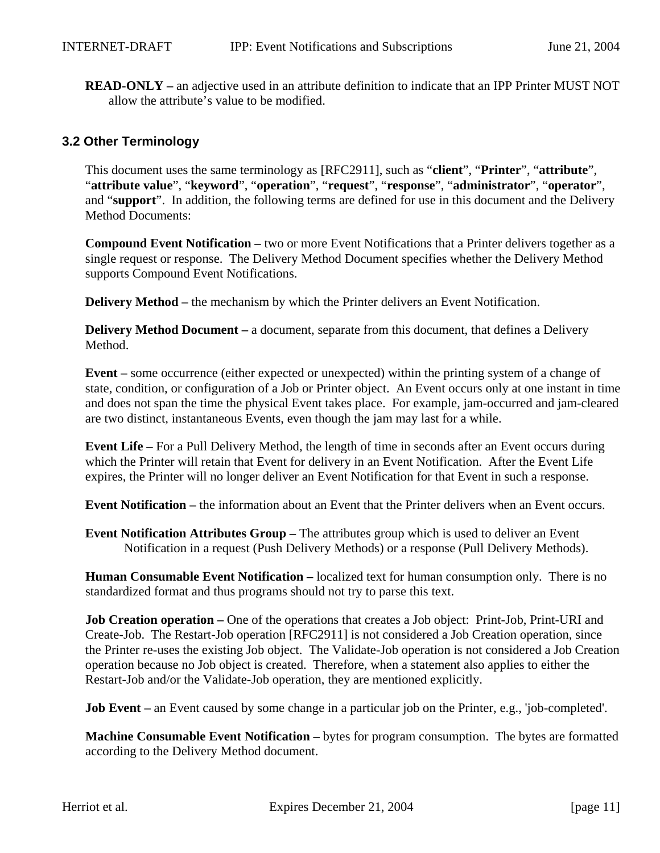**READ-ONLY –** an adjective used in an attribute definition to indicate that an IPP Printer MUST NOT allow the attribute's value to be modified.

#### **3.2 Other Terminology**

This document uses the same terminology as [RFC2911], such as "**client**", "**Printer**", "**attribute**", "**attribute value**", "**keyword**", "**operation**", "**request**", "**response**", "**administrator**", "**operator**", and "**support**". In addition, the following terms are defined for use in this document and the Delivery Method Documents:

**Compound Event Notification –** two or more Event Notifications that a Printer delivers together as a single request or response. The Delivery Method Document specifies whether the Delivery Method supports Compound Event Notifications.

**Delivery Method** – the mechanism by which the Printer delivers an Event Notification.

**Delivery Method Document** – a document, separate from this document, that defines a Delivery Method.

**Event –** some occurrence (either expected or unexpected) within the printing system of a change of state, condition, or configuration of a Job or Printer object. An Event occurs only at one instant in time and does not span the time the physical Event takes place. For example, jam-occurred and jam-cleared are two distinct, instantaneous Events, even though the jam may last for a while.

**Event Life –** For a Pull Delivery Method, the length of time in seconds after an Event occurs during which the Printer will retain that Event for delivery in an Event Notification. After the Event Life expires, the Printer will no longer deliver an Event Notification for that Event in such a response.

**Event Notification –** the information about an Event that the Printer delivers when an Event occurs.

**Event Notification Attributes Group –** The attributes group which is used to deliver an Event Notification in a request (Push Delivery Methods) or a response (Pull Delivery Methods).

**Human Consumable Event Notification –** localized text for human consumption only. There is no standardized format and thus programs should not try to parse this text.

**Job Creation operation** – One of the operations that creates a Job object: Print-Job, Print-URI and Create-Job. The Restart-Job operation [RFC2911] is not considered a Job Creation operation, since the Printer re-uses the existing Job object. The Validate-Job operation is not considered a Job Creation operation because no Job object is created. Therefore, when a statement also applies to either the Restart-Job and/or the Validate-Job operation, they are mentioned explicitly.

**Job Event** – an Event caused by some change in a particular job on the Printer, e.g., 'job-completed'.

**Machine Consumable Event Notification –** bytes for program consumption. The bytes are formatted according to the Delivery Method document.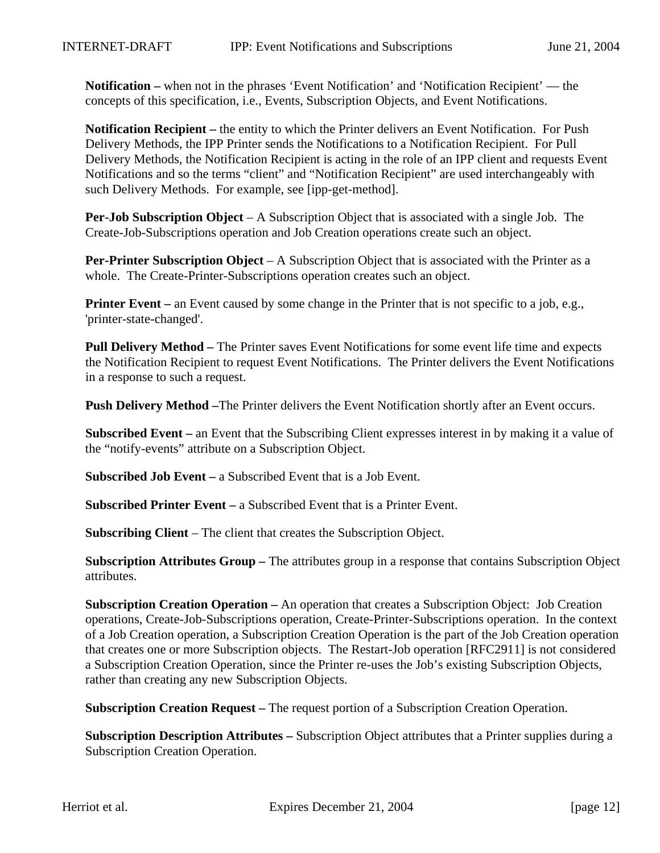**Notification –** when not in the phrases 'Event Notification' and 'Notification Recipient' — the concepts of this specification, i.e., Events, Subscription Objects, and Event Notifications.

**Notification Recipient –** the entity to which the Printer delivers an Event Notification. For Push Delivery Methods, the IPP Printer sends the Notifications to a Notification Recipient. For Pull Delivery Methods, the Notification Recipient is acting in the role of an IPP client and requests Event Notifications and so the terms "client" and "Notification Recipient" are used interchangeably with such Delivery Methods. For example, see [ipp-get-method].

**Per-Job Subscription Object** – A Subscription Object that is associated with a single Job. The Create-Job-Subscriptions operation and Job Creation operations create such an object.

**Per-Printer Subscription Object** – A Subscription Object that is associated with the Printer as a whole. The Create-Printer-Subscriptions operation creates such an object.

**Printer Event** – an Event caused by some change in the Printer that is not specific to a job, e.g., 'printer-state-changed'.

**Pull Delivery Method –** The Printer saves Event Notifications for some event life time and expects the Notification Recipient to request Event Notifications. The Printer delivers the Event Notifications in a response to such a request.

**Push Delivery Method –**The Printer delivers the Event Notification shortly after an Event occurs.

**Subscribed Event –** an Event that the Subscribing Client expresses interest in by making it a value of the "notify-events" attribute on a Subscription Object.

**Subscribed Job Event –** a Subscribed Event that is a Job Event.

**Subscribed Printer Event –** a Subscribed Event that is a Printer Event.

**Subscribing Client** – The client that creates the Subscription Object.

**Subscription Attributes Group –** The attributes group in a response that contains Subscription Object attributes.

**Subscription Creation Operation –** An operation that creates a Subscription Object: Job Creation operations, Create-Job-Subscriptions operation, Create-Printer-Subscriptions operation. In the context of a Job Creation operation, a Subscription Creation Operation is the part of the Job Creation operation that creates one or more Subscription objects. The Restart-Job operation [RFC2911] is not considered a Subscription Creation Operation, since the Printer re-uses the Job's existing Subscription Objects, rather than creating any new Subscription Objects.

**Subscription Creation Request –** The request portion of a Subscription Creation Operation.

**Subscription Description Attributes –** Subscription Object attributes that a Printer supplies during a Subscription Creation Operation.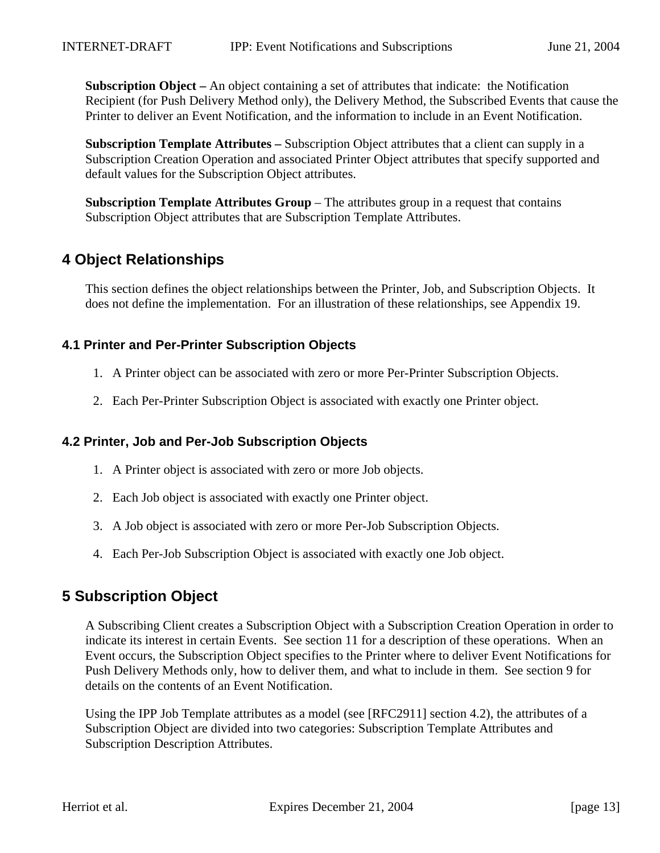**Subscription Object –** An object containing a set of attributes that indicate: the Notification Recipient (for Push Delivery Method only), the Delivery Method, the Subscribed Events that cause the Printer to deliver an Event Notification, and the information to include in an Event Notification.

**Subscription Template Attributes –** Subscription Object attributes that a client can supply in a Subscription Creation Operation and associated Printer Object attributes that specify supported and default values for the Subscription Object attributes.

**Subscription Template Attributes Group** – The attributes group in a request that contains Subscription Object attributes that are Subscription Template Attributes.

# **4 Object Relationships**

This section defines the object relationships between the Printer, Job, and Subscription Objects. It does not define the implementation. For an illustration of these relationships, see Appendix 19.

## **4.1 Printer and Per-Printer Subscription Objects**

- 1. A Printer object can be associated with zero or more Per-Printer Subscription Objects.
- 2. Each Per-Printer Subscription Object is associated with exactly one Printer object.

#### **4.2 Printer, Job and Per-Job Subscription Objects**

- 1. A Printer object is associated with zero or more Job objects.
- 2. Each Job object is associated with exactly one Printer object.
- 3. A Job object is associated with zero or more Per-Job Subscription Objects.
- 4. Each Per-Job Subscription Object is associated with exactly one Job object.

## **5 Subscription Object**

A Subscribing Client creates a Subscription Object with a Subscription Creation Operation in order to indicate its interest in certain Events. See section 11 for a description of these operations. When an Event occurs, the Subscription Object specifies to the Printer where to deliver Event Notifications for Push Delivery Methods only, how to deliver them, and what to include in them. See section 9 for details on the contents of an Event Notification.

Using the IPP Job Template attributes as a model (see [RFC2911] section 4.2), the attributes of a Subscription Object are divided into two categories: Subscription Template Attributes and Subscription Description Attributes.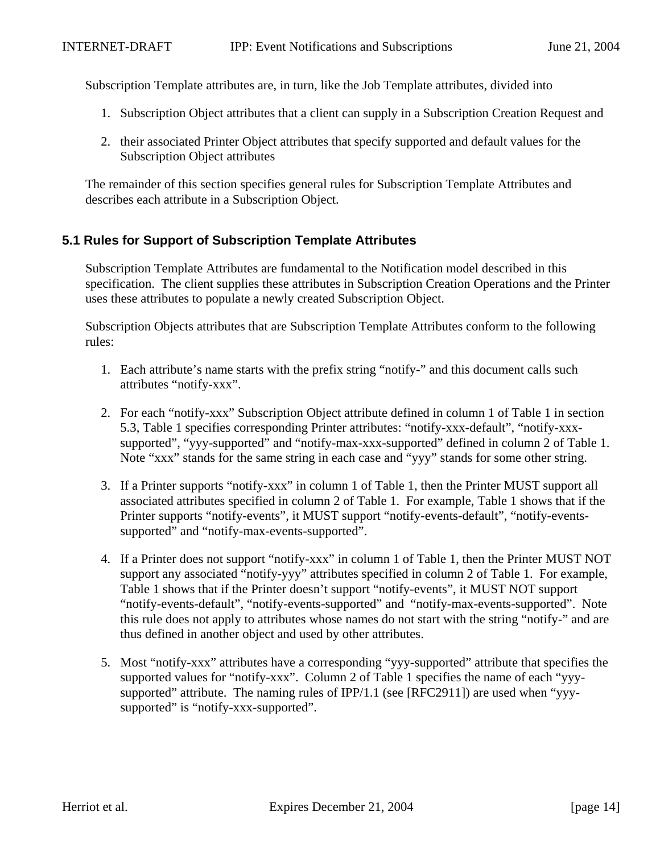Subscription Template attributes are, in turn, like the Job Template attributes, divided into

- 1. Subscription Object attributes that a client can supply in a Subscription Creation Request and
- 2. their associated Printer Object attributes that specify supported and default values for the Subscription Object attributes

The remainder of this section specifies general rules for Subscription Template Attributes and describes each attribute in a Subscription Object.

## **5.1 Rules for Support of Subscription Template Attributes**

Subscription Template Attributes are fundamental to the Notification model described in this specification. The client supplies these attributes in Subscription Creation Operations and the Printer uses these attributes to populate a newly created Subscription Object.

Subscription Objects attributes that are Subscription Template Attributes conform to the following rules:

- 1. Each attribute's name starts with the prefix string "notify-" and this document calls such attributes "notify-xxx".
- 2. For each "notify-xxx" Subscription Object attribute defined in column 1 of Table 1 in section 5.3, Table 1 specifies corresponding Printer attributes: "notify-xxx-default", "notify-xxxsupported", "yyy-supported" and "notify-max-xxx-supported" defined in column 2 of Table 1. Note "xxx" stands for the same string in each case and "yyy" stands for some other string.
- 3. If a Printer supports "notify-xxx" in column 1 of Table 1, then the Printer MUST support all associated attributes specified in column 2 of Table 1. For example, Table 1 shows that if the Printer supports "notify-events", it MUST support "notify-events-default", "notify-eventssupported" and "notify-max-events-supported".
- 4. If a Printer does not support "notify-xxx" in column 1 of Table 1, then the Printer MUST NOT support any associated "notify-yyy" attributes specified in column 2 of Table 1. For example, Table 1 shows that if the Printer doesn't support "notify-events", it MUST NOT support "notify-events-default", "notify-events-supported" and "notify-max-events-supported". Note this rule does not apply to attributes whose names do not start with the string "notify-" and are thus defined in another object and used by other attributes.
- 5. Most "notify-xxx" attributes have a corresponding "yyy-supported" attribute that specifies the supported values for "notify-xxx". Column 2 of Table 1 specifies the name of each "yyysupported" attribute. The naming rules of IPP/1.1 (see [RFC2911]) are used when "yyysupported" is "notify-xxx-supported".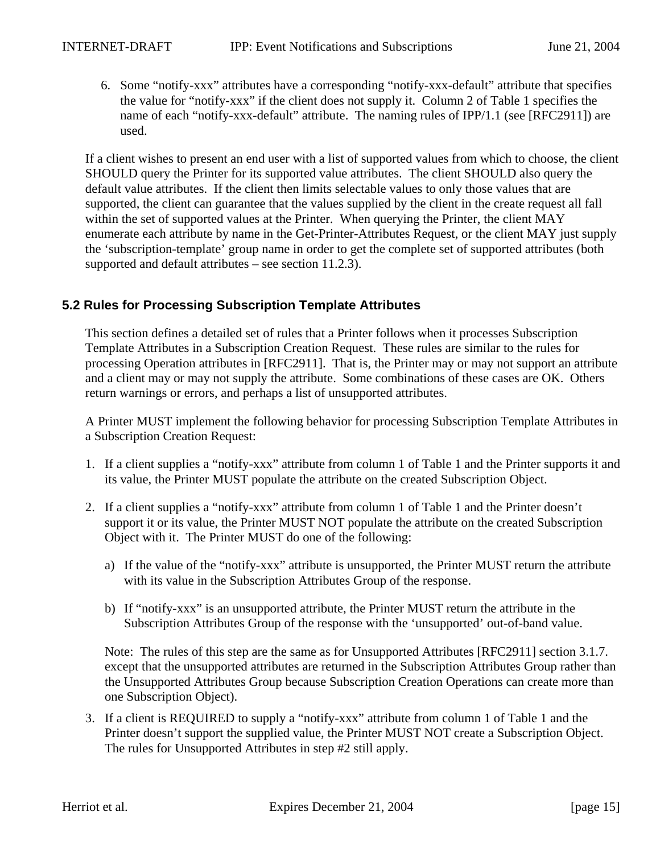6. Some "notify-xxx" attributes have a corresponding "notify-xxx-default" attribute that specifies the value for "notify-xxx" if the client does not supply it. Column 2 of Table 1 specifies the name of each "notify-xxx-default" attribute. The naming rules of IPP/1.1 (see [RFC2911]) are used.

If a client wishes to present an end user with a list of supported values from which to choose, the client SHOULD query the Printer for its supported value attributes. The client SHOULD also query the default value attributes. If the client then limits selectable values to only those values that are supported, the client can guarantee that the values supplied by the client in the create request all fall within the set of supported values at the Printer. When querying the Printer, the client MAY enumerate each attribute by name in the Get-Printer-Attributes Request, or the client MAY just supply the 'subscription-template' group name in order to get the complete set of supported attributes (both supported and default attributes – see section 11.2.3).

## **5.2 Rules for Processing Subscription Template Attributes**

This section defines a detailed set of rules that a Printer follows when it processes Subscription Template Attributes in a Subscription Creation Request. These rules are similar to the rules for processing Operation attributes in [RFC2911]. That is, the Printer may or may not support an attribute and a client may or may not supply the attribute. Some combinations of these cases are OK. Others return warnings or errors, and perhaps a list of unsupported attributes.

A Printer MUST implement the following behavior for processing Subscription Template Attributes in a Subscription Creation Request:

- 1. If a client supplies a "notify-xxx" attribute from column 1 of Table 1 and the Printer supports it and its value, the Printer MUST populate the attribute on the created Subscription Object.
- 2. If a client supplies a "notify-xxx" attribute from column 1 of Table 1 and the Printer doesn't support it or its value, the Printer MUST NOT populate the attribute on the created Subscription Object with it. The Printer MUST do one of the following:
	- a) If the value of the "notify-xxx" attribute is unsupported, the Printer MUST return the attribute with its value in the Subscription Attributes Group of the response.
	- b) If "notify-xxx" is an unsupported attribute, the Printer MUST return the attribute in the Subscription Attributes Group of the response with the 'unsupported' out-of-band value.

Note: The rules of this step are the same as for Unsupported Attributes [RFC2911] section 3.1.7. except that the unsupported attributes are returned in the Subscription Attributes Group rather than the Unsupported Attributes Group because Subscription Creation Operations can create more than one Subscription Object).

3. If a client is REQUIRED to supply a "notify-xxx" attribute from column 1 of Table 1 and the Printer doesn't support the supplied value, the Printer MUST NOT create a Subscription Object. The rules for Unsupported Attributes in step #2 still apply.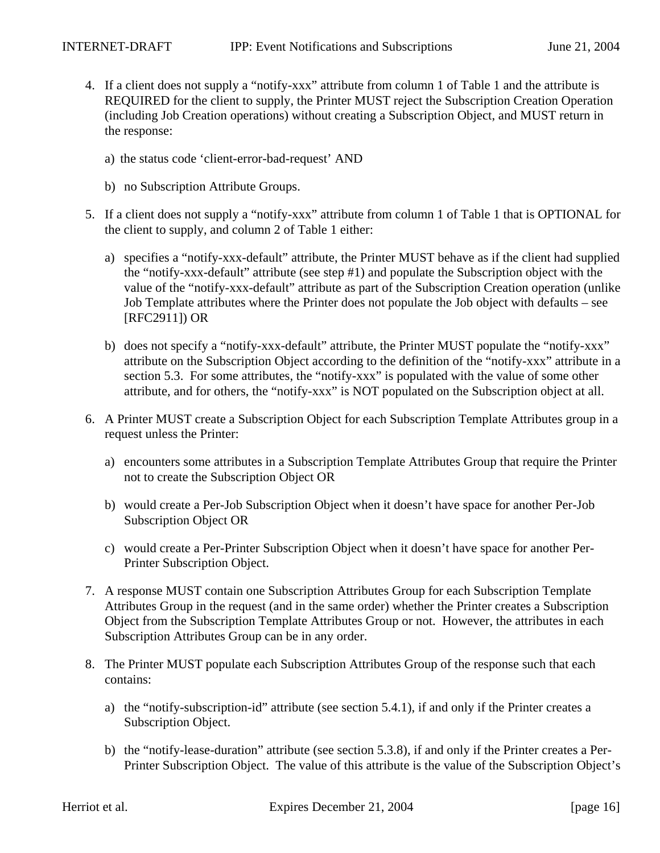- 4. If a client does not supply a "notify-xxx" attribute from column 1 of Table 1 and the attribute is REQUIRED for the client to supply, the Printer MUST reject the Subscription Creation Operation (including Job Creation operations) without creating a Subscription Object, and MUST return in the response:
	- a) the status code 'client-error-bad-request' AND
	- b) no Subscription Attribute Groups.
- 5. If a client does not supply a "notify-xxx" attribute from column 1 of Table 1 that is OPTIONAL for the client to supply, and column 2 of Table 1 either:
	- a) specifies a "notify-xxx-default" attribute, the Printer MUST behave as if the client had supplied the "notify-xxx-default" attribute (see step #1) and populate the Subscription object with the value of the "notify-xxx-default" attribute as part of the Subscription Creation operation (unlike Job Template attributes where the Printer does not populate the Job object with defaults – see [RFC2911]) OR
	- b) does not specify a "notify-xxx-default" attribute, the Printer MUST populate the "notify-xxx" attribute on the Subscription Object according to the definition of the "notify-xxx" attribute in a section 5.3. For some attributes, the "notify-xxx" is populated with the value of some other attribute, and for others, the "notify-xxx" is NOT populated on the Subscription object at all.
- 6. A Printer MUST create a Subscription Object for each Subscription Template Attributes group in a request unless the Printer:
	- a) encounters some attributes in a Subscription Template Attributes Group that require the Printer not to create the Subscription Object OR
	- b) would create a Per-Job Subscription Object when it doesn't have space for another Per-Job Subscription Object OR
	- c) would create a Per-Printer Subscription Object when it doesn't have space for another Per-Printer Subscription Object.
- 7. A response MUST contain one Subscription Attributes Group for each Subscription Template Attributes Group in the request (and in the same order) whether the Printer creates a Subscription Object from the Subscription Template Attributes Group or not. However, the attributes in each Subscription Attributes Group can be in any order.
- 8. The Printer MUST populate each Subscription Attributes Group of the response such that each contains:
	- a) the "notify-subscription-id" attribute (see section 5.4.1), if and only if the Printer creates a Subscription Object.
	- b) the "notify-lease-duration" attribute (see section 5.3.8), if and only if the Printer creates a Per-Printer Subscription Object. The value of this attribute is the value of the Subscription Object's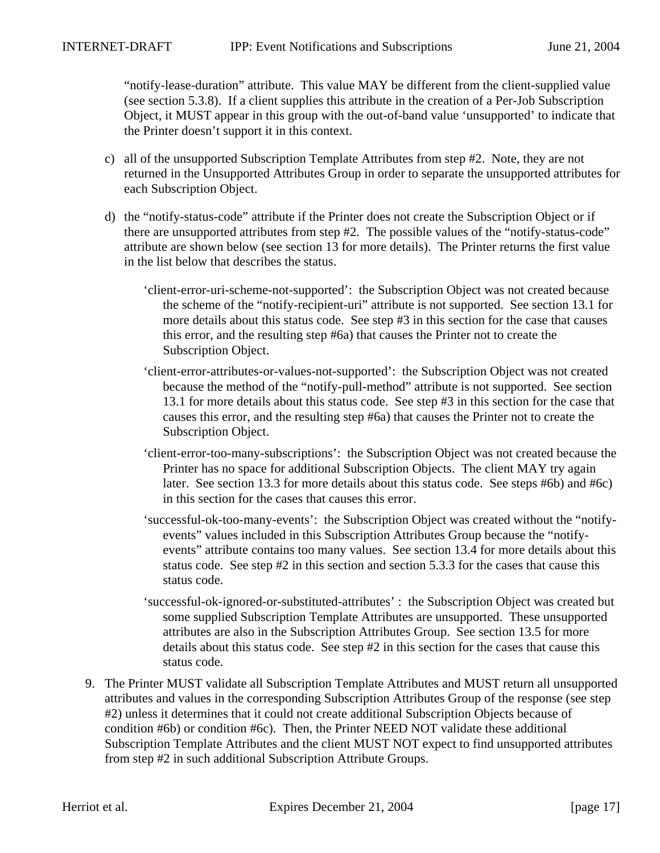"notify-lease-duration" attribute. This value MAY be different from the client-supplied value (see section 5.3.8). If a client supplies this attribute in the creation of a Per-Job Subscription Object, it MUST appear in this group with the out-of-band value 'unsupported' to indicate that the Printer doesn't support it in this context.

- c) all of the unsupported Subscription Template Attributes from step #2. Note, they are not returned in the Unsupported Attributes Group in order to separate the unsupported attributes for each Subscription Object.
- d) the "notify-status-code" attribute if the Printer does not create the Subscription Object or if there are unsupported attributes from step #2. The possible values of the "notify-status-code" attribute are shown below (see section 13 for more details). The Printer returns the first value in the list below that describes the status.
	- 'client-error-uri-scheme-not-supported': the Subscription Object was not created because the scheme of the "notify-recipient-uri" attribute is not supported. See section 13.1 for more details about this status code. See step #3 in this section for the case that causes this error, and the resulting step #6a) that causes the Printer not to create the Subscription Object.
	- 'client-error-attributes-or-values-not-supported': the Subscription Object was not created because the method of the "notify-pull-method" attribute is not supported. See section 13.1 for more details about this status code. See step #3 in this section for the case that causes this error, and the resulting step #6a) that causes the Printer not to create the Subscription Object.
	- 'client-error-too-many-subscriptions': the Subscription Object was not created because the Printer has no space for additional Subscription Objects. The client MAY try again later. See section 13.3 for more details about this status code. See steps #6b) and #6c) in this section for the cases that causes this error.
	- 'successful-ok-too-many-events': the Subscription Object was created without the "notifyevents" values included in this Subscription Attributes Group because the "notifyevents" attribute contains too many values. See section 13.4 for more details about this status code. See step #2 in this section and section 5.3.3 for the cases that cause this status code.
	- 'successful-ok-ignored-or-substituted-attributes' : the Subscription Object was created but some supplied Subscription Template Attributes are unsupported. These unsupported attributes are also in the Subscription Attributes Group. See section 13.5 for more details about this status code. See step #2 in this section for the cases that cause this status code.
- 9. The Printer MUST validate all Subscription Template Attributes and MUST return all unsupported attributes and values in the corresponding Subscription Attributes Group of the response (see step #2) unless it determines that it could not create additional Subscription Objects because of condition #6b) or condition #6c). Then, the Printer NEED NOT validate these additional Subscription Template Attributes and the client MUST NOT expect to find unsupported attributes from step #2 in such additional Subscription Attribute Groups.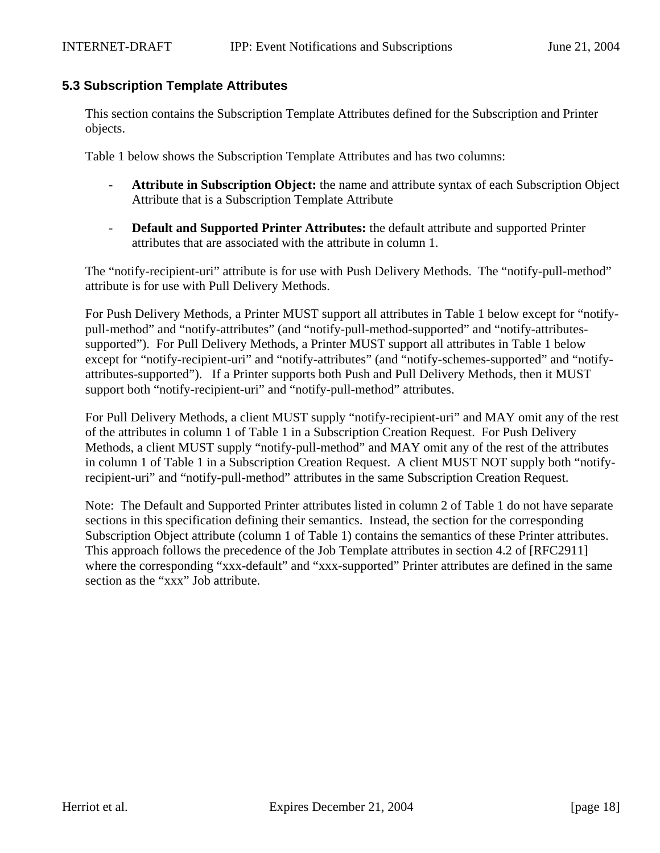#### **5.3 Subscription Template Attributes**

This section contains the Subscription Template Attributes defined for the Subscription and Printer objects.

Table 1 below shows the Subscription Template Attributes and has two columns:

- **Attribute in Subscription Object:** the name and attribute syntax of each Subscription Object Attribute that is a Subscription Template Attribute
- **Default and Supported Printer Attributes:** the default attribute and supported Printer attributes that are associated with the attribute in column 1.

The "notify-recipient-uri" attribute is for use with Push Delivery Methods. The "notify-pull-method" attribute is for use with Pull Delivery Methods.

For Push Delivery Methods, a Printer MUST support all attributes in Table 1 below except for "notifypull-method" and "notify-attributes" (and "notify-pull-method-supported" and "notify-attributessupported"). For Pull Delivery Methods, a Printer MUST support all attributes in Table 1 below except for "notify-recipient-uri" and "notify-attributes" (and "notify-schemes-supported" and "notifyattributes-supported"). If a Printer supports both Push and Pull Delivery Methods, then it MUST support both "notify-recipient-uri" and "notify-pull-method" attributes.

For Pull Delivery Methods, a client MUST supply "notify-recipient-uri" and MAY omit any of the rest of the attributes in column 1 of Table 1 in a Subscription Creation Request. For Push Delivery Methods, a client MUST supply "notify-pull-method" and MAY omit any of the rest of the attributes in column 1 of Table 1 in a Subscription Creation Request. A client MUST NOT supply both "notifyrecipient-uri" and "notify-pull-method" attributes in the same Subscription Creation Request.

Note: The Default and Supported Printer attributes listed in column 2 of Table 1 do not have separate sections in this specification defining their semantics. Instead, the section for the corresponding Subscription Object attribute (column 1 of Table 1) contains the semantics of these Printer attributes. This approach follows the precedence of the Job Template attributes in section 4.2 of [RFC2911] where the corresponding "xxx-default" and "xxx-supported" Printer attributes are defined in the same section as the "xxx" Job attribute.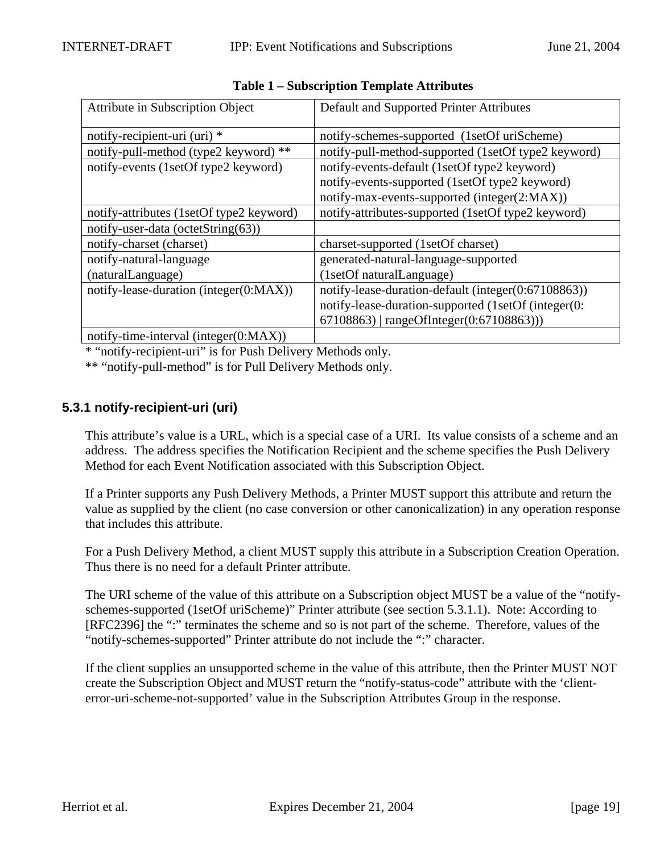| <b>Attribute in Subscription Object</b>  | Default and Supported Printer Attributes            |  |
|------------------------------------------|-----------------------------------------------------|--|
| notify-recipient-uri (uri) *             | notify-schemes-supported (1setOf uriScheme)         |  |
| notify-pull-method (type2 keyword) **    | notify-pull-method-supported (1setOf type2 keyword) |  |
| notify-events (1setOf type2 keyword)     | notify-events-default (1setOf type2 keyword)        |  |
|                                          | notify-events-supported (1setOf type2 keyword)      |  |
|                                          | notify-max-events-supported (integer(2:MAX))        |  |
| notify-attributes (1setOf type2 keyword) | notify-attributes-supported (1setOf type2 keyword)  |  |
| notify-user-data (octetString(63))       |                                                     |  |
| notify-charset (charset)                 | charset-supported (1setOf charset)                  |  |
| notify-natural-language                  | generated-natural-language-supported                |  |
| (naturalLanguage)                        | (1setOf naturalLanguage)                            |  |
| notify-lease-duration (integer(0:MAX))   | notify-lease-duration-default (integer(0:67108863)) |  |
|                                          | notify-lease-duration-supported (1setOf (integer(0: |  |
|                                          | 67108863)   rangeOfInteger(0:67108863)))            |  |
| notify-time-interval (integer(0:MAX))    |                                                     |  |

**Table 1 – Subscription Template Attributes**

\* "notify-recipient-uri" is for Push Delivery Methods only.

\*\* "notify-pull-method" is for Pull Delivery Methods only.

## **5.3.1 notify-recipient-uri (uri)**

This attribute's value is a URL, which is a special case of a URI. Its value consists of a scheme and an address. The address specifies the Notification Recipient and the scheme specifies the Push Delivery Method for each Event Notification associated with this Subscription Object.

If a Printer supports any Push Delivery Methods, a Printer MUST support this attribute and return the value as supplied by the client (no case conversion or other canonicalization) in any operation response that includes this attribute.

For a Push Delivery Method, a client MUST supply this attribute in a Subscription Creation Operation. Thus there is no need for a default Printer attribute.

The URI scheme of the value of this attribute on a Subscription object MUST be a value of the "notifyschemes-supported (1setOf uriScheme)" Printer attribute (see section 5.3.1.1). Note: According to [RFC2396] the ":" terminates the scheme and so is not part of the scheme. Therefore, values of the "notify-schemes-supported" Printer attribute do not include the ":" character.

If the client supplies an unsupported scheme in the value of this attribute, then the Printer MUST NOT create the Subscription Object and MUST return the "notify-status-code" attribute with the 'clienterror-uri-scheme-not-supported' value in the Subscription Attributes Group in the response.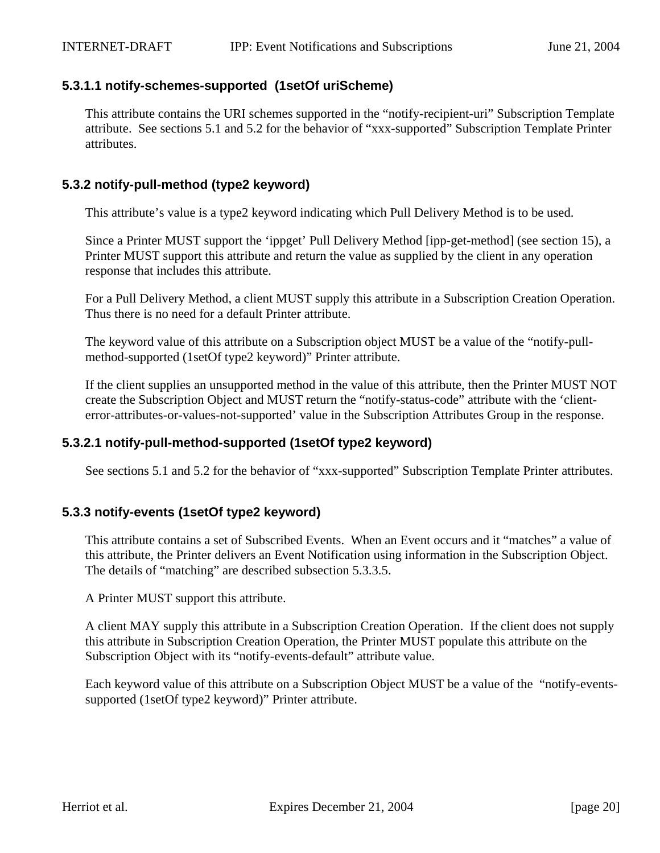#### **5.3.1.1 notify-schemes-supported (1setOf uriScheme)**

This attribute contains the URI schemes supported in the "notify-recipient-uri" Subscription Template attribute. See sections 5.1 and 5.2 for the behavior of "xxx-supported" Subscription Template Printer attributes.

#### **5.3.2 notify-pull-method (type2 keyword)**

This attribute's value is a type2 keyword indicating which Pull Delivery Method is to be used.

Since a Printer MUST support the 'ippget' Pull Delivery Method [ipp-get-method] (see section 15), a Printer MUST support this attribute and return the value as supplied by the client in any operation response that includes this attribute.

For a Pull Delivery Method, a client MUST supply this attribute in a Subscription Creation Operation. Thus there is no need for a default Printer attribute.

The keyword value of this attribute on a Subscription object MUST be a value of the "notify-pullmethod-supported (1setOf type2 keyword)" Printer attribute.

If the client supplies an unsupported method in the value of this attribute, then the Printer MUST NOT create the Subscription Object and MUST return the "notify-status-code" attribute with the 'clienterror-attributes-or-values-not-supported' value in the Subscription Attributes Group in the response.

#### **5.3.2.1 notify-pull-method-supported (1setOf type2 keyword)**

See sections 5.1 and 5.2 for the behavior of "xxx-supported" Subscription Template Printer attributes.

## **5.3.3 notify-events (1setOf type2 keyword)**

This attribute contains a set of Subscribed Events. When an Event occurs and it "matches" a value of this attribute, the Printer delivers an Event Notification using information in the Subscription Object. The details of "matching" are described subsection 5.3.3.5.

A Printer MUST support this attribute.

A client MAY supply this attribute in a Subscription Creation Operation. If the client does not supply this attribute in Subscription Creation Operation, the Printer MUST populate this attribute on the Subscription Object with its "notify-events-default" attribute value.

Each keyword value of this attribute on a Subscription Object MUST be a value of the "notify-eventssupported (1setOf type2 keyword)" Printer attribute.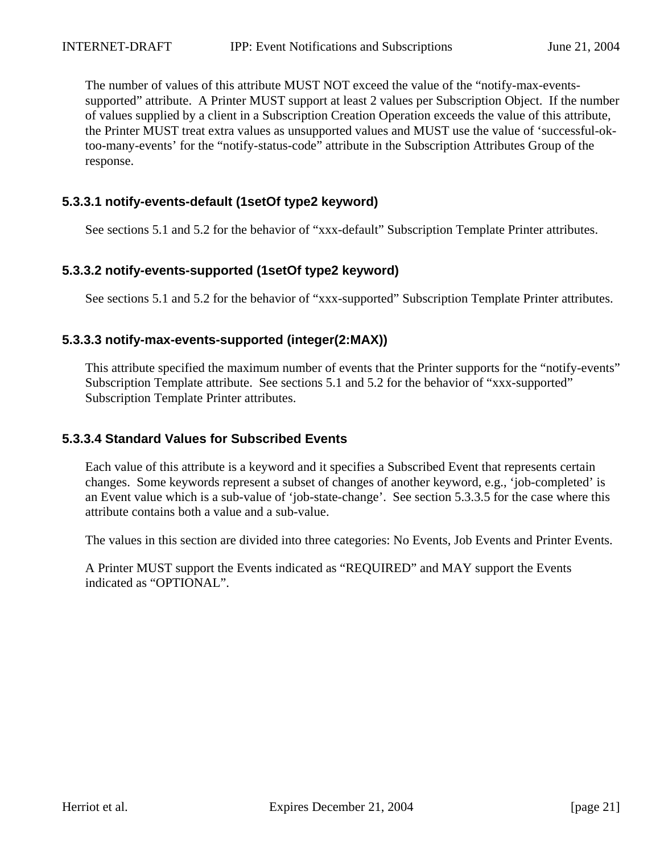The number of values of this attribute MUST NOT exceed the value of the "notify-max-eventssupported" attribute. A Printer MUST support at least 2 values per Subscription Object. If the number of values supplied by a client in a Subscription Creation Operation exceeds the value of this attribute, the Printer MUST treat extra values as unsupported values and MUST use the value of 'successful-oktoo-many-events' for the "notify-status-code" attribute in the Subscription Attributes Group of the response.

## **5.3.3.1 notify-events-default (1setOf type2 keyword)**

See sections 5.1 and 5.2 for the behavior of "xxx-default" Subscription Template Printer attributes.

## **5.3.3.2 notify-events-supported (1setOf type2 keyword)**

See sections 5.1 and 5.2 for the behavior of "xxx-supported" Subscription Template Printer attributes.

#### **5.3.3.3 notify-max-events-supported (integer(2:MAX))**

This attribute specified the maximum number of events that the Printer supports for the "notify-events" Subscription Template attribute. See sections 5.1 and 5.2 for the behavior of "xxx-supported" Subscription Template Printer attributes.

#### **5.3.3.4 Standard Values for Subscribed Events**

Each value of this attribute is a keyword and it specifies a Subscribed Event that represents certain changes. Some keywords represent a subset of changes of another keyword, e.g., 'job-completed' is an Event value which is a sub-value of 'job-state-change'. See section 5.3.3.5 for the case where this attribute contains both a value and a sub-value.

The values in this section are divided into three categories: No Events, Job Events and Printer Events.

A Printer MUST support the Events indicated as "REQUIRED" and MAY support the Events indicated as "OPTIONAL".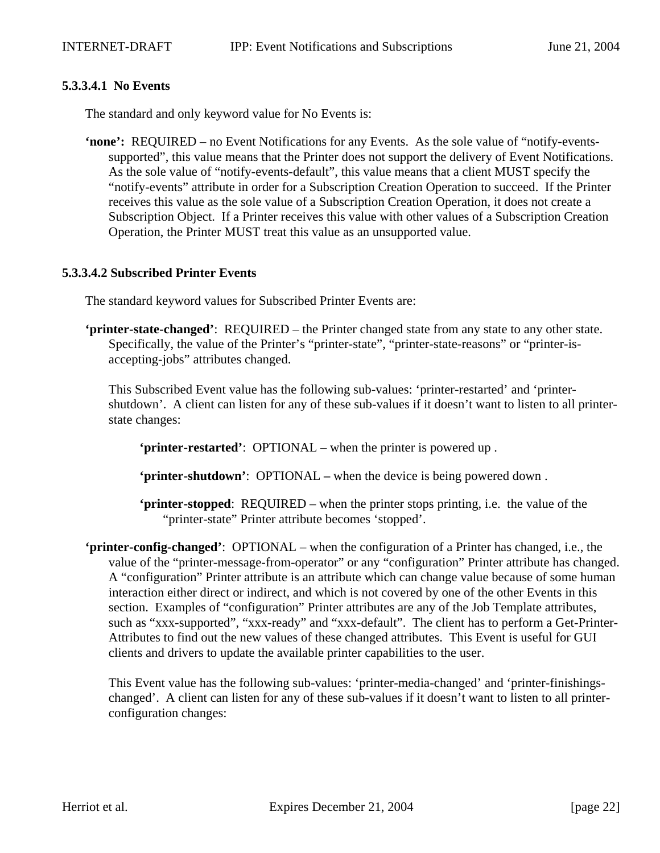#### **5.3.3.4.1 No Events**

The standard and only keyword value for No Events is:

**'none':** REQUIRED – no Event Notifications for any Events. As the sole value of "notify-eventssupported", this value means that the Printer does not support the delivery of Event Notifications. As the sole value of "notify-events-default", this value means that a client MUST specify the "notify-events" attribute in order for a Subscription Creation Operation to succeed. If the Printer receives this value as the sole value of a Subscription Creation Operation, it does not create a Subscription Object. If a Printer receives this value with other values of a Subscription Creation Operation, the Printer MUST treat this value as an unsupported value.

#### **5.3.3.4.2 Subscribed Printer Events**

The standard keyword values for Subscribed Printer Events are:

**'printer-state-changed'**: REQUIRED – the Printer changed state from any state to any other state. Specifically, the value of the Printer's "printer-state", "printer-state-reasons" or "printer-isaccepting-jobs" attributes changed.

This Subscribed Event value has the following sub-values: 'printer-restarted' and 'printershutdown'. A client can listen for any of these sub-values if it doesn't want to listen to all printerstate changes:

**'printer-restarted'**: OPTIONAL – when the printer is powered up .

**'printer-shutdown'**: OPTIONAL **–** when the device is being powered down .

**'printer-stopped**: REQUIRED – when the printer stops printing, i.e. the value of the "printer-state" Printer attribute becomes 'stopped'.

**'printer-config-changed'**:OPTIONAL – when the configuration of a Printer has changed, i.e., the value of the "printer-message-from-operator" or any "configuration" Printer attribute has changed. A "configuration" Printer attribute is an attribute which can change value because of some human interaction either direct or indirect, and which is not covered by one of the other Events in this section. Examples of "configuration" Printer attributes are any of the Job Template attributes, such as "xxx-supported", "xxx-ready" and "xxx-default". The client has to perform a Get-Printer-Attributes to find out the new values of these changed attributes. This Event is useful for GUI clients and drivers to update the available printer capabilities to the user.

This Event value has the following sub-values: 'printer-media-changed' and 'printer-finishingschanged'. A client can listen for any of these sub-values if it doesn't want to listen to all printerconfiguration changes: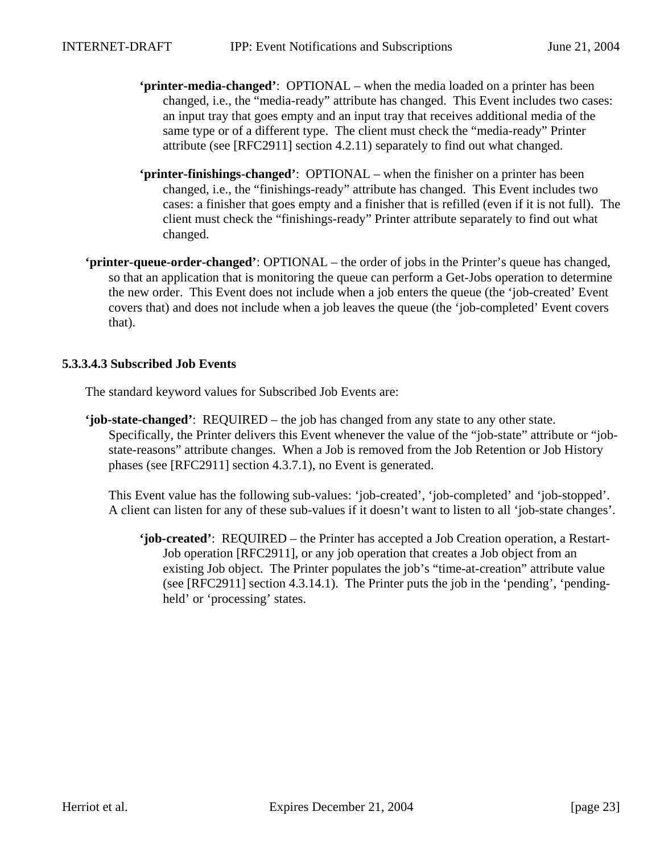- **'printer-media-changed'**:OPTIONAL when the media loaded on a printer has been changed, i.e., the "media-ready" attribute has changed. This Event includes two cases: an input tray that goes empty and an input tray that receives additional media of the same type or of a different type. The client must check the "media-ready" Printer attribute (see [RFC2911] section 4.2.11) separately to find out what changed.
- **'printer-finishings-changed'**:OPTIONAL when the finisher on a printer has been changed, i.e., the "finishings-ready" attribute has changed. This Event includes two cases: a finisher that goes empty and a finisher that is refilled (even if it is not full). The client must check the "finishings-ready" Printer attribute separately to find out what changed.
- **'printer-queue-order-changed'**: OPTIONAL the order of jobs in the Printer's queue has changed, so that an application that is monitoring the queue can perform a Get-Jobs operation to determine the new order. This Event does not include when a job enters the queue (the 'job-created' Event covers that) and does not include when a job leaves the queue (the 'job-completed' Event covers that).

#### **5.3.3.4.3 Subscribed Job Events**

The standard keyword values for Subscribed Job Events are:

**'job-state-changed'**: REQUIRED – the job has changed from any state to any other state. Specifically, the Printer delivers this Event whenever the value of the "job-state" attribute or "jobstate-reasons" attribute changes. When a Job is removed from the Job Retention or Job History phases (see [RFC2911] section 4.3.7.1), no Event is generated.

This Event value has the following sub-values: 'job-created', 'job-completed' and 'job-stopped'. A client can listen for any of these sub-values if it doesn't want to listen to all 'job-state changes'.

**'job-created'**: REQUIRED – the Printer has accepted a Job Creation operation, a Restart-Job operation [RFC2911], or any job operation that creates a Job object from an existing Job object. The Printer populates the job's "time-at-creation" attribute value (see [RFC2911] section 4.3.14.1). The Printer puts the job in the 'pending', 'pendingheld' or 'processing' states.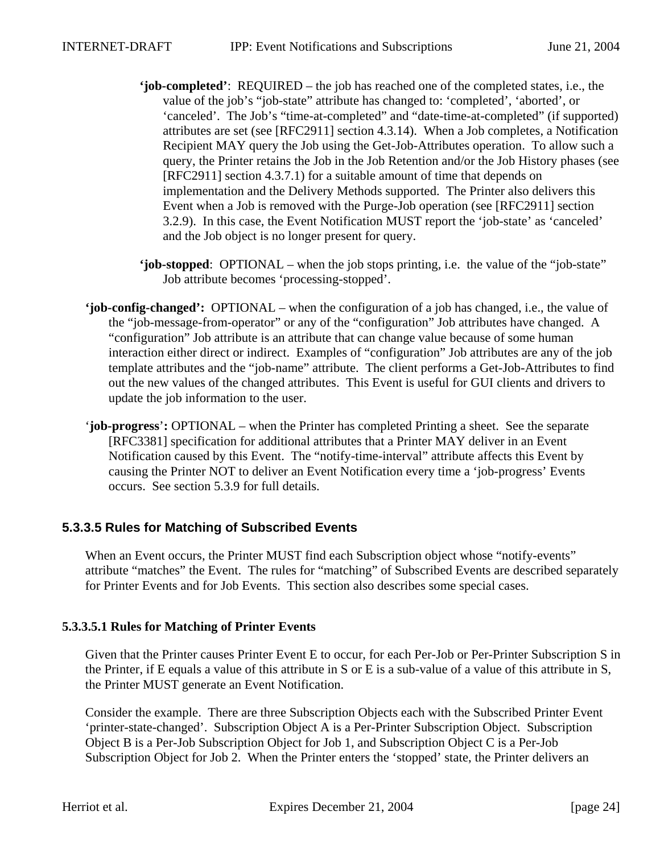- **'job-completed'**: REQUIRED the job has reached one of the completed states, i.e., the value of the job's "job-state" attribute has changed to: 'completed', 'aborted', or 'canceled'. The Job's "time-at-completed" and "date-time-at-completed" (if supported) attributes are set (see [RFC2911] section 4.3.14). When a Job completes, a Notification Recipient MAY query the Job using the Get-Job-Attributes operation. To allow such a query, the Printer retains the Job in the Job Retention and/or the Job History phases (see [RFC2911] section 4.3.7.1) for a suitable amount of time that depends on implementation and the Delivery Methods supported. The Printer also delivers this Event when a Job is removed with the Purge-Job operation (see [RFC2911] section 3.2.9). In this case, the Event Notification MUST report the 'job-state' as 'canceled' and the Job object is no longer present for query.
- **'job-stopped**: OPTIONAL when the job stops printing, i.e. the value of the "job-state" Job attribute becomes 'processing-stopped'.
- **'job-config-changed':** OPTIONAL when the configuration of a job has changed, i.e., the value of the "job-message-from-operator" or any of the "configuration" Job attributes have changed. A "configuration" Job attribute is an attribute that can change value because of some human interaction either direct or indirect. Examples of "configuration" Job attributes are any of the job template attributes and the "job-name" attribute. The client performs a Get-Job-Attributes to find out the new values of the changed attributes. This Event is useful for GUI clients and drivers to update the job information to the user.
- '**job-progress**'**:** OPTIONAL when the Printer has completed Printing a sheet. See the separate [RFC3381] specification for additional attributes that a Printer MAY deliver in an Event Notification caused by this Event. The "notify-time-interval" attribute affects this Event by causing the Printer NOT to deliver an Event Notification every time a 'job-progress' Events occurs. See section 5.3.9 for full details.

#### **5.3.3.5 Rules for Matching of Subscribed Events**

When an Event occurs, the Printer MUST find each Subscription object whose "notify-events" attribute "matches" the Event. The rules for "matching" of Subscribed Events are described separately for Printer Events and for Job Events. This section also describes some special cases.

#### **5.3.3.5.1 Rules for Matching of Printer Events**

Given that the Printer causes Printer Event E to occur, for each Per-Job or Per-Printer Subscription S in the Printer, if E equals a value of this attribute in S or E is a sub-value of a value of this attribute in S, the Printer MUST generate an Event Notification.

Consider the example. There are three Subscription Objects each with the Subscribed Printer Event 'printer-state-changed'. Subscription Object A is a Per-Printer Subscription Object. Subscription Object B is a Per-Job Subscription Object for Job 1, and Subscription Object C is a Per-Job Subscription Object for Job 2. When the Printer enters the 'stopped' state, the Printer delivers an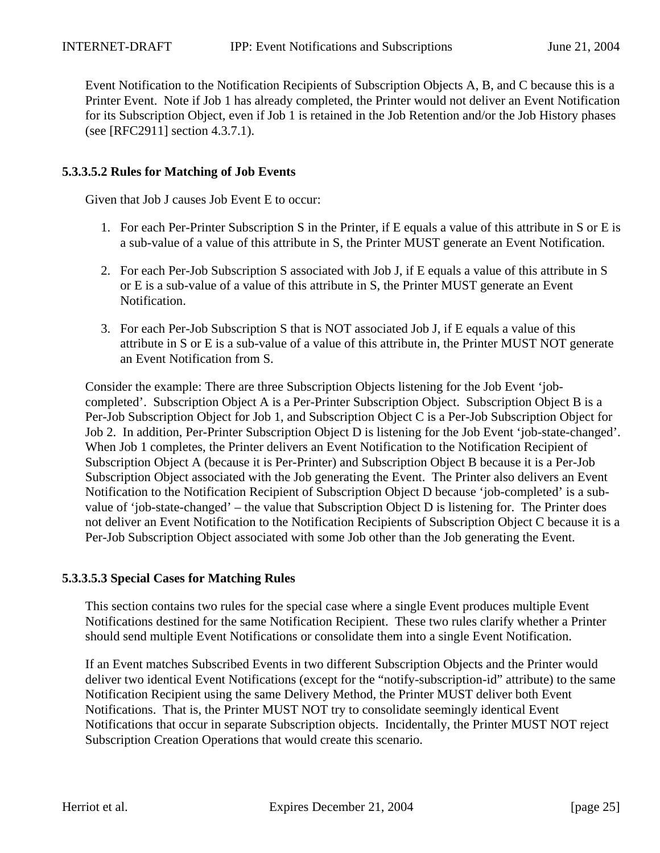Event Notification to the Notification Recipients of Subscription Objects A, B, and C because this is a Printer Event. Note if Job 1 has already completed, the Printer would not deliver an Event Notification for its Subscription Object, even if Job 1 is retained in the Job Retention and/or the Job History phases (see [RFC2911] section 4.3.7.1).

#### **5.3.3.5.2 Rules for Matching of Job Events**

Given that Job J causes Job Event E to occur:

- 1. For each Per-Printer Subscription S in the Printer, if E equals a value of this attribute in S or E is a sub-value of a value of this attribute in S, the Printer MUST generate an Event Notification.
- 2. For each Per-Job Subscription S associated with Job J, if E equals a value of this attribute in S or E is a sub-value of a value of this attribute in S, the Printer MUST generate an Event Notification.
- 3. For each Per-Job Subscription S that is NOT associated Job J, if E equals a value of this attribute in S or E is a sub-value of a value of this attribute in, the Printer MUST NOT generate an Event Notification from S.

Consider the example: There are three Subscription Objects listening for the Job Event 'jobcompleted'. Subscription Object A is a Per-Printer Subscription Object. Subscription Object B is a Per-Job Subscription Object for Job 1, and Subscription Object C is a Per-Job Subscription Object for Job 2. In addition, Per-Printer Subscription Object D is listening for the Job Event 'job-state-changed'. When Job 1 completes, the Printer delivers an Event Notification to the Notification Recipient of Subscription Object A (because it is Per-Printer) and Subscription Object B because it is a Per-Job Subscription Object associated with the Job generating the Event. The Printer also delivers an Event Notification to the Notification Recipient of Subscription Object D because 'job-completed' is a subvalue of 'job-state-changed' – the value that Subscription Object D is listening for. The Printer does not deliver an Event Notification to the Notification Recipients of Subscription Object C because it is a Per-Job Subscription Object associated with some Job other than the Job generating the Event.

#### **5.3.3.5.3 Special Cases for Matching Rules**

This section contains two rules for the special case where a single Event produces multiple Event Notifications destined for the same Notification Recipient. These two rules clarify whether a Printer should send multiple Event Notifications or consolidate them into a single Event Notification.

If an Event matches Subscribed Events in two different Subscription Objects and the Printer would deliver two identical Event Notifications (except for the "notify-subscription-id" attribute) to the same Notification Recipient using the same Delivery Method, the Printer MUST deliver both Event Notifications. That is, the Printer MUST NOT try to consolidate seemingly identical Event Notifications that occur in separate Subscription objects. Incidentally, the Printer MUST NOT reject Subscription Creation Operations that would create this scenario.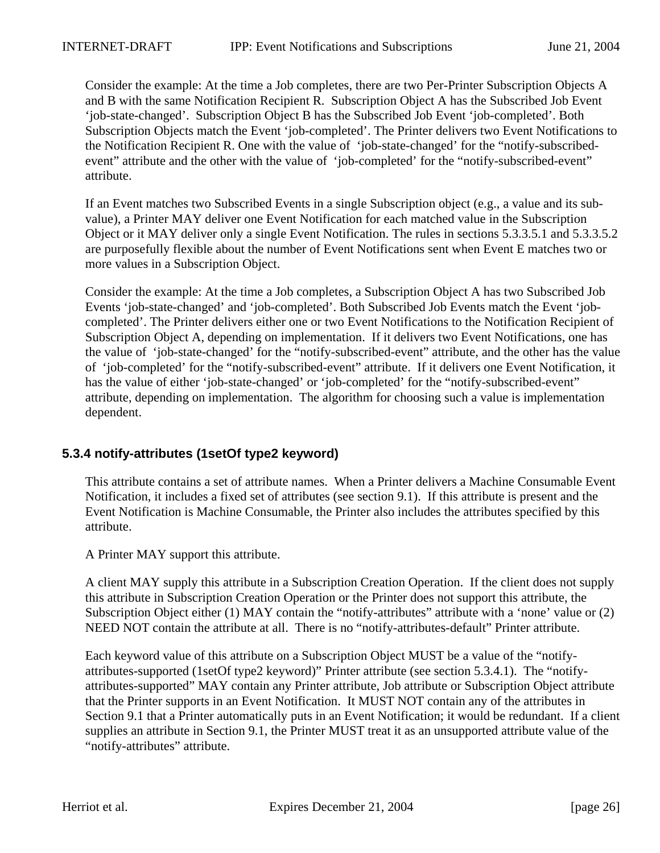Consider the example: At the time a Job completes, there are two Per-Printer Subscription Objects A and B with the same Notification Recipient R. Subscription Object A has the Subscribed Job Event 'job-state-changed'. Subscription Object B has the Subscribed Job Event 'job-completed'. Both Subscription Objects match the Event 'job-completed'. The Printer delivers two Event Notifications to the Notification Recipient R. One with the value of 'job-state-changed' for the "notify-subscribedevent" attribute and the other with the value of 'job-completed' for the "notify-subscribed-event" attribute.

If an Event matches two Subscribed Events in a single Subscription object (e.g., a value and its subvalue), a Printer MAY deliver one Event Notification for each matched value in the Subscription Object or it MAY deliver only a single Event Notification. The rules in sections 5.3.3.5.1 and 5.3.3.5.2 are purposefully flexible about the number of Event Notifications sent when Event E matches two or more values in a Subscription Object.

Consider the example: At the time a Job completes, a Subscription Object A has two Subscribed Job Events 'job-state-changed' and 'job-completed'. Both Subscribed Job Events match the Event 'jobcompleted'. The Printer delivers either one or two Event Notifications to the Notification Recipient of Subscription Object A, depending on implementation. If it delivers two Event Notifications, one has the value of 'job-state-changed' for the "notify-subscribed-event" attribute, and the other has the value of 'job-completed' for the "notify-subscribed-event" attribute. If it delivers one Event Notification, it has the value of either 'job-state-changed' or 'job-completed' for the "notify-subscribed-event" attribute, depending on implementation. The algorithm for choosing such a value is implementation dependent.

#### **5.3.4 notify-attributes (1setOf type2 keyword)**

This attribute contains a set of attribute names. When a Printer delivers a Machine Consumable Event Notification, it includes a fixed set of attributes (see section 9.1). If this attribute is present and the Event Notification is Machine Consumable, the Printer also includes the attributes specified by this attribute.

A Printer MAY support this attribute.

A client MAY supply this attribute in a Subscription Creation Operation. If the client does not supply this attribute in Subscription Creation Operation or the Printer does not support this attribute, the Subscription Object either (1) MAY contain the "notify-attributes" attribute with a 'none' value or (2) NEED NOT contain the attribute at all. There is no "notify-attributes-default" Printer attribute.

Each keyword value of this attribute on a Subscription Object MUST be a value of the "notifyattributes-supported (1setOf type2 keyword)" Printer attribute (see section 5.3.4.1). The "notifyattributes-supported" MAY contain any Printer attribute, Job attribute or Subscription Object attribute that the Printer supports in an Event Notification. It MUST NOT contain any of the attributes in Section 9.1 that a Printer automatically puts in an Event Notification; it would be redundant. If a client supplies an attribute in Section 9.1, the Printer MUST treat it as an unsupported attribute value of the "notify-attributes" attribute.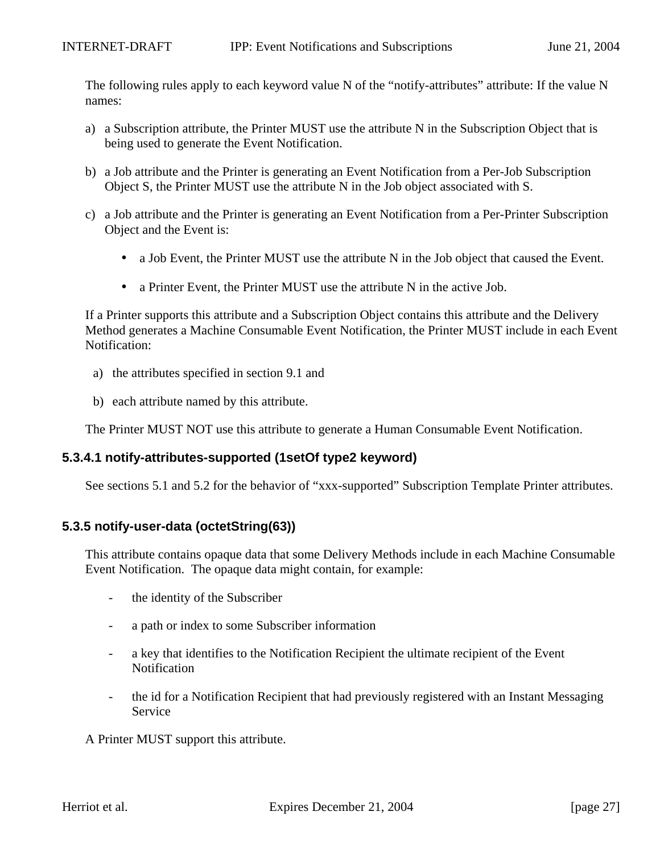The following rules apply to each keyword value N of the "notify-attributes" attribute: If the value N names:

- a) a Subscription attribute, the Printer MUST use the attribute N in the Subscription Object that is being used to generate the Event Notification.
- b) a Job attribute and the Printer is generating an Event Notification from a Per-Job Subscription Object S, the Printer MUST use the attribute N in the Job object associated with S.
- c) a Job attribute and the Printer is generating an Event Notification from a Per-Printer Subscription Object and the Event is:
	- a Job Event, the Printer MUST use the attribute N in the Job object that caused the Event.
	- a Printer Event, the Printer MUST use the attribute N in the active Job.

If a Printer supports this attribute and a Subscription Object contains this attribute and the Delivery Method generates a Machine Consumable Event Notification, the Printer MUST include in each Event Notification:

- a) the attributes specified in section 9.1 and
- b) each attribute named by this attribute.

The Printer MUST NOT use this attribute to generate a Human Consumable Event Notification.

#### **5.3.4.1 notify-attributes-supported (1setOf type2 keyword)**

See sections 5.1 and 5.2 for the behavior of "xxx-supported" Subscription Template Printer attributes.

#### **5.3.5 notify-user-data (octetString(63))**

This attribute contains opaque data that some Delivery Methods include in each Machine Consumable Event Notification. The opaque data might contain, for example:

- the identity of the Subscriber
- a path or index to some Subscriber information
- a key that identifies to the Notification Recipient the ultimate recipient of the Event **Notification**
- the id for a Notification Recipient that had previously registered with an Instant Messaging Service

A Printer MUST support this attribute.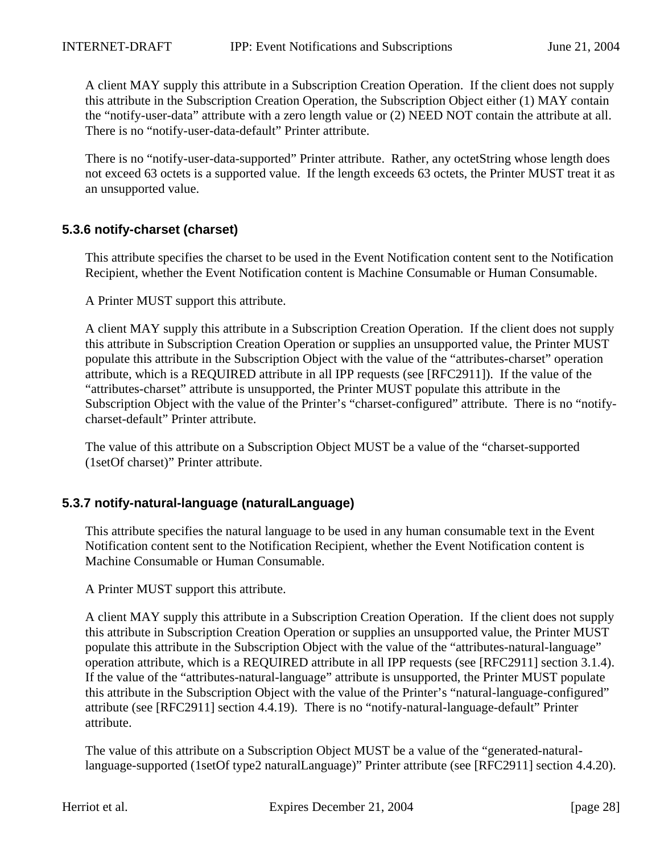A client MAY supply this attribute in a Subscription Creation Operation. If the client does not supply this attribute in the Subscription Creation Operation, the Subscription Object either (1) MAY contain the "notify-user-data" attribute with a zero length value or (2) NEED NOT contain the attribute at all. There is no "notify-user-data-default" Printer attribute.

There is no "notify-user-data-supported" Printer attribute. Rather, any octetString whose length does not exceed 63 octets is a supported value. If the length exceeds 63 octets, the Printer MUST treat it as an unsupported value.

## **5.3.6 notify-charset (charset)**

This attribute specifies the charset to be used in the Event Notification content sent to the Notification Recipient, whether the Event Notification content is Machine Consumable or Human Consumable.

A Printer MUST support this attribute.

A client MAY supply this attribute in a Subscription Creation Operation. If the client does not supply this attribute in Subscription Creation Operation or supplies an unsupported value, the Printer MUST populate this attribute in the Subscription Object with the value of the "attributes-charset" operation attribute, which is a REQUIRED attribute in all IPP requests (see [RFC2911]). If the value of the "attributes-charset" attribute is unsupported, the Printer MUST populate this attribute in the Subscription Object with the value of the Printer's "charset-configured" attribute. There is no "notifycharset-default" Printer attribute.

The value of this attribute on a Subscription Object MUST be a value of the "charset-supported (1setOf charset)" Printer attribute.

#### **5.3.7 notify-natural-language (naturalLanguage)**

This attribute specifies the natural language to be used in any human consumable text in the Event Notification content sent to the Notification Recipient, whether the Event Notification content is Machine Consumable or Human Consumable.

A Printer MUST support this attribute.

A client MAY supply this attribute in a Subscription Creation Operation. If the client does not supply this attribute in Subscription Creation Operation or supplies an unsupported value, the Printer MUST populate this attribute in the Subscription Object with the value of the "attributes-natural-language" operation attribute, which is a REQUIRED attribute in all IPP requests (see [RFC2911] section 3.1.4). If the value of the "attributes-natural-language" attribute is unsupported, the Printer MUST populate this attribute in the Subscription Object with the value of the Printer's "natural-language-configured" attribute (see [RFC2911] section 4.4.19). There is no "notify-natural-language-default" Printer attribute.

The value of this attribute on a Subscription Object MUST be a value of the "generated-naturallanguage-supported (1setOf type2 naturalLanguage)" Printer attribute (see [RFC2911] section 4.4.20).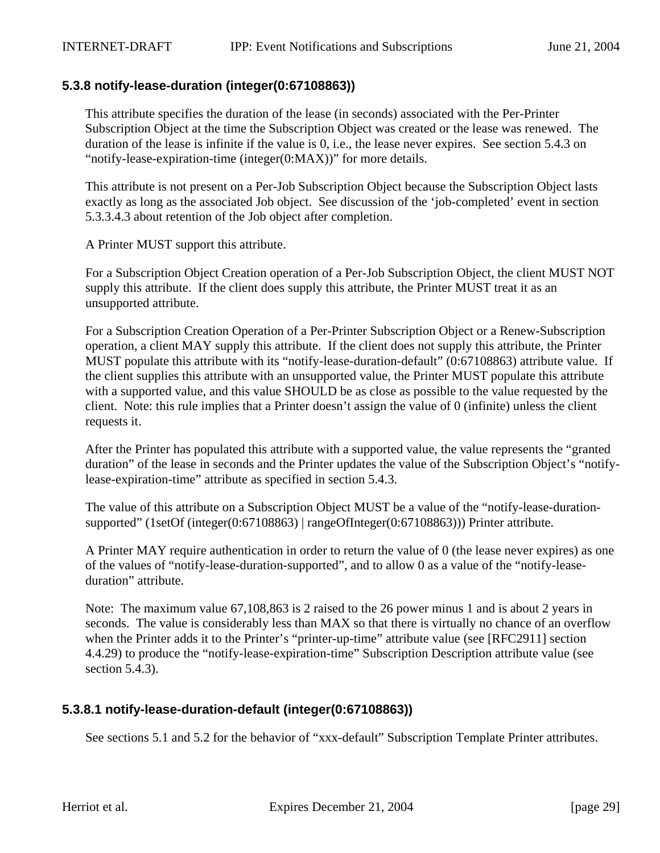#### **5.3.8 notify-lease-duration (integer(0:67108863))**

This attribute specifies the duration of the lease (in seconds) associated with the Per-Printer Subscription Object at the time the Subscription Object was created or the lease was renewed. The duration of the lease is infinite if the value is 0, i.e., the lease never expires. See section 5.4.3 on "notify-lease-expiration-time (integer(0:MAX))" for more details.

This attribute is not present on a Per-Job Subscription Object because the Subscription Object lasts exactly as long as the associated Job object. See discussion of the 'job-completed' event in section 5.3.3.4.3 about retention of the Job object after completion.

A Printer MUST support this attribute.

For a Subscription Object Creation operation of a Per-Job Subscription Object, the client MUST NOT supply this attribute. If the client does supply this attribute, the Printer MUST treat it as an unsupported attribute.

For a Subscription Creation Operation of a Per-Printer Subscription Object or a Renew-Subscription operation, a client MAY supply this attribute. If the client does not supply this attribute, the Printer MUST populate this attribute with its "notify-lease-duration-default" (0:67108863) attribute value. If the client supplies this attribute with an unsupported value, the Printer MUST populate this attribute with a supported value, and this value SHOULD be as close as possible to the value requested by the client. Note: this rule implies that a Printer doesn't assign the value of 0 (infinite) unless the client requests it.

After the Printer has populated this attribute with a supported value, the value represents the "granted duration" of the lease in seconds and the Printer updates the value of the Subscription Object's "notifylease-expiration-time" attribute as specified in section 5.4.3.

The value of this attribute on a Subscription Object MUST be a value of the "notify-lease-durationsupported" (1setOf (integer(0:67108863) | rangeOfInteger(0:67108863))) Printer attribute.

A Printer MAY require authentication in order to return the value of 0 (the lease never expires) as one of the values of "notify-lease-duration-supported", and to allow 0 as a value of the "notify-leaseduration" attribute.

Note: The maximum value 67,108,863 is 2 raised to the 26 power minus 1 and is about 2 years in seconds. The value is considerably less than MAX so that there is virtually no chance of an overflow when the Printer adds it to the Printer's "printer-up-time" attribute value (see [RFC2911] section 4.4.29) to produce the "notify-lease-expiration-time" Subscription Description attribute value (see section 5.4.3).

#### **5.3.8.1 notify-lease-duration-default (integer(0:67108863))**

See sections 5.1 and 5.2 for the behavior of "xxx-default" Subscription Template Printer attributes.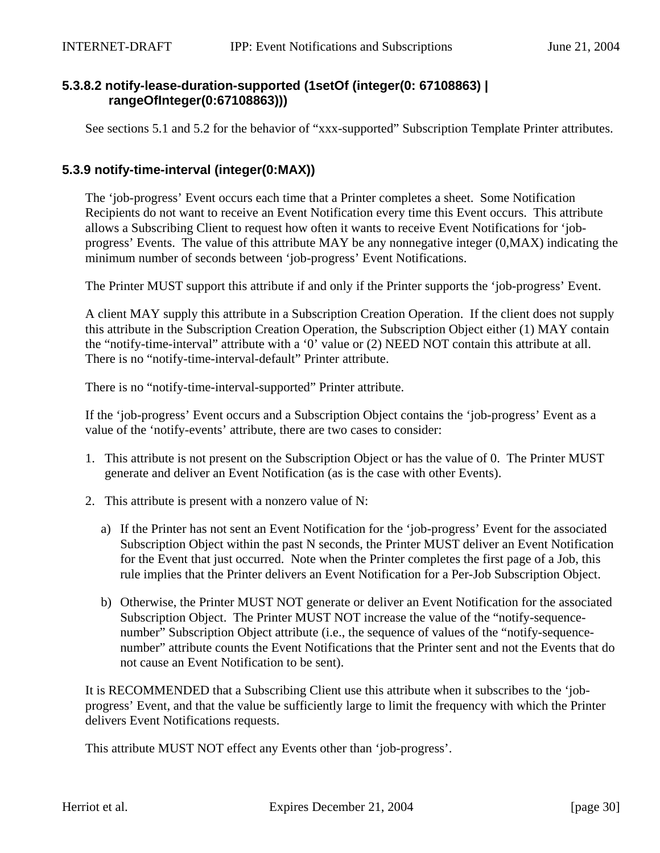## **5.3.8.2 notify-lease-duration-supported (1setOf (integer(0: 67108863) | rangeOfInteger(0:67108863)))**

See sections 5.1 and 5.2 for the behavior of "xxx-supported" Subscription Template Printer attributes.

#### **5.3.9 notify-time-interval (integer(0:MAX))**

The 'job-progress' Event occurs each time that a Printer completes a sheet. Some Notification Recipients do not want to receive an Event Notification every time this Event occurs. This attribute allows a Subscribing Client to request how often it wants to receive Event Notifications for 'jobprogress' Events. The value of this attribute MAY be any nonnegative integer (0,MAX) indicating the minimum number of seconds between 'job-progress' Event Notifications.

The Printer MUST support this attribute if and only if the Printer supports the 'job-progress' Event.

A client MAY supply this attribute in a Subscription Creation Operation. If the client does not supply this attribute in the Subscription Creation Operation, the Subscription Object either (1) MAY contain the "notify-time-interval" attribute with a '0' value or (2) NEED NOT contain this attribute at all. There is no "notify-time-interval-default" Printer attribute.

There is no "notify-time-interval-supported" Printer attribute.

If the 'job-progress' Event occurs and a Subscription Object contains the 'job-progress' Event as a value of the 'notify-events' attribute, there are two cases to consider:

- 1. This attribute is not present on the Subscription Object or has the value of 0. The Printer MUST generate and deliver an Event Notification (as is the case with other Events).
- 2. This attribute is present with a nonzero value of N:
	- a) If the Printer has not sent an Event Notification for the 'job-progress' Event for the associated Subscription Object within the past N seconds, the Printer MUST deliver an Event Notification for the Event that just occurred. Note when the Printer completes the first page of a Job, this rule implies that the Printer delivers an Event Notification for a Per-Job Subscription Object.
	- b) Otherwise, the Printer MUST NOT generate or deliver an Event Notification for the associated Subscription Object. The Printer MUST NOT increase the value of the "notify-sequencenumber" Subscription Object attribute (i.e., the sequence of values of the "notify-sequencenumber" attribute counts the Event Notifications that the Printer sent and not the Events that do not cause an Event Notification to be sent).

It is RECOMMENDED that a Subscribing Client use this attribute when it subscribes to the 'jobprogress' Event, and that the value be sufficiently large to limit the frequency with which the Printer delivers Event Notifications requests.

This attribute MUST NOT effect any Events other than 'job-progress'.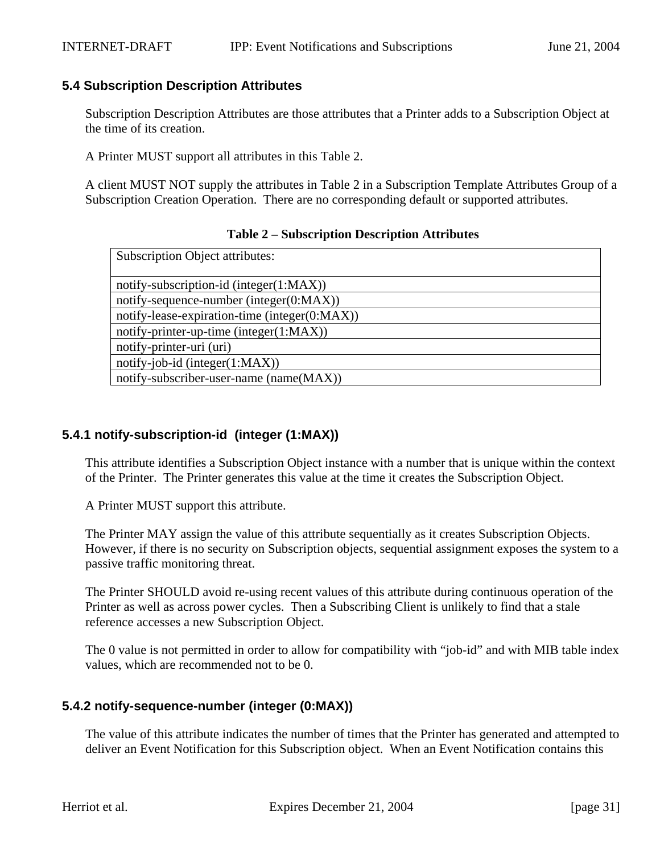## **5.4 Subscription Description Attributes**

Subscription Description Attributes are those attributes that a Printer adds to a Subscription Object at the time of its creation.

A Printer MUST support all attributes in this Table 2.

A client MUST NOT supply the attributes in Table 2 in a Subscription Template Attributes Group of a Subscription Creation Operation. There are no corresponding default or supported attributes.

#### **Table 2 – Subscription Description Attributes**

| <b>Subscription Object attributes:</b>        |
|-----------------------------------------------|
|                                               |
| notify-subscription-id (integer(1:MAX))       |
| notify-sequence-number (integer $(0:MAX)$ )   |
| notify-lease-expiration-time (integer(0:MAX)) |
| notify-printer-up-time (integer $(1:MAX)$ )   |
| notify-printer-uri (uri)                      |
| $notify-job-id (integer(1:MAX))$              |
| notify-subscriber-user-name (name(MAX))       |

## **5.4.1 notify-subscription-id (integer (1:MAX))**

This attribute identifies a Subscription Object instance with a number that is unique within the context of the Printer. The Printer generates this value at the time it creates the Subscription Object.

A Printer MUST support this attribute.

The Printer MAY assign the value of this attribute sequentially as it creates Subscription Objects. However, if there is no security on Subscription objects, sequential assignment exposes the system to a passive traffic monitoring threat.

The Printer SHOULD avoid re-using recent values of this attribute during continuous operation of the Printer as well as across power cycles. Then a Subscribing Client is unlikely to find that a stale reference accesses a new Subscription Object.

The 0 value is not permitted in order to allow for compatibility with "job-id" and with MIB table index values, which are recommended not to be 0.

## **5.4.2 notify-sequence-number (integer (0:MAX))**

The value of this attribute indicates the number of times that the Printer has generated and attempted to deliver an Event Notification for this Subscription object. When an Event Notification contains this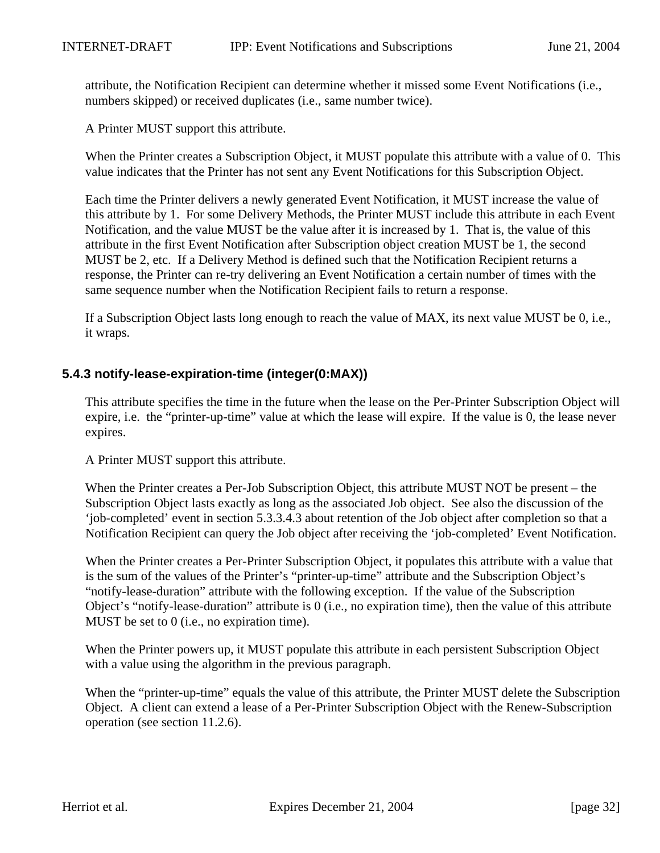attribute, the Notification Recipient can determine whether it missed some Event Notifications (i.e., numbers skipped) or received duplicates (i.e., same number twice).

A Printer MUST support this attribute.

When the Printer creates a Subscription Object, it MUST populate this attribute with a value of 0. This value indicates that the Printer has not sent any Event Notifications for this Subscription Object.

Each time the Printer delivers a newly generated Event Notification, it MUST increase the value of this attribute by 1. For some Delivery Methods, the Printer MUST include this attribute in each Event Notification, and the value MUST be the value after it is increased by 1. That is, the value of this attribute in the first Event Notification after Subscription object creation MUST be 1, the second MUST be 2, etc. If a Delivery Method is defined such that the Notification Recipient returns a response, the Printer can re-try delivering an Event Notification a certain number of times with the same sequence number when the Notification Recipient fails to return a response.

If a Subscription Object lasts long enough to reach the value of MAX, its next value MUST be 0, i.e., it wraps.

## **5.4.3 notify-lease-expiration-time (integer(0:MAX))**

This attribute specifies the time in the future when the lease on the Per-Printer Subscription Object will expire, i.e. the "printer-up-time" value at which the lease will expire. If the value is 0, the lease never expires.

A Printer MUST support this attribute.

When the Printer creates a Per-Job Subscription Object, this attribute MUST NOT be present – the Subscription Object lasts exactly as long as the associated Job object. See also the discussion of the 'job-completed' event in section 5.3.3.4.3 about retention of the Job object after completion so that a Notification Recipient can query the Job object after receiving the 'job-completed' Event Notification.

When the Printer creates a Per-Printer Subscription Object, it populates this attribute with a value that is the sum of the values of the Printer's "printer-up-time" attribute and the Subscription Object's "notify-lease-duration" attribute with the following exception. If the value of the Subscription Object's "notify-lease-duration" attribute is 0 (i.e., no expiration time), then the value of this attribute MUST be set to 0 (i.e., no expiration time).

When the Printer powers up, it MUST populate this attribute in each persistent Subscription Object with a value using the algorithm in the previous paragraph.

When the "printer-up-time" equals the value of this attribute, the Printer MUST delete the Subscription Object. A client can extend a lease of a Per-Printer Subscription Object with the Renew-Subscription operation (see section 11.2.6).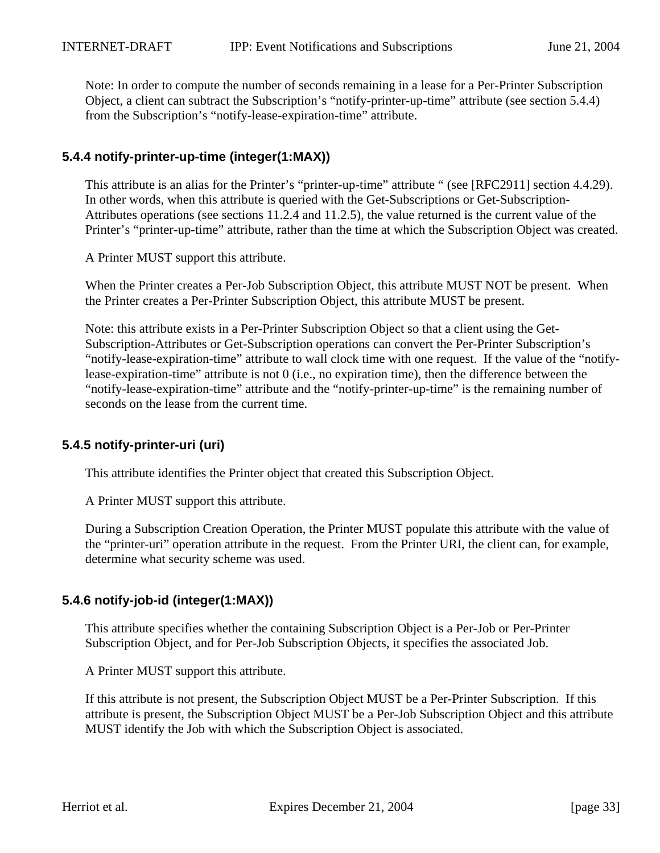Note: In order to compute the number of seconds remaining in a lease for a Per-Printer Subscription Object, a client can subtract the Subscription's "notify-printer-up-time" attribute (see section 5.4.4) from the Subscription's "notify-lease-expiration-time" attribute.

## **5.4.4 notify-printer-up-time (integer(1:MAX))**

This attribute is an alias for the Printer's "printer-up-time" attribute " (see [RFC2911] section 4.4.29). In other words, when this attribute is queried with the Get-Subscriptions or Get-Subscription-Attributes operations (see sections 11.2.4 and 11.2.5), the value returned is the current value of the Printer's "printer-up-time" attribute, rather than the time at which the Subscription Object was created.

A Printer MUST support this attribute.

When the Printer creates a Per-Job Subscription Object, this attribute MUST NOT be present. When the Printer creates a Per-Printer Subscription Object, this attribute MUST be present.

Note: this attribute exists in a Per-Printer Subscription Object so that a client using the Get-Subscription-Attributes or Get-Subscription operations can convert the Per-Printer Subscription's "notify-lease-expiration-time" attribute to wall clock time with one request. If the value of the "notifylease-expiration-time" attribute is not 0 (i.e., no expiration time), then the difference between the "notify-lease-expiration-time" attribute and the "notify-printer-up-time" is the remaining number of seconds on the lease from the current time.

## **5.4.5 notify-printer-uri (uri)**

This attribute identifies the Printer object that created this Subscription Object.

A Printer MUST support this attribute.

During a Subscription Creation Operation, the Printer MUST populate this attribute with the value of the "printer-uri" operation attribute in the request. From the Printer URI, the client can, for example, determine what security scheme was used.

## **5.4.6 notify-job-id (integer(1:MAX))**

This attribute specifies whether the containing Subscription Object is a Per-Job or Per-Printer Subscription Object, and for Per-Job Subscription Objects, it specifies the associated Job.

A Printer MUST support this attribute.

If this attribute is not present, the Subscription Object MUST be a Per-Printer Subscription. If this attribute is present, the Subscription Object MUST be a Per-Job Subscription Object and this attribute MUST identify the Job with which the Subscription Object is associated.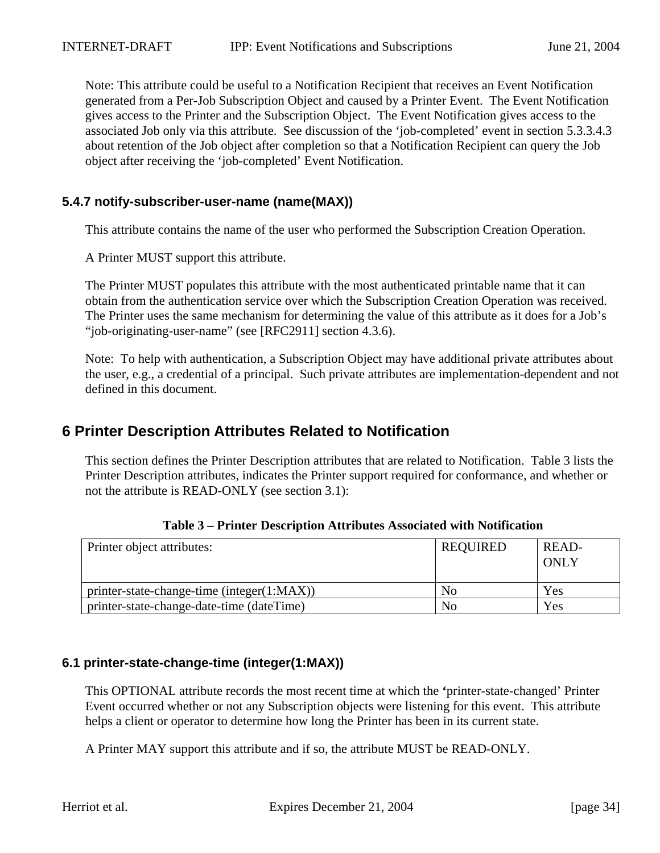Note: This attribute could be useful to a Notification Recipient that receives an Event Notification generated from a Per-Job Subscription Object and caused by a Printer Event. The Event Notification gives access to the Printer and the Subscription Object. The Event Notification gives access to the associated Job only via this attribute. See discussion of the 'job-completed' event in section 5.3.3.4.3 about retention of the Job object after completion so that a Notification Recipient can query the Job object after receiving the 'job-completed' Event Notification.

### **5.4.7 notify-subscriber-user-name (name(MAX))**

This attribute contains the name of the user who performed the Subscription Creation Operation.

A Printer MUST support this attribute.

The Printer MUST populates this attribute with the most authenticated printable name that it can obtain from the authentication service over which the Subscription Creation Operation was received. The Printer uses the same mechanism for determining the value of this attribute as it does for a Job's "job-originating-user-name" (see [RFC2911] section 4.3.6).

Note: To help with authentication, a Subscription Object may have additional private attributes about the user, e.g., a credential of a principal. Such private attributes are implementation-dependent and not defined in this document.

# **6 Printer Description Attributes Related to Notification**

This section defines the Printer Description attributes that are related to Notification. Table 3 lists the Printer Description attributes, indicates the Printer support required for conformance, and whether or not the attribute is READ-ONLY (see section 3.1):

| Printer object attributes:                   | REQUIRED       | READ-<br>ONLY |
|----------------------------------------------|----------------|---------------|
| $printer-state-change-time (integer(1:MAX))$ | N <sub>0</sub> | Yes           |
| printer-state-change-date-time (dateTime)    | N <sub>0</sub> | Yes           |

**Table 3 – Printer Description Attributes Associated with Notification**

#### **6.1 printer-state-change-time (integer(1:MAX))**

This OPTIONAL attribute records the most recent time at which the **'**printer-state-changed' Printer Event occurred whether or not any Subscription objects were listening for this event. This attribute helps a client or operator to determine how long the Printer has been in its current state.

A Printer MAY support this attribute and if so, the attribute MUST be READ-ONLY.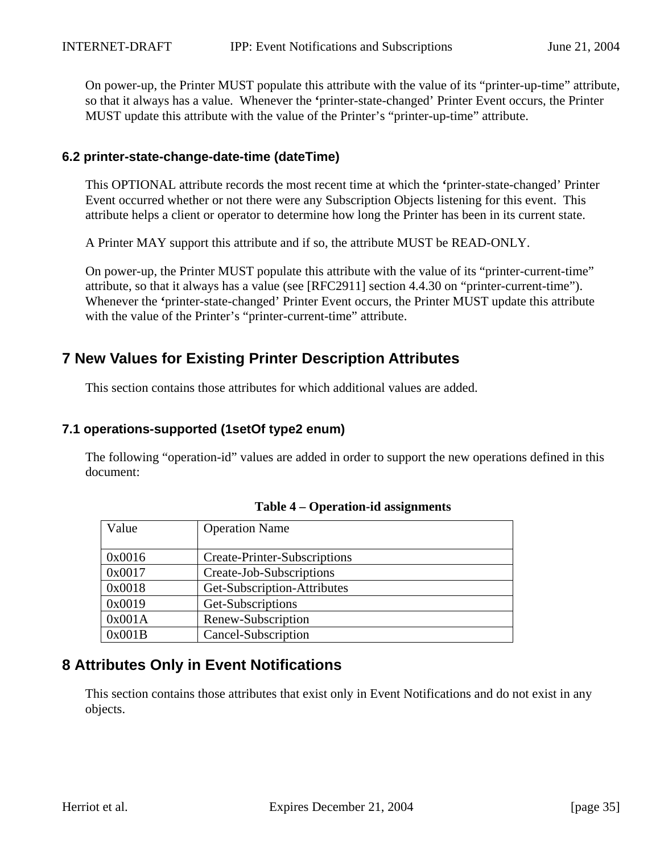On power-up, the Printer MUST populate this attribute with the value of its "printer-up-time" attribute, so that it always has a value. Whenever the **'**printer-state-changed' Printer Event occurs, the Printer MUST update this attribute with the value of the Printer's "printer-up-time" attribute.

#### **6.2 printer-state-change-date-time (dateTime)**

This OPTIONAL attribute records the most recent time at which the **'**printer-state-changed' Printer Event occurred whether or not there were any Subscription Objects listening for this event. This attribute helps a client or operator to determine how long the Printer has been in its current state.

A Printer MAY support this attribute and if so, the attribute MUST be READ-ONLY.

On power-up, the Printer MUST populate this attribute with the value of its "printer-current-time" attribute, so that it always has a value (see [RFC2911] section 4.4.30 on "printer-current-time"). Whenever the **'**printer-state-changed' Printer Event occurs, the Printer MUST update this attribute with the value of the Printer's "printer-current-time" attribute.

## **7 New Values for Existing Printer Description Attributes**

This section contains those attributes for which additional values are added.

#### **7.1 operations-supported (1setOf type2 enum)**

The following "operation-id" values are added in order to support the new operations defined in this document:

| Value  | <b>Operation Name</b>               |
|--------|-------------------------------------|
|        |                                     |
| 0x0016 | <b>Create-Printer-Subscriptions</b> |
| 0x0017 | Create-Job-Subscriptions            |
| 0x0018 | Get-Subscription-Attributes         |
| 0x0019 | Get-Subscriptions                   |
| 0x001A | Renew-Subscription                  |
| 0x001B | Cancel-Subscription                 |

|  |  | Table 4 – Operation-id assignments |
|--|--|------------------------------------|
|--|--|------------------------------------|

# **8 Attributes Only in Event Notifications**

This section contains those attributes that exist only in Event Notifications and do not exist in any objects.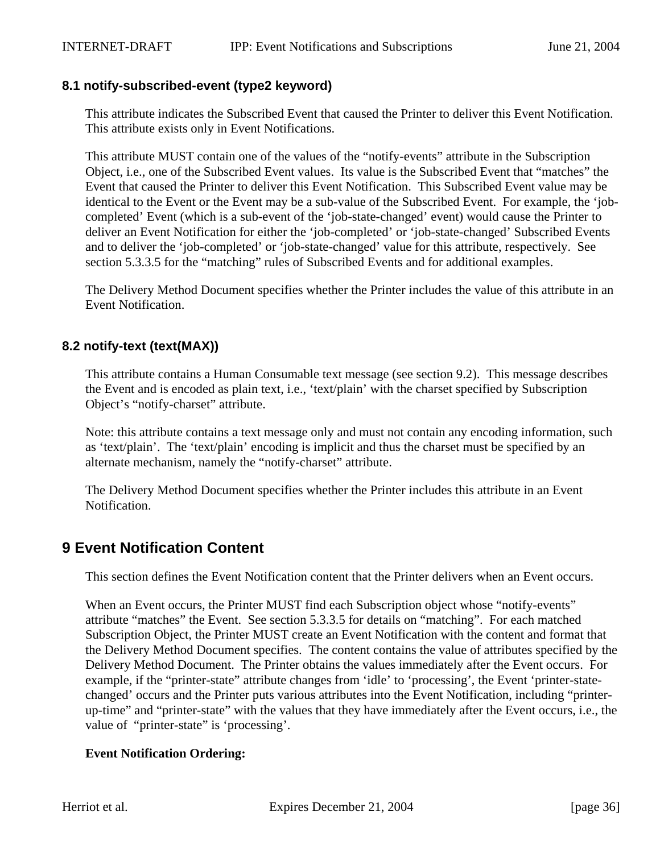#### **8.1 notify-subscribed-event (type2 keyword)**

This attribute indicates the Subscribed Event that caused the Printer to deliver this Event Notification. This attribute exists only in Event Notifications.

This attribute MUST contain one of the values of the "notify-events" attribute in the Subscription Object, i.e., one of the Subscribed Event values. Its value is the Subscribed Event that "matches" the Event that caused the Printer to deliver this Event Notification. This Subscribed Event value may be identical to the Event or the Event may be a sub-value of the Subscribed Event. For example, the 'jobcompleted' Event (which is a sub-event of the 'job-state-changed' event) would cause the Printer to deliver an Event Notification for either the 'job-completed' or 'job-state-changed' Subscribed Events and to deliver the 'job-completed' or 'job-state-changed' value for this attribute, respectively. See section 5.3.3.5 for the "matching" rules of Subscribed Events and for additional examples.

The Delivery Method Document specifies whether the Printer includes the value of this attribute in an Event Notification.

## **8.2 notify-text (text(MAX))**

This attribute contains a Human Consumable text message (see section 9.2). This message describes the Event and is encoded as plain text, i.e., 'text/plain' with the charset specified by Subscription Object's "notify-charset" attribute.

Note: this attribute contains a text message only and must not contain any encoding information, such as 'text/plain'. The 'text/plain' encoding is implicit and thus the charset must be specified by an alternate mechanism, namely the "notify-charset" attribute.

The Delivery Method Document specifies whether the Printer includes this attribute in an Event Notification.

## **9 Event Notification Content**

This section defines the Event Notification content that the Printer delivers when an Event occurs.

When an Event occurs, the Printer MUST find each Subscription object whose "notify-events" attribute "matches" the Event. See section 5.3.3.5 for details on "matching". For each matched Subscription Object, the Printer MUST create an Event Notification with the content and format that the Delivery Method Document specifies. The content contains the value of attributes specified by the Delivery Method Document. The Printer obtains the values immediately after the Event occurs. For example, if the "printer-state" attribute changes from 'idle' to 'processing', the Event 'printer-statechanged' occurs and the Printer puts various attributes into the Event Notification, including "printerup-time" and "printer-state" with the values that they have immediately after the Event occurs, i.e., the value of "printer-state" is 'processing'.

#### **Event Notification Ordering:**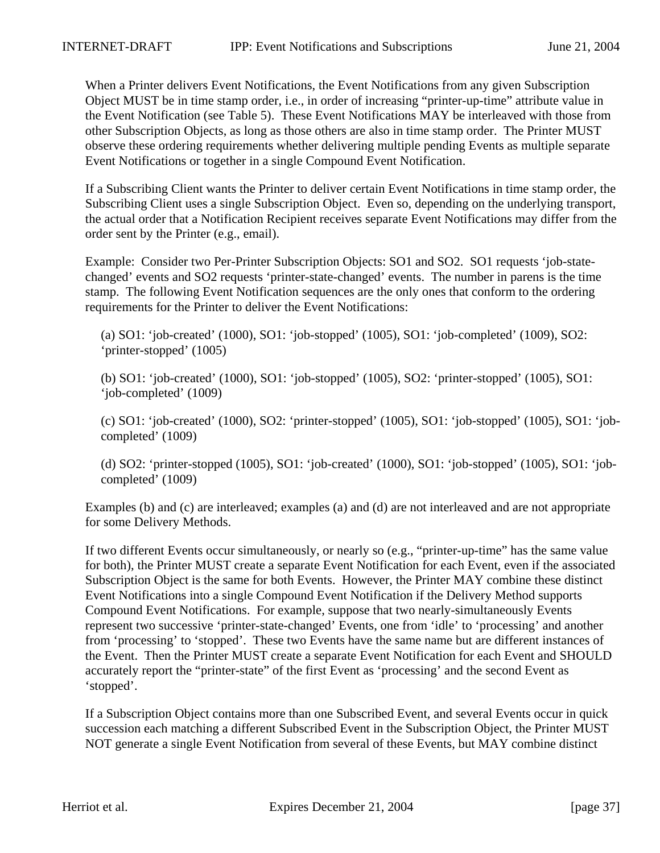When a Printer delivers Event Notifications, the Event Notifications from any given Subscription Object MUST be in time stamp order, i.e., in order of increasing "printer-up-time" attribute value in the Event Notification (see Table 5). These Event Notifications MAY be interleaved with those from other Subscription Objects, as long as those others are also in time stamp order. The Printer MUST observe these ordering requirements whether delivering multiple pending Events as multiple separate Event Notifications or together in a single Compound Event Notification.

If a Subscribing Client wants the Printer to deliver certain Event Notifications in time stamp order, the Subscribing Client uses a single Subscription Object. Even so, depending on the underlying transport, the actual order that a Notification Recipient receives separate Event Notifications may differ from the order sent by the Printer (e.g., email).

Example: Consider two Per-Printer Subscription Objects: SO1 and SO2. SO1 requests 'job-statechanged' events and SO2 requests 'printer-state-changed' events. The number in parens is the time stamp. The following Event Notification sequences are the only ones that conform to the ordering requirements for the Printer to deliver the Event Notifications:

(a) SO1: 'job-created' (1000), SO1: 'job-stopped' (1005), SO1: 'job-completed' (1009), SO2: 'printer-stopped' (1005)

(b) SO1: 'job-created' (1000), SO1: 'job-stopped' (1005), SO2: 'printer-stopped' (1005), SO1: 'job-completed' (1009)

(c) SO1: 'job-created' (1000), SO2: 'printer-stopped' (1005), SO1: 'job-stopped' (1005), SO1: 'jobcompleted' (1009)

(d) SO2: 'printer-stopped (1005), SO1: 'job-created' (1000), SO1: 'job-stopped' (1005), SO1: 'jobcompleted' (1009)

Examples (b) and (c) are interleaved; examples (a) and (d) are not interleaved and are not appropriate for some Delivery Methods.

If two different Events occur simultaneously, or nearly so (e.g., "printer-up-time" has the same value for both), the Printer MUST create a separate Event Notification for each Event, even if the associated Subscription Object is the same for both Events. However, the Printer MAY combine these distinct Event Notifications into a single Compound Event Notification if the Delivery Method supports Compound Event Notifications. For example, suppose that two nearly-simultaneously Events represent two successive 'printer-state-changed' Events, one from 'idle' to 'processing' and another from 'processing' to 'stopped'. These two Events have the same name but are different instances of the Event. Then the Printer MUST create a separate Event Notification for each Event and SHOULD accurately report the "printer-state" of the first Event as 'processing' and the second Event as 'stopped'.

If a Subscription Object contains more than one Subscribed Event, and several Events occur in quick succession each matching a different Subscribed Event in the Subscription Object, the Printer MUST NOT generate a single Event Notification from several of these Events, but MAY combine distinct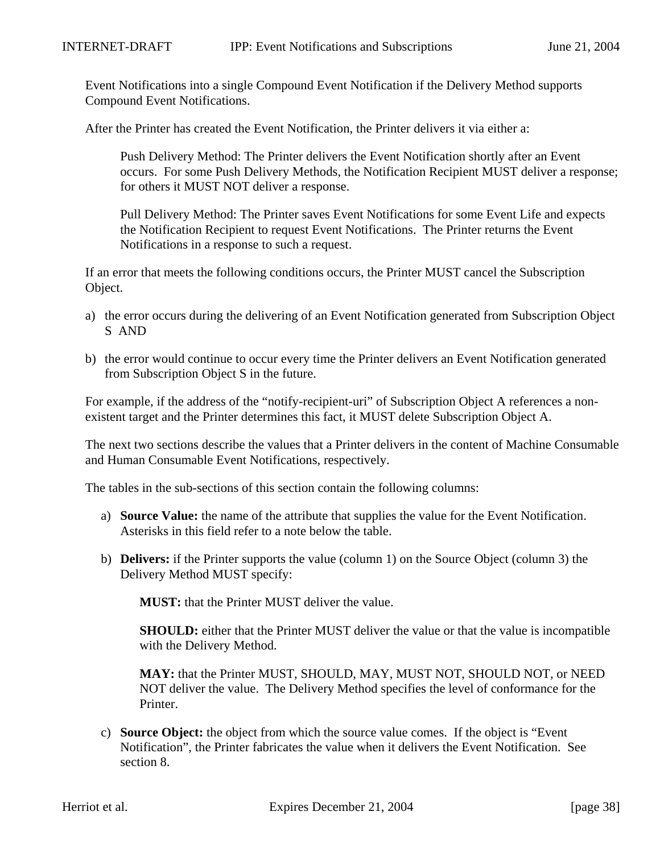Event Notifications into a single Compound Event Notification if the Delivery Method supports Compound Event Notifications.

After the Printer has created the Event Notification, the Printer delivers it via either a:

Push Delivery Method: The Printer delivers the Event Notification shortly after an Event occurs. For some Push Delivery Methods, the Notification Recipient MUST deliver a response; for others it MUST NOT deliver a response.

Pull Delivery Method: The Printer saves Event Notifications for some Event Life and expects the Notification Recipient to request Event Notifications. The Printer returns the Event Notifications in a response to such a request.

If an error that meets the following conditions occurs, the Printer MUST cancel the Subscription Object.

- a) the error occurs during the delivering of an Event Notification generated from Subscription Object S AND
- b) the error would continue to occur every time the Printer delivers an Event Notification generated from Subscription Object S in the future.

For example, if the address of the "notify-recipient-uri" of Subscription Object A references a nonexistent target and the Printer determines this fact, it MUST delete Subscription Object A.

The next two sections describe the values that a Printer delivers in the content of Machine Consumable and Human Consumable Event Notifications, respectively.

The tables in the sub-sections of this section contain the following columns:

- a) **Source Value:** the name of the attribute that supplies the value for the Event Notification. Asterisks in this field refer to a note below the table.
- b) **Delivers:** if the Printer supports the value (column 1) on the Source Object (column 3) the Delivery Method MUST specify:

**MUST:** that the Printer MUST deliver the value.

**SHOULD:** either that the Printer MUST deliver the value or that the value is incompatible with the Delivery Method.

**MAY:** that the Printer MUST, SHOULD, MAY, MUST NOT, SHOULD NOT, or NEED NOT deliver the value. The Delivery Method specifies the level of conformance for the Printer.

c) **Source Object:** the object from which the source value comes. If the object is "Event Notification", the Printer fabricates the value when it delivers the Event Notification. See section 8.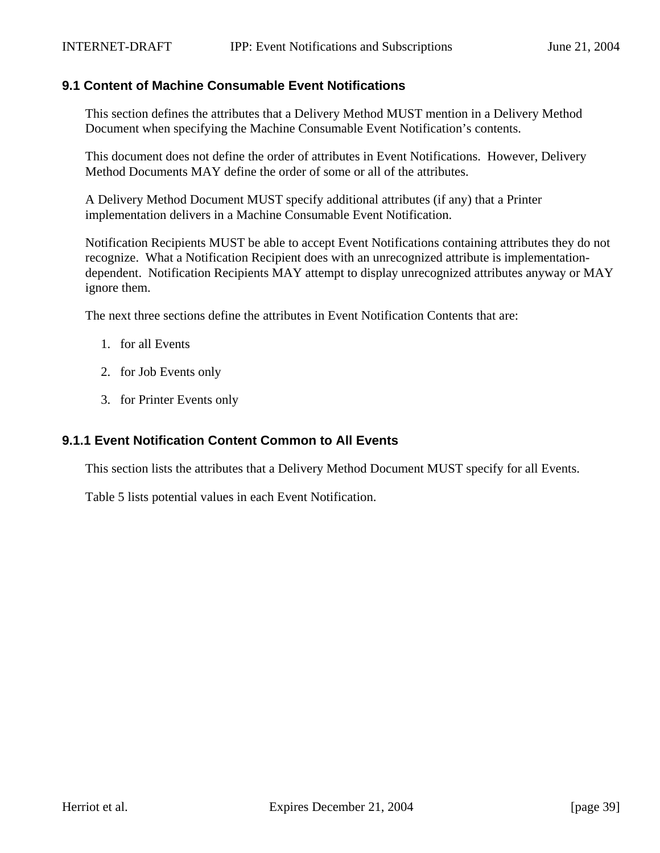# **9.1 Content of Machine Consumable Event Notifications**

This section defines the attributes that a Delivery Method MUST mention in a Delivery Method Document when specifying the Machine Consumable Event Notification's contents.

This document does not define the order of attributes in Event Notifications. However, Delivery Method Documents MAY define the order of some or all of the attributes.

A Delivery Method Document MUST specify additional attributes (if any) that a Printer implementation delivers in a Machine Consumable Event Notification.

Notification Recipients MUST be able to accept Event Notifications containing attributes they do not recognize. What a Notification Recipient does with an unrecognized attribute is implementationdependent. Notification Recipients MAY attempt to display unrecognized attributes anyway or MAY ignore them.

The next three sections define the attributes in Event Notification Contents that are:

- 1. for all Events
- 2. for Job Events only
- 3. for Printer Events only

#### **9.1.1 Event Notification Content Common to All Events**

This section lists the attributes that a Delivery Method Document MUST specify for all Events.

Table 5 lists potential values in each Event Notification.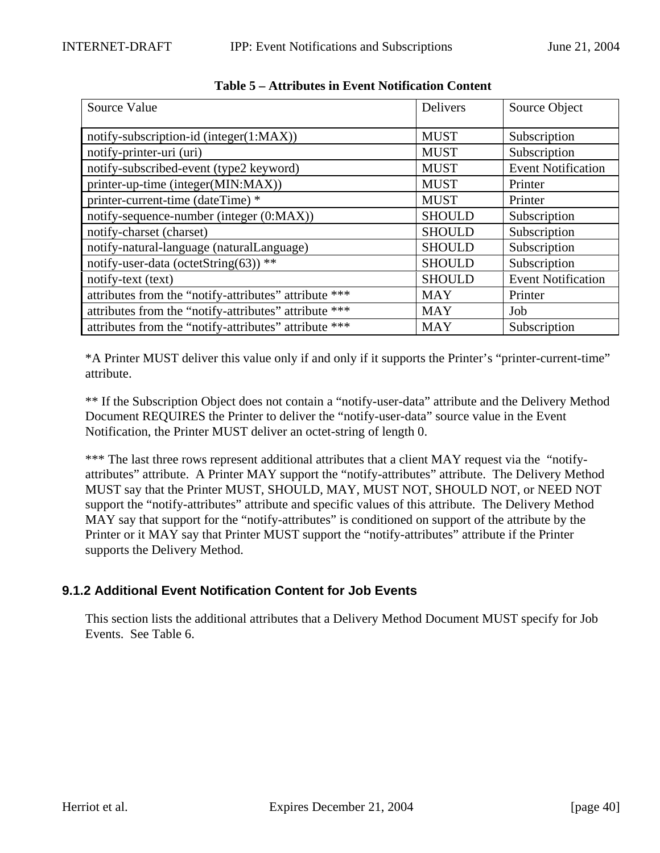| Source Value                                          | <b>Delivers</b> | Source Object             |
|-------------------------------------------------------|-----------------|---------------------------|
| notify-subscription-id (integer(1:MAX))               | <b>MUST</b>     | Subscription              |
| notify-printer-uri (uri)                              | <b>MUST</b>     | Subscription              |
| notify-subscribed-event (type2 keyword)               | <b>MUST</b>     | <b>Event Notification</b> |
| printer-up-time (integer(MIN:MAX))                    | <b>MUST</b>     | Printer                   |
| printer-current-time (dateTime) *                     | <b>MUST</b>     | Printer                   |
| notify-sequence-number (integer (0:MAX))              | <b>SHOULD</b>   | Subscription              |
| notify-charset (charset)                              | <b>SHOULD</b>   | Subscription              |
| notify-natural-language (naturalLanguage)             | <b>SHOULD</b>   | Subscription              |
| notify-user-data (octetString(63)) **                 | <b>SHOULD</b>   | Subscription              |
| notify-text (text)                                    | <b>SHOULD</b>   | <b>Event Notification</b> |
| attributes from the "notify-attributes" attribute *** | <b>MAY</b>      | Printer                   |
| attributes from the "notify-attributes" attribute *** | <b>MAY</b>      | Job                       |
| attributes from the "notify-attributes" attribute *** | <b>MAY</b>      | Subscription              |

|  |  | <b>Table 5 – Attributes in Event Notification Content</b> |  |
|--|--|-----------------------------------------------------------|--|
|  |  |                                                           |  |

\*A Printer MUST deliver this value only if and only if it supports the Printer's "printer-current-time" attribute.

\*\* If the Subscription Object does not contain a "notify-user-data" attribute and the Delivery Method Document REQUIRES the Printer to deliver the "notify-user-data" source value in the Event Notification, the Printer MUST deliver an octet-string of length 0.

\*\*\* The last three rows represent additional attributes that a client MAY request via the "notifyattributes" attribute. A Printer MAY support the "notify-attributes" attribute. The Delivery Method MUST say that the Printer MUST, SHOULD, MAY, MUST NOT, SHOULD NOT, or NEED NOT support the "notify-attributes" attribute and specific values of this attribute. The Delivery Method MAY say that support for the "notify-attributes" is conditioned on support of the attribute by the Printer or it MAY say that Printer MUST support the "notify-attributes" attribute if the Printer supports the Delivery Method.

# **9.1.2 Additional Event Notification Content for Job Events**

This section lists the additional attributes that a Delivery Method Document MUST specify for Job Events. See Table 6.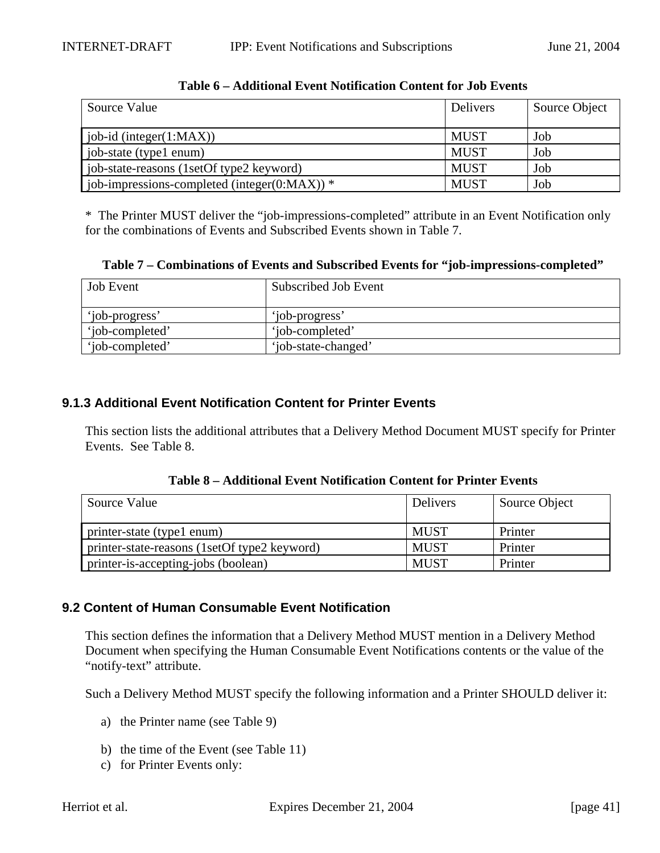| Source Value                                     | Delivers    | Source Object |
|--------------------------------------------------|-------------|---------------|
|                                                  |             |               |
| job-id (integer $(1:MAX)$ )                      | <b>MUST</b> | Job           |
| job-state (type1 enum)                           | <b>MUST</b> | Job           |
| job-state-reasons (1setOf type2 keyword)         | <b>MUST</b> | Job           |
| job-impressions-completed (integer( $0:MAX$ )) * | <b>MUST</b> | Job           |

#### **Table 6 – Additional Event Notification Content for Job Events**

\* The Printer MUST deliver the "job-impressions-completed" attribute in an Event Notification only for the combinations of Events and Subscribed Events shown in Table 7.

**Table 7 – Combinations of Events and Subscribed Events for "job-impressions-completed"**

| <b>Job</b> Event | Subscribed Job Event |
|------------------|----------------------|
| 'iob-progress'   | 'job-progress'       |
| 'iob-completed'  | 'iob-completed'      |
| 'iob-completed'  | 'job-state-changed'  |

# **9.1.3 Additional Event Notification Content for Printer Events**

This section lists the additional attributes that a Delivery Method Document MUST specify for Printer Events. See Table 8.

|  |  | Table 8 – Additional Event Notification Content for Printer Events |
|--|--|--------------------------------------------------------------------|
|--|--|--------------------------------------------------------------------|

| Source Value                                 | <b>Delivers</b> | Source Object |
|----------------------------------------------|-----------------|---------------|
| printer-state (type1 enum)                   | <b>MUST</b>     | Printer       |
| printer-state-reasons (1setOf type2 keyword) | <b>MUST</b>     | Printer       |
| printer-is-accepting-jobs (boolean)          | <b>MUST</b>     | Printer       |

# **9.2 Content of Human Consumable Event Notification**

This section defines the information that a Delivery Method MUST mention in a Delivery Method Document when specifying the Human Consumable Event Notifications contents or the value of the "notify-text" attribute.

Such a Delivery Method MUST specify the following information and a Printer SHOULD deliver it:

- a) the Printer name (see Table 9)
- b) the time of the Event (see Table 11)
- c) for Printer Events only: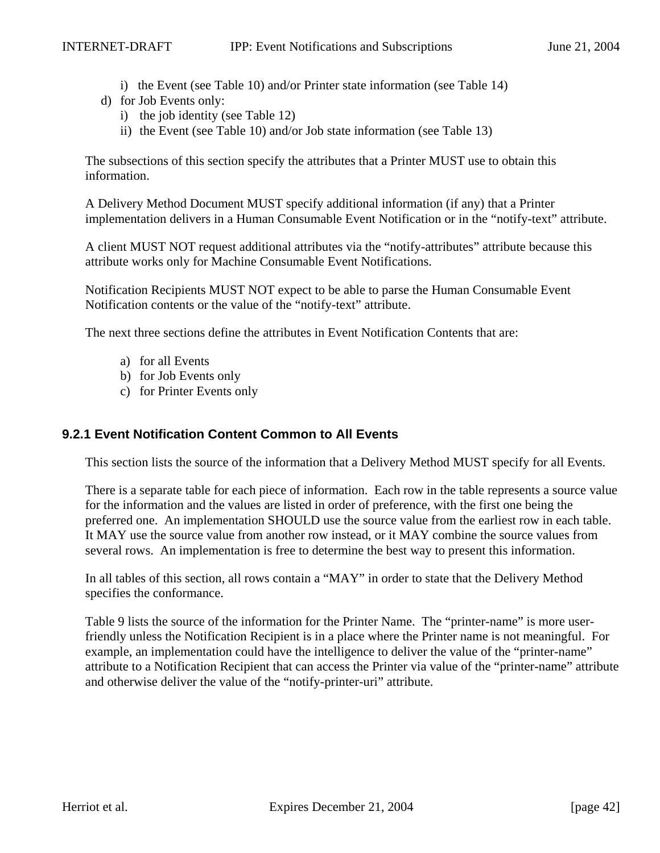- i) the Event (see Table 10) and/or Printer state information (see Table 14)
- d) for Job Events only:
	- i) the job identity (see Table 12)
	- ii) the Event (see Table 10) and/or Job state information (see Table 13)

The subsections of this section specify the attributes that a Printer MUST use to obtain this information.

A Delivery Method Document MUST specify additional information (if any) that a Printer implementation delivers in a Human Consumable Event Notification or in the "notify-text" attribute.

A client MUST NOT request additional attributes via the "notify-attributes" attribute because this attribute works only for Machine Consumable Event Notifications.

Notification Recipients MUST NOT expect to be able to parse the Human Consumable Event Notification contents or the value of the "notify-text" attribute.

The next three sections define the attributes in Event Notification Contents that are:

- a) for all Events
- b) for Job Events only
- c) for Printer Events only

# **9.2.1 Event Notification Content Common to All Events**

This section lists the source of the information that a Delivery Method MUST specify for all Events.

There is a separate table for each piece of information. Each row in the table represents a source value for the information and the values are listed in order of preference, with the first one being the preferred one. An implementation SHOULD use the source value from the earliest row in each table. It MAY use the source value from another row instead, or it MAY combine the source values from several rows. An implementation is free to determine the best way to present this information.

In all tables of this section, all rows contain a "MAY" in order to state that the Delivery Method specifies the conformance.

Table 9 lists the source of the information for the Printer Name. The "printer-name" is more userfriendly unless the Notification Recipient is in a place where the Printer name is not meaningful. For example, an implementation could have the intelligence to deliver the value of the "printer-name" attribute to a Notification Recipient that can access the Printer via value of the "printer-name" attribute and otherwise deliver the value of the "notify-printer-uri" attribute.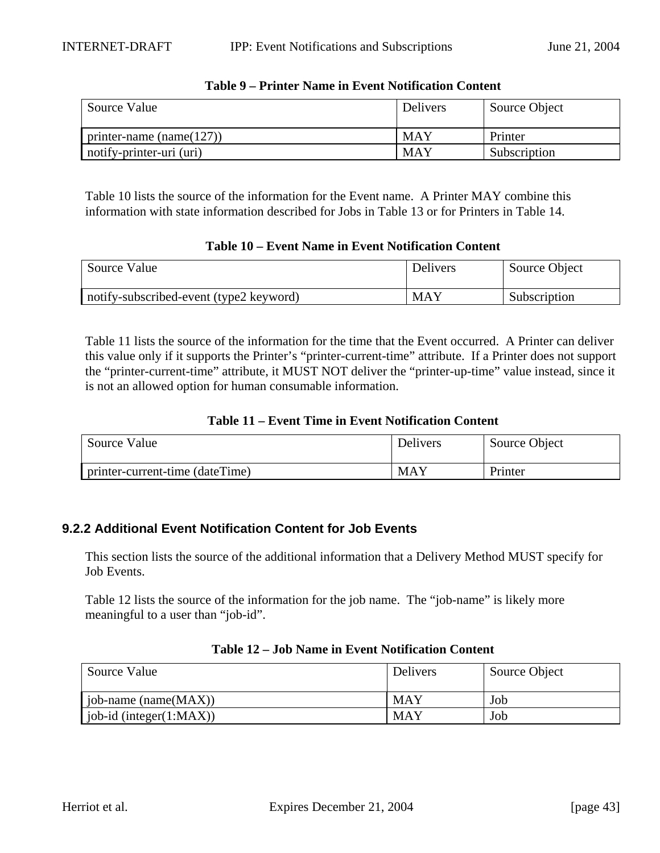| Source Value                 | <b>Delivers</b> | Source Object |
|------------------------------|-----------------|---------------|
| printer-name (name $(127)$ ) | <b>MAY</b>      | Printer       |
| notify-printer-uri (uri)     | <b>MAY</b>      | Subscription  |

#### **Table 9 – Printer Name in Event Notification Content**

Table 10 lists the source of the information for the Event name. A Printer MAY combine this information with state information described for Jobs in Table 13 or for Printers in Table 14.

#### **Table 10 – Event Name in Event Notification Content**

| Source Value                            | Delivers   | Source Object |
|-----------------------------------------|------------|---------------|
| notify-subscribed-event (type2 keyword) | <b>MAY</b> | Subscription  |

Table 11 lists the source of the information for the time that the Event occurred. A Printer can deliver this value only if it supports the Printer's "printer-current-time" attribute. If a Printer does not support the "printer-current-time" attribute, it MUST NOT deliver the "printer-up-time" value instead, since it is not an allowed option for human consumable information.

#### **Table 11 – Event Time in Event Notification Content**

| Source Value                    | Delivers | Source Object |
|---------------------------------|----------|---------------|
| printer-current-time (dateTime) | MAY      | Printer       |

# **9.2.2 Additional Event Notification Content for Job Events**

This section lists the source of the additional information that a Delivery Method MUST specify for Job Events.

Table 12 lists the source of the information for the job name. The "job-name" is likely more meaningful to a user than "job-id".

| Source Value                    | Delivers   | Source Object |
|---------------------------------|------------|---------------|
| job-name (name $(MAX)$ )        | <b>MAY</b> | Job           |
| $\vert$ job-id (integer(1:MAX)) | MAY        | Job           |

#### **Table 12 – Job Name in Event Notification Content**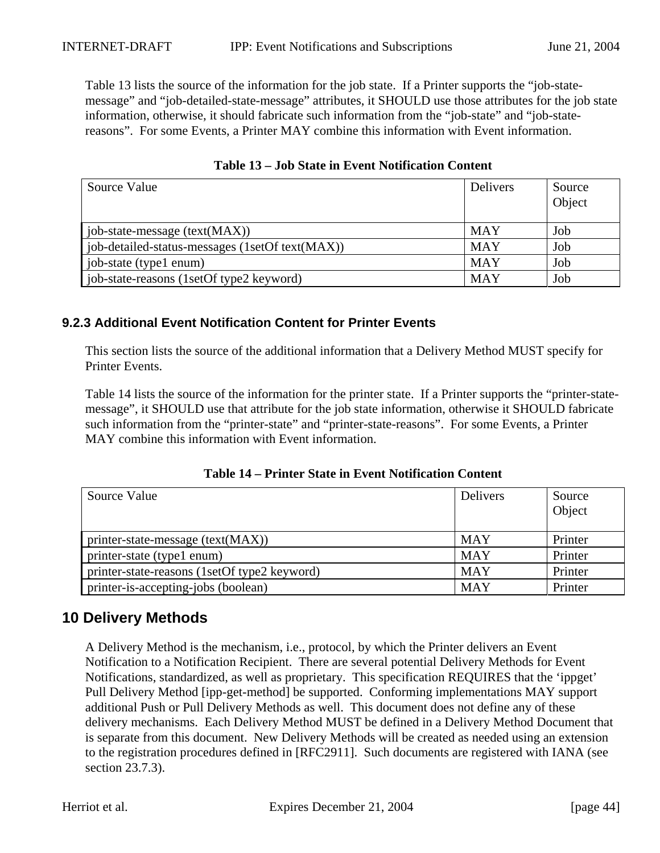Table 13 lists the source of the information for the job state. If a Printer supports the "job-statemessage" and "job-detailed-state-message" attributes, it SHOULD use those attributes for the job state information, otherwise, it should fabricate such information from the "job-state" and "job-statereasons". For some Events, a Printer MAY combine this information with Event information.

| Source Value                                    | <b>Delivers</b> | Source<br>Object |
|-------------------------------------------------|-----------------|------------------|
| job-state-message $(text(MAX))$                 | <b>MAY</b>      | Job              |
| job-detailed-status-messages (1setOf text(MAX)) | <b>MAY</b>      | Job              |
| job-state (type1 enum)                          | <b>MAY</b>      | Job              |
| job-state-reasons (1setOf type2 keyword)        | <b>MAY</b>      | Job              |

**Table 13 – Job State in Event Notification Content**

# **9.2.3 Additional Event Notification Content for Printer Events**

This section lists the source of the additional information that a Delivery Method MUST specify for Printer Events.

Table 14 lists the source of the information for the printer state. If a Printer supports the "printer-statemessage", it SHOULD use that attribute for the job state information, otherwise it SHOULD fabricate such information from the "printer-state" and "printer-state-reasons". For some Events, a Printer MAY combine this information with Event information.

| Source Value                                 | Delivers   | Source<br>Object |
|----------------------------------------------|------------|------------------|
| printer-state-message $(text(MAX))$          | <b>MAY</b> | Printer          |
| printer-state (type1 enum)                   | <b>MAY</b> | Printer          |
| printer-state-reasons (1setOf type2 keyword) | <b>MAY</b> | Printer          |
| printer-is-accepting-jobs (boolean)          | <b>MAY</b> | Printer          |

**Table 14 – Printer State in Event Notification Content**

# **10 Delivery Methods**

A Delivery Method is the mechanism, i.e., protocol, by which the Printer delivers an Event Notification to a Notification Recipient. There are several potential Delivery Methods for Event Notifications, standardized, as well as proprietary. This specification REQUIRES that the 'ippget' Pull Delivery Method [ipp-get-method] be supported. Conforming implementations MAY support additional Push or Pull Delivery Methods as well. This document does not define any of these delivery mechanisms. Each Delivery Method MUST be defined in a Delivery Method Document that is separate from this document. New Delivery Methods will be created as needed using an extension to the registration procedures defined in [RFC2911]. Such documents are registered with IANA (see section 23.7.3).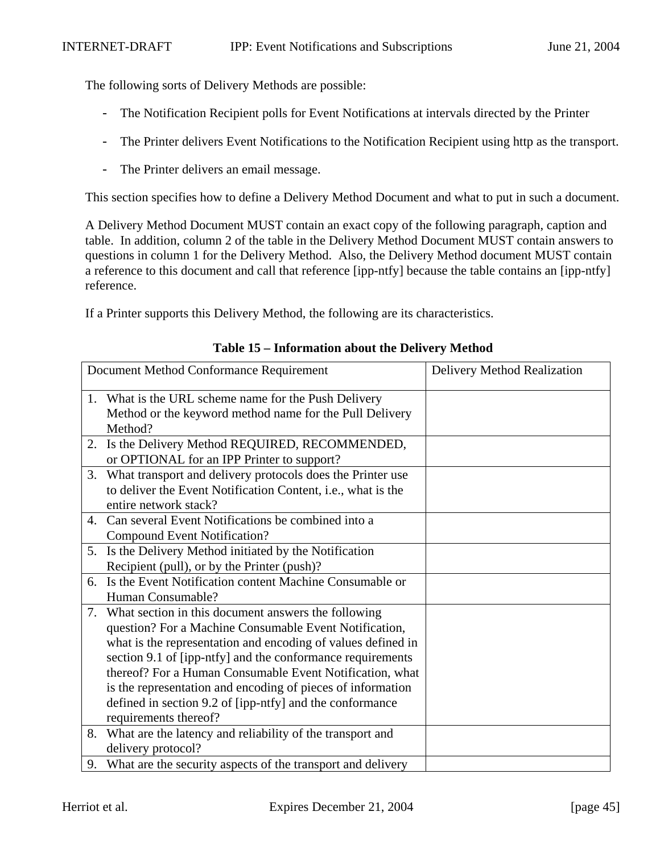The following sorts of Delivery Methods are possible:

- The Notification Recipient polls for Event Notifications at intervals directed by the Printer
- The Printer delivers Event Notifications to the Notification Recipient using http as the transport.
- The Printer delivers an email message.

This section specifies how to define a Delivery Method Document and what to put in such a document.

A Delivery Method Document MUST contain an exact copy of the following paragraph, caption and table. In addition, column 2 of the table in the Delivery Method Document MUST contain answers to questions in column 1 for the Delivery Method. Also, the Delivery Method document MUST contain a reference to this document and call that reference [ipp-ntfy] because the table contains an [ipp-ntfy] reference.

If a Printer supports this Delivery Method, the following are its characteristics.

| Document Method Conformance Requirement |                                                                | <b>Delivery Method Realization</b> |
|-----------------------------------------|----------------------------------------------------------------|------------------------------------|
|                                         | 1. What is the URL scheme name for the Push Delivery           |                                    |
|                                         | Method or the keyword method name for the Pull Delivery        |                                    |
|                                         | Method?                                                        |                                    |
| 2.                                      | Is the Delivery Method REQUIRED, RECOMMENDED,                  |                                    |
|                                         | or OPTIONAL for an IPP Printer to support?                     |                                    |
| 3.                                      | What transport and delivery protocols does the Printer use     |                                    |
|                                         | to deliver the Event Notification Content, i.e., what is the   |                                    |
|                                         | entire network stack?                                          |                                    |
| 4.                                      | Can several Event Notifications be combined into a             |                                    |
|                                         | <b>Compound Event Notification?</b>                            |                                    |
| 5.                                      | Is the Delivery Method initiated by the Notification           |                                    |
|                                         | Recipient (pull), or by the Printer (push)?                    |                                    |
| 6.                                      | Is the Event Notification content Machine Consumable or        |                                    |
|                                         | Human Consumable?                                              |                                    |
| 7.                                      | What section in this document answers the following            |                                    |
|                                         | question? For a Machine Consumable Event Notification,         |                                    |
|                                         | what is the representation and encoding of values defined in   |                                    |
|                                         | section 9.1 of [ipp-ntfy] and the conformance requirements     |                                    |
|                                         | thereof? For a Human Consumable Event Notification, what       |                                    |
|                                         | is the representation and encoding of pieces of information    |                                    |
|                                         | defined in section 9.2 of [ipp-ntfy] and the conformance       |                                    |
|                                         | requirements thereof?                                          |                                    |
| 8.                                      | What are the latency and reliability of the transport and      |                                    |
|                                         | delivery protocol?                                             |                                    |
|                                         | 9. What are the security aspects of the transport and delivery |                                    |

#### **Table 15 – Information about the Delivery Method**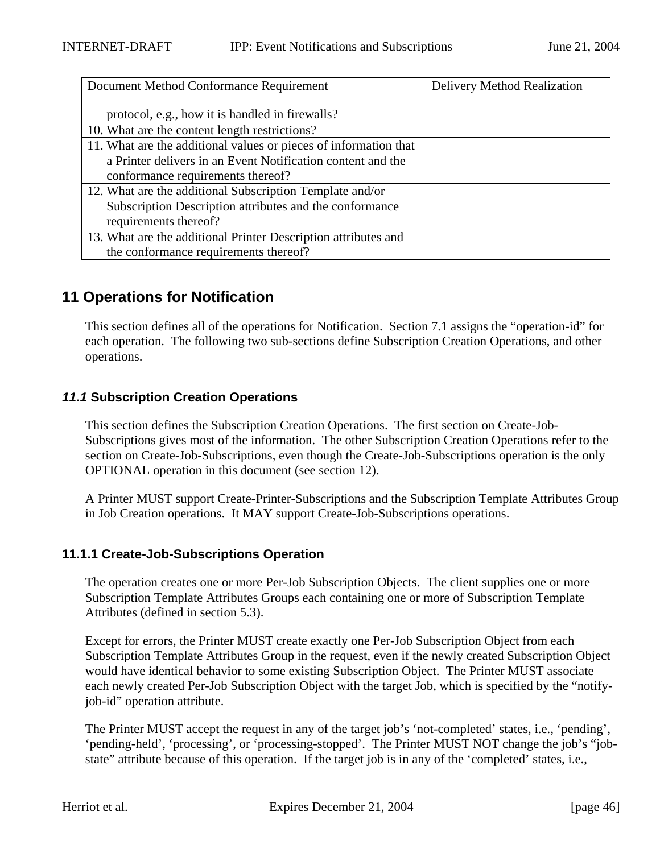| Document Method Conformance Requirement                          | Delivery Method Realization |
|------------------------------------------------------------------|-----------------------------|
| protocol, e.g., how it is handled in firewalls?                  |                             |
| 10. What are the content length restrictions?                    |                             |
| 11. What are the additional values or pieces of information that |                             |
| a Printer delivers in an Event Notification content and the      |                             |
| conformance requirements thereof?                                |                             |
| 12. What are the additional Subscription Template and/or         |                             |
| Subscription Description attributes and the conformance          |                             |
| requirements thereof?                                            |                             |
| 13. What are the additional Printer Description attributes and   |                             |
| the conformance requirements thereof?                            |                             |

# **11 Operations for Notification**

This section defines all of the operations for Notification. Section 7.1 assigns the "operation-id" for each operation. The following two sub-sections define Subscription Creation Operations, and other operations.

# **11.1 Subscription Creation Operations**

This section defines the Subscription Creation Operations. The first section on Create-Job-Subscriptions gives most of the information. The other Subscription Creation Operations refer to the section on Create-Job-Subscriptions, even though the Create-Job-Subscriptions operation is the only OPTIONAL operation in this document (see section 12).

A Printer MUST support Create-Printer-Subscriptions and the Subscription Template Attributes Group in Job Creation operations. It MAY support Create-Job-Subscriptions operations.

# **11.1.1 Create-Job-Subscriptions Operation**

The operation creates one or more Per-Job Subscription Objects. The client supplies one or more Subscription Template Attributes Groups each containing one or more of Subscription Template Attributes (defined in section 5.3).

Except for errors, the Printer MUST create exactly one Per-Job Subscription Object from each Subscription Template Attributes Group in the request, even if the newly created Subscription Object would have identical behavior to some existing Subscription Object. The Printer MUST associate each newly created Per-Job Subscription Object with the target Job, which is specified by the "notifyjob-id" operation attribute.

The Printer MUST accept the request in any of the target job's 'not-completed' states, i.e., 'pending', 'pending-held', 'processing', or 'processing-stopped'. The Printer MUST NOT change the job's "jobstate" attribute because of this operation. If the target job is in any of the 'completed' states, i.e.,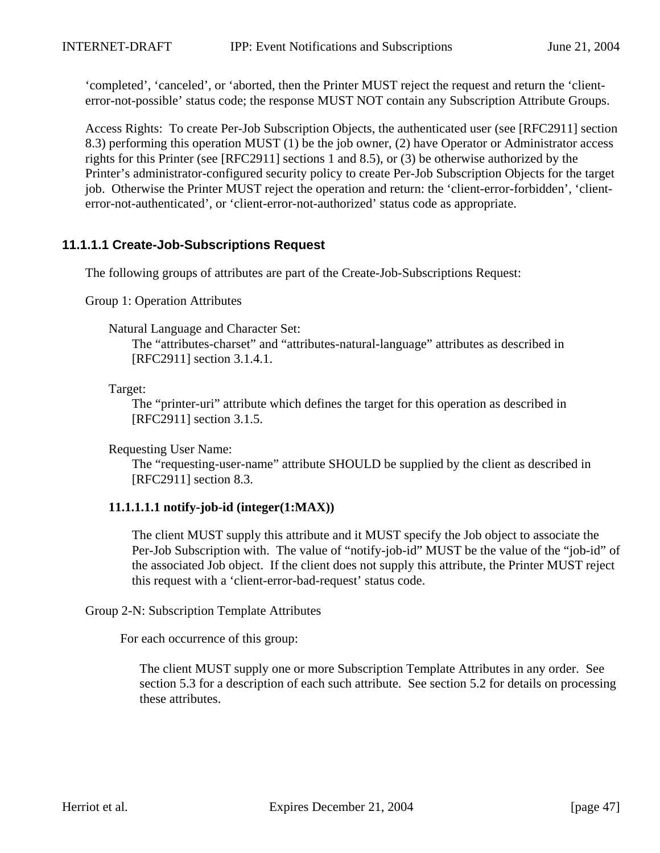'completed', 'canceled', or 'aborted, then the Printer MUST reject the request and return the 'clienterror-not-possible' status code; the response MUST NOT contain any Subscription Attribute Groups.

Access Rights: To create Per-Job Subscription Objects, the authenticated user (see [RFC2911] section 8.3) performing this operation MUST (1) be the job owner, (2) have Operator or Administrator access rights for this Printer (see [RFC2911] sections 1 and 8.5), or (3) be otherwise authorized by the Printer's administrator-configured security policy to create Per-Job Subscription Objects for the target job. Otherwise the Printer MUST reject the operation and return: the 'client-error-forbidden', 'clienterror-not-authenticated', or 'client-error-not-authorized' status code as appropriate.

# **11.1.1.1 Create-Job-Subscriptions Request**

The following groups of attributes are part of the Create-Job-Subscriptions Request:

Group 1: Operation Attributes

Natural Language and Character Set:

The "attributes-charset" and "attributes-natural-language" attributes as described in [RFC2911] section 3.1.4.1.

Target:

The "printer-uri" attribute which defines the target for this operation as described in [RFC2911] section 3.1.5.

Requesting User Name:

The "requesting-user-name" attribute SHOULD be supplied by the client as described in [RFC2911] section 8.3.

# **11.1.1.1.1 notify-job-id (integer(1:MAX))**

The client MUST supply this attribute and it MUST specify the Job object to associate the Per-Job Subscription with. The value of "notify-job-id" MUST be the value of the "job-id" of the associated Job object. If the client does not supply this attribute, the Printer MUST reject this request with a 'client-error-bad-request' status code.

Group 2-N: Subscription Template Attributes

For each occurrence of this group:

The client MUST supply one or more Subscription Template Attributes in any order. See section 5.3 for a description of each such attribute. See section 5.2 for details on processing these attributes.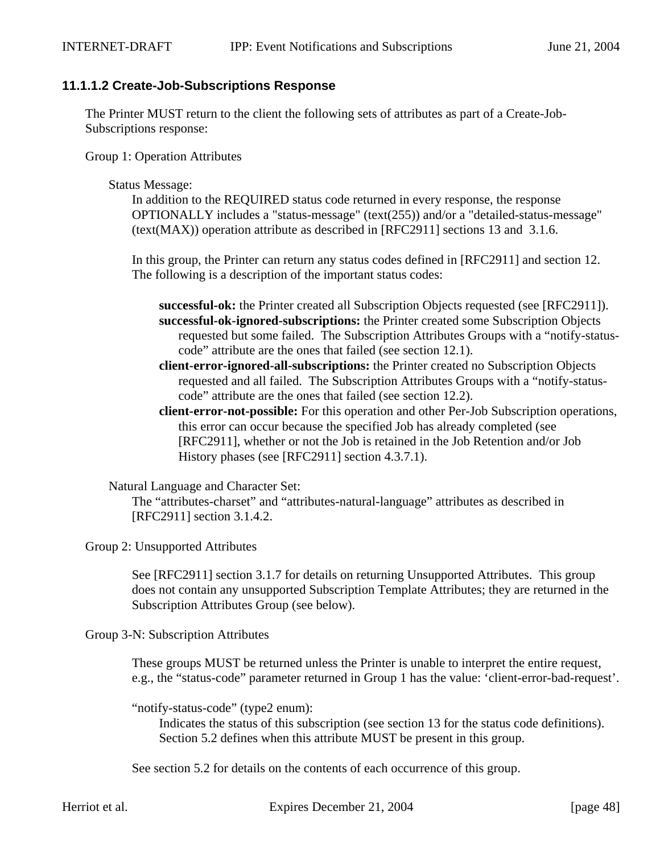# **11.1.1.2 Create-Job-Subscriptions Response**

The Printer MUST return to the client the following sets of attributes as part of a Create-Job-Subscriptions response:

Group 1: Operation Attributes

#### Status Message:

In addition to the REQUIRED status code returned in every response, the response OPTIONALLY includes a "status-message" (text(255)) and/or a "detailed-status-message" (text(MAX)) operation attribute as described in [RFC2911] sections 13 and 3.1.6.

In this group, the Printer can return any status codes defined in [RFC2911] and section 12. The following is a description of the important status codes:

- **successful-ok:** the Printer created all Subscription Objects requested (see [RFC2911]). **successful-ok-ignored-subscriptions:** the Printer created some Subscription Objects requested but some failed. The Subscription Attributes Groups with a "notify-statuscode" attribute are the ones that failed (see section 12.1).
- **client-error-ignored-all-subscriptions:** the Printer created no Subscription Objects requested and all failed. The Subscription Attributes Groups with a "notify-statuscode" attribute are the ones that failed (see section 12.2).
- **client-error-not-possible:** For this operation and other Per-Job Subscription operations, this error can occur because the specified Job has already completed (see [RFC2911], whether or not the Job is retained in the Job Retention and/or Job History phases (see [RFC2911] section 4.3.7.1).

Natural Language and Character Set:

The "attributes-charset" and "attributes-natural-language" attributes as described in [RFC2911] section 3.1.4.2.

Group 2: Unsupported Attributes

See [RFC2911] section 3.1.7 for details on returning Unsupported Attributes. This group does not contain any unsupported Subscription Template Attributes; they are returned in the Subscription Attributes Group (see below).

Group 3-N: Subscription Attributes

These groups MUST be returned unless the Printer is unable to interpret the entire request, e.g., the "status-code" parameter returned in Group 1 has the value: 'client-error-bad-request'.

"notify-status-code" (type2 enum):

Indicates the status of this subscription (see section 13 for the status code definitions). Section 5.2 defines when this attribute MUST be present in this group.

See section 5.2 for details on the contents of each occurrence of this group.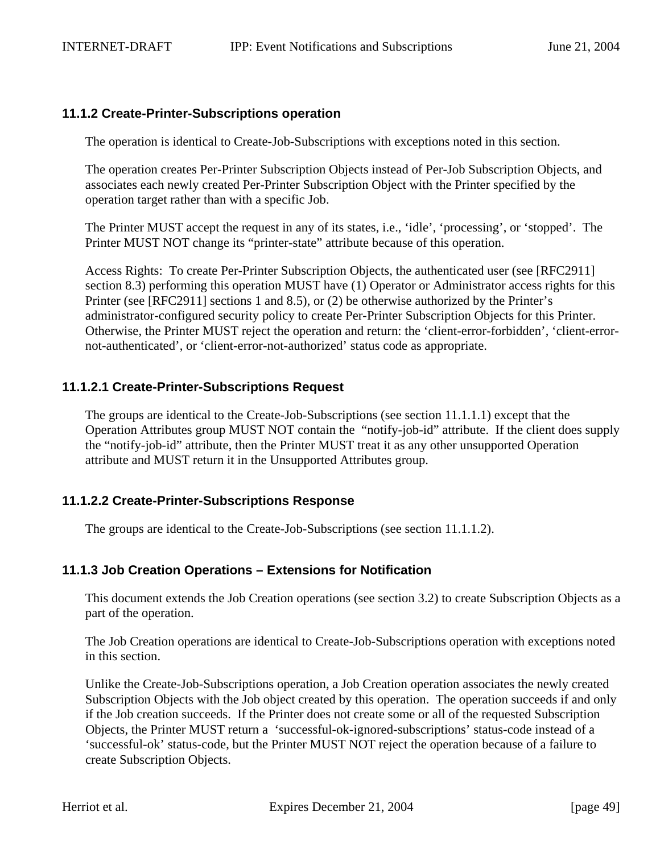#### **11.1.2 Create-Printer-Subscriptions operation**

The operation is identical to Create-Job-Subscriptions with exceptions noted in this section.

The operation creates Per-Printer Subscription Objects instead of Per-Job Subscription Objects, and associates each newly created Per-Printer Subscription Object with the Printer specified by the operation target rather than with a specific Job.

The Printer MUST accept the request in any of its states, i.e., 'idle', 'processing', or 'stopped'. The Printer MUST NOT change its "printer-state" attribute because of this operation.

Access Rights: To create Per-Printer Subscription Objects, the authenticated user (see [RFC2911] section 8.3) performing this operation MUST have (1) Operator or Administrator access rights for this Printer (see [RFC2911] sections 1 and 8.5), or (2) be otherwise authorized by the Printer's administrator-configured security policy to create Per-Printer Subscription Objects for this Printer. Otherwise, the Printer MUST reject the operation and return: the 'client-error-forbidden', 'client-errornot-authenticated', or 'client-error-not-authorized' status code as appropriate.

# **11.1.2.1 Create-Printer-Subscriptions Request**

The groups are identical to the Create-Job-Subscriptions (see section 11.1.1.1) except that the Operation Attributes group MUST NOT contain the "notify-job-id" attribute. If the client does supply the "notify-job-id" attribute, then the Printer MUST treat it as any other unsupported Operation attribute and MUST return it in the Unsupported Attributes group.

# **11.1.2.2 Create-Printer-Subscriptions Response**

The groups are identical to the Create-Job-Subscriptions (see section 11.1.1.2).

# **11.1.3 Job Creation Operations – Extensions for Notification**

This document extends the Job Creation operations (see section 3.2) to create Subscription Objects as a part of the operation.

The Job Creation operations are identical to Create-Job-Subscriptions operation with exceptions noted in this section.

Unlike the Create-Job-Subscriptions operation, a Job Creation operation associates the newly created Subscription Objects with the Job object created by this operation. The operation succeeds if and only if the Job creation succeeds. If the Printer does not create some or all of the requested Subscription Objects, the Printer MUST return a 'successful-ok-ignored-subscriptions' status-code instead of a 'successful-ok' status-code, but the Printer MUST NOT reject the operation because of a failure to create Subscription Objects.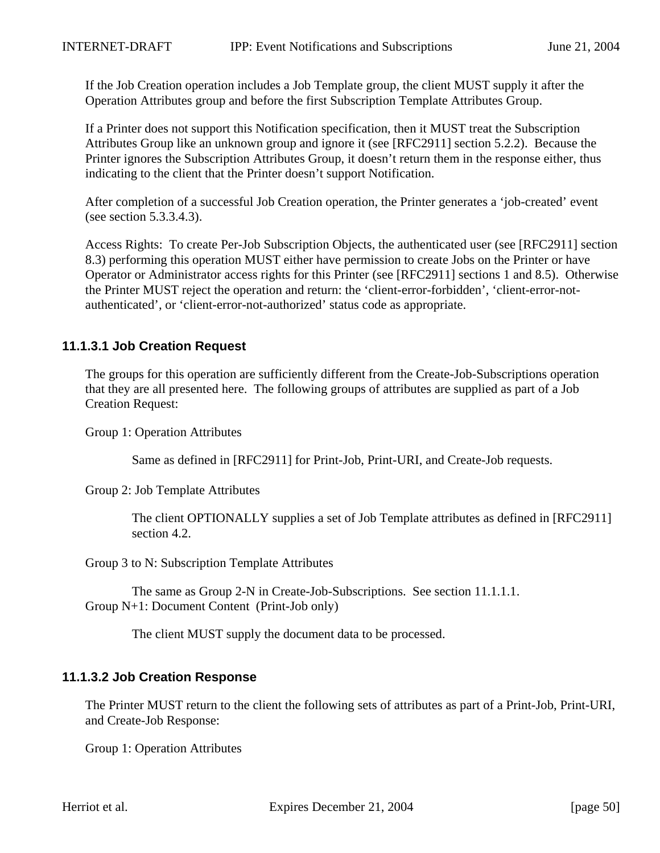If the Job Creation operation includes a Job Template group, the client MUST supply it after the Operation Attributes group and before the first Subscription Template Attributes Group.

If a Printer does not support this Notification specification, then it MUST treat the Subscription Attributes Group like an unknown group and ignore it (see [RFC2911] section 5.2.2). Because the Printer ignores the Subscription Attributes Group, it doesn't return them in the response either, thus indicating to the client that the Printer doesn't support Notification.

After completion of a successful Job Creation operation, the Printer generates a 'job-created' event (see section 5.3.3.4.3).

Access Rights: To create Per-Job Subscription Objects, the authenticated user (see [RFC2911] section 8.3) performing this operation MUST either have permission to create Jobs on the Printer or have Operator or Administrator access rights for this Printer (see [RFC2911] sections 1 and 8.5). Otherwise the Printer MUST reject the operation and return: the 'client-error-forbidden', 'client-error-notauthenticated', or 'client-error-not-authorized' status code as appropriate.

# **11.1.3.1 Job Creation Request**

The groups for this operation are sufficiently different from the Create-Job-Subscriptions operation that they are all presented here. The following groups of attributes are supplied as part of a Job Creation Request:

Group 1: Operation Attributes

Same as defined in [RFC2911] for Print-Job, Print-URI, and Create-Job requests.

Group 2: Job Template Attributes

The client OPTIONALLY supplies a set of Job Template attributes as defined in [RFC2911] section 4.2.

Group 3 to N: Subscription Template Attributes

The same as Group 2-N in Create-Job-Subscriptions. See section 11.1.1.1. Group N+1: Document Content (Print-Job only)

The client MUST supply the document data to be processed.

# **11.1.3.2 Job Creation Response**

The Printer MUST return to the client the following sets of attributes as part of a Print-Job, Print-URI, and Create-Job Response:

Group 1: Operation Attributes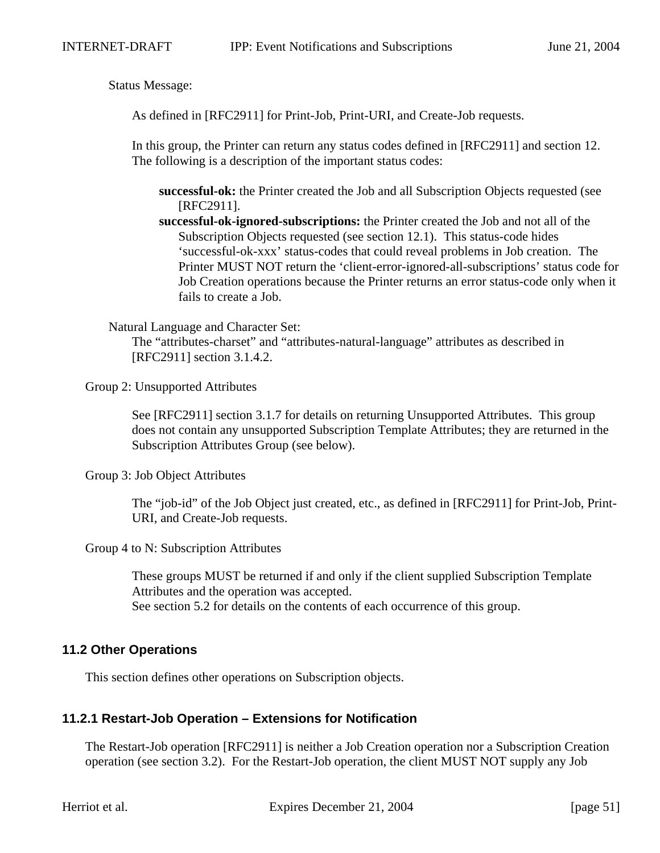Status Message:

As defined in [RFC2911] for Print-Job, Print-URI, and Create-Job requests.

In this group, the Printer can return any status codes defined in [RFC2911] and section 12. The following is a description of the important status codes:

**successful-ok:** the Printer created the Job and all Subscription Objects requested (see [RFC2911].

**successful-ok-ignored-subscriptions:** the Printer created the Job and not all of the Subscription Objects requested (see section 12.1). This status-code hides 'successful-ok-xxx' status-codes that could reveal problems in Job creation. The Printer MUST NOT return the 'client-error-ignored-all-subscriptions' status code for Job Creation operations because the Printer returns an error status-code only when it fails to create a Job.

Natural Language and Character Set:

The "attributes-charset" and "attributes-natural-language" attributes as described in [RFC2911] section 3.1.4.2.

Group 2: Unsupported Attributes

See [RFC2911] section 3.1.7 for details on returning Unsupported Attributes. This group does not contain any unsupported Subscription Template Attributes; they are returned in the Subscription Attributes Group (see below).

Group 3: Job Object Attributes

The "job-id" of the Job Object just created, etc., as defined in [RFC2911] for Print-Job, Print-URI, and Create-Job requests.

Group 4 to N: Subscription Attributes

These groups MUST be returned if and only if the client supplied Subscription Template Attributes and the operation was accepted. See section 5.2 for details on the contents of each occurrence of this group.

#### **11.2 Other Operations**

This section defines other operations on Subscription objects.

#### **11.2.1 Restart-Job Operation – Extensions for Notification**

The Restart-Job operation [RFC2911] is neither a Job Creation operation nor a Subscription Creation operation (see section 3.2). For the Restart-Job operation, the client MUST NOT supply any Job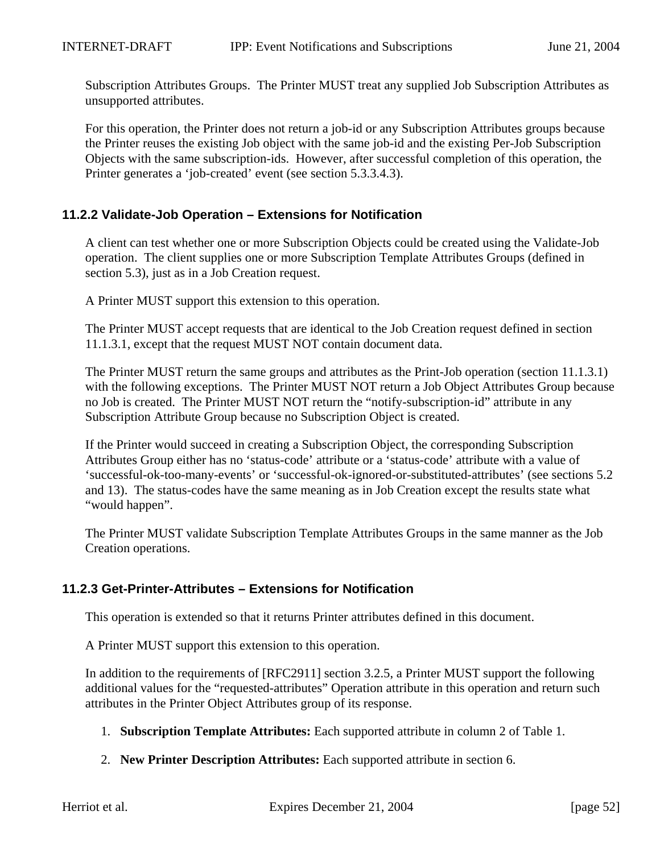Subscription Attributes Groups. The Printer MUST treat any supplied Job Subscription Attributes as unsupported attributes.

For this operation, the Printer does not return a job-id or any Subscription Attributes groups because the Printer reuses the existing Job object with the same job-id and the existing Per-Job Subscription Objects with the same subscription-ids. However, after successful completion of this operation, the Printer generates a 'job-created' event (see section 5.3.3.4.3).

# **11.2.2 Validate-Job Operation – Extensions for Notification**

A client can test whether one or more Subscription Objects could be created using the Validate-Job operation. The client supplies one or more Subscription Template Attributes Groups (defined in section 5.3), just as in a Job Creation request.

A Printer MUST support this extension to this operation.

The Printer MUST accept requests that are identical to the Job Creation request defined in section 11.1.3.1, except that the request MUST NOT contain document data.

The Printer MUST return the same groups and attributes as the Print-Job operation (section 11.1.3.1) with the following exceptions. The Printer MUST NOT return a Job Object Attributes Group because no Job is created. The Printer MUST NOT return the "notify-subscription-id" attribute in any Subscription Attribute Group because no Subscription Object is created.

If the Printer would succeed in creating a Subscription Object, the corresponding Subscription Attributes Group either has no 'status-code' attribute or a 'status-code' attribute with a value of 'successful-ok-too-many-events' or 'successful-ok-ignored-or-substituted-attributes' (see sections 5.2 and 13). The status-codes have the same meaning as in Job Creation except the results state what "would happen".

The Printer MUST validate Subscription Template Attributes Groups in the same manner as the Job Creation operations.

# **11.2.3 Get-Printer-Attributes – Extensions for Notification**

This operation is extended so that it returns Printer attributes defined in this document.

A Printer MUST support this extension to this operation.

In addition to the requirements of [RFC2911] section 3.2.5, a Printer MUST support the following additional values for the "requested-attributes" Operation attribute in this operation and return such attributes in the Printer Object Attributes group of its response.

- 1. **Subscription Template Attributes:** Each supported attribute in column 2 of Table 1.
- 2. **New Printer Description Attributes:** Each supported attribute in section 6.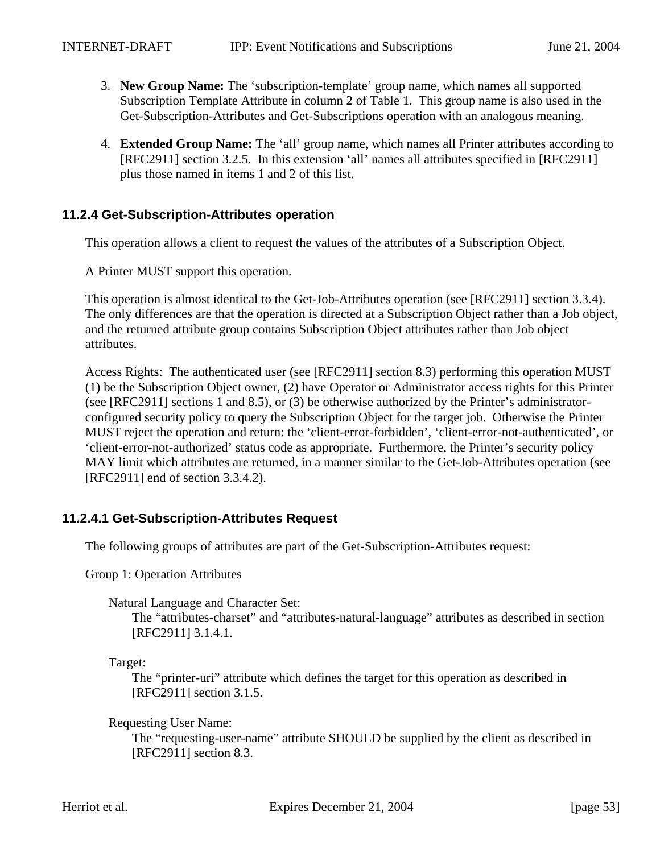- 3. **New Group Name:** The 'subscription-template' group name, which names all supported Subscription Template Attribute in column 2 of Table 1. This group name is also used in the Get-Subscription-Attributes and Get-Subscriptions operation with an analogous meaning.
- 4. **Extended Group Name:** The 'all' group name, which names all Printer attributes according to [RFC2911] section 3.2.5. In this extension 'all' names all attributes specified in [RFC2911] plus those named in items 1 and 2 of this list.

# **11.2.4 Get-Subscription-Attributes operation**

This operation allows a client to request the values of the attributes of a Subscription Object.

A Printer MUST support this operation.

This operation is almost identical to the Get-Job-Attributes operation (see [RFC2911] section 3.3.4). The only differences are that the operation is directed at a Subscription Object rather than a Job object, and the returned attribute group contains Subscription Object attributes rather than Job object attributes.

Access Rights: The authenticated user (see [RFC2911] section 8.3) performing this operation MUST (1) be the Subscription Object owner, (2) have Operator or Administrator access rights for this Printer (see [RFC2911] sections 1 and 8.5), or (3) be otherwise authorized by the Printer's administratorconfigured security policy to query the Subscription Object for the target job. Otherwise the Printer MUST reject the operation and return: the 'client-error-forbidden', 'client-error-not-authenticated', or 'client-error-not-authorized' status code as appropriate. Furthermore, the Printer's security policy MAY limit which attributes are returned, in a manner similar to the Get-Job-Attributes operation (see [RFC2911] end of section 3.3.4.2).

# **11.2.4.1 Get-Subscription-Attributes Request**

The following groups of attributes are part of the Get-Subscription-Attributes request:

Group 1: Operation Attributes

Natural Language and Character Set:

The "attributes-charset" and "attributes-natural-language" attributes as described in section [RFC2911] 3.1.4.1.

Target:

The "printer-uri" attribute which defines the target for this operation as described in [RFC2911] section 3.1.5.

Requesting User Name:

The "requesting-user-name" attribute SHOULD be supplied by the client as described in [RFC2911] section 8.3.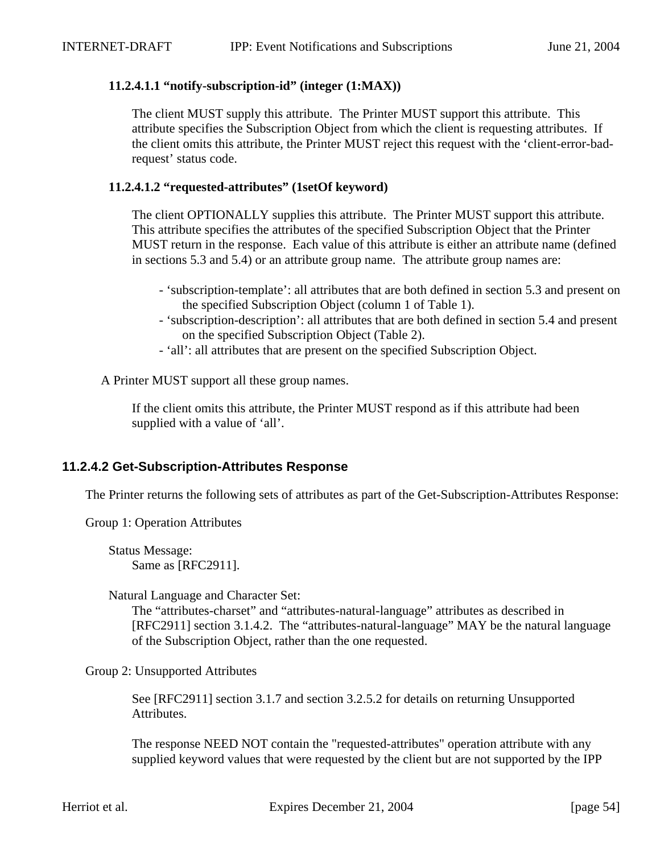#### **11.2.4.1.1 "notify-subscription-id" (integer (1:MAX))**

The client MUST supply this attribute. The Printer MUST support this attribute. This attribute specifies the Subscription Object from which the client is requesting attributes. If the client omits this attribute, the Printer MUST reject this request with the 'client-error-badrequest' status code.

#### **11.2.4.1.2 "requested-attributes" (1setOf keyword)**

The client OPTIONALLY supplies this attribute. The Printer MUST support this attribute. This attribute specifies the attributes of the specified Subscription Object that the Printer MUST return in the response. Each value of this attribute is either an attribute name (defined in sections 5.3 and 5.4) or an attribute group name. The attribute group names are:

- 'subscription-template': all attributes that are both defined in section 5.3 and present on the specified Subscription Object (column 1 of Table 1).
- 'subscription-description': all attributes that are both defined in section 5.4 and present on the specified Subscription Object (Table 2).
- 'all': all attributes that are present on the specified Subscription Object.

A Printer MUST support all these group names.

If the client omits this attribute, the Printer MUST respond as if this attribute had been supplied with a value of 'all'.

# **11.2.4.2 Get-Subscription-Attributes Response**

The Printer returns the following sets of attributes as part of the Get-Subscription-Attributes Response:

Group 1: Operation Attributes

Status Message: Same as [RFC2911].

Natural Language and Character Set:

The "attributes-charset" and "attributes-natural-language" attributes as described in [RFC2911] section 3.1.4.2. The "attributes-natural-language" MAY be the natural language of the Subscription Object, rather than the one requested.

Group 2: Unsupported Attributes

See [RFC2911] section 3.1.7 and section 3.2.5.2 for details on returning Unsupported Attributes.

The response NEED NOT contain the "requested-attributes" operation attribute with any supplied keyword values that were requested by the client but are not supported by the IPP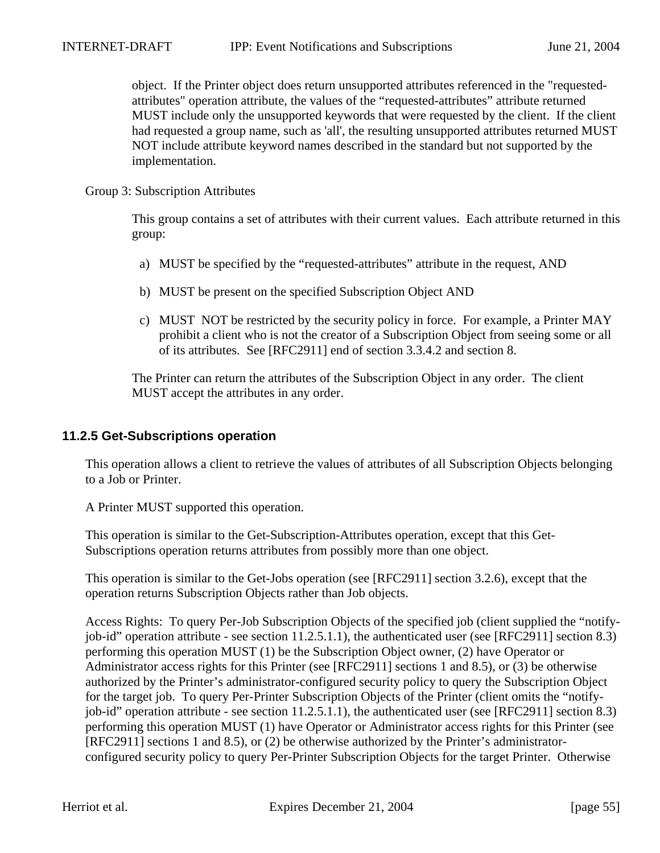object. If the Printer object does return unsupported attributes referenced in the "requestedattributes" operation attribute, the values of the "requested-attributes" attribute returned MUST include only the unsupported keywords that were requested by the client. If the client had requested a group name, such as 'all', the resulting unsupported attributes returned MUST NOT include attribute keyword names described in the standard but not supported by the implementation.

#### Group 3: Subscription Attributes

This group contains a set of attributes with their current values. Each attribute returned in this group:

- a) MUST be specified by the "requested-attributes" attribute in the request, AND
- b) MUST be present on the specified Subscription Object AND
- c) MUST NOT be restricted by the security policy in force. For example, a Printer MAY prohibit a client who is not the creator of a Subscription Object from seeing some or all of its attributes. See [RFC2911] end of section 3.3.4.2 and section 8.

The Printer can return the attributes of the Subscription Object in any order. The client MUST accept the attributes in any order.

#### **11.2.5 Get-Subscriptions operation**

This operation allows a client to retrieve the values of attributes of all Subscription Objects belonging to a Job or Printer.

A Printer MUST supported this operation.

This operation is similar to the Get-Subscription-Attributes operation, except that this Get-Subscriptions operation returns attributes from possibly more than one object.

This operation is similar to the Get-Jobs operation (see [RFC2911] section 3.2.6), except that the operation returns Subscription Objects rather than Job objects.

Access Rights: To query Per-Job Subscription Objects of the specified job (client supplied the "notifyjob-id" operation attribute - see section 11.2.5.1.1), the authenticated user (see [RFC2911] section 8.3) performing this operation MUST (1) be the Subscription Object owner, (2) have Operator or Administrator access rights for this Printer (see [RFC2911] sections 1 and 8.5), or (3) be otherwise authorized by the Printer's administrator-configured security policy to query the Subscription Object for the target job. To query Per-Printer Subscription Objects of the Printer (client omits the "notifyjob-id" operation attribute - see section 11.2.5.1.1), the authenticated user (see [RFC2911] section 8.3) performing this operation MUST (1) have Operator or Administrator access rights for this Printer (see [RFC2911] sections 1 and 8.5), or (2) be otherwise authorized by the Printer's administratorconfigured security policy to query Per-Printer Subscription Objects for the target Printer. Otherwise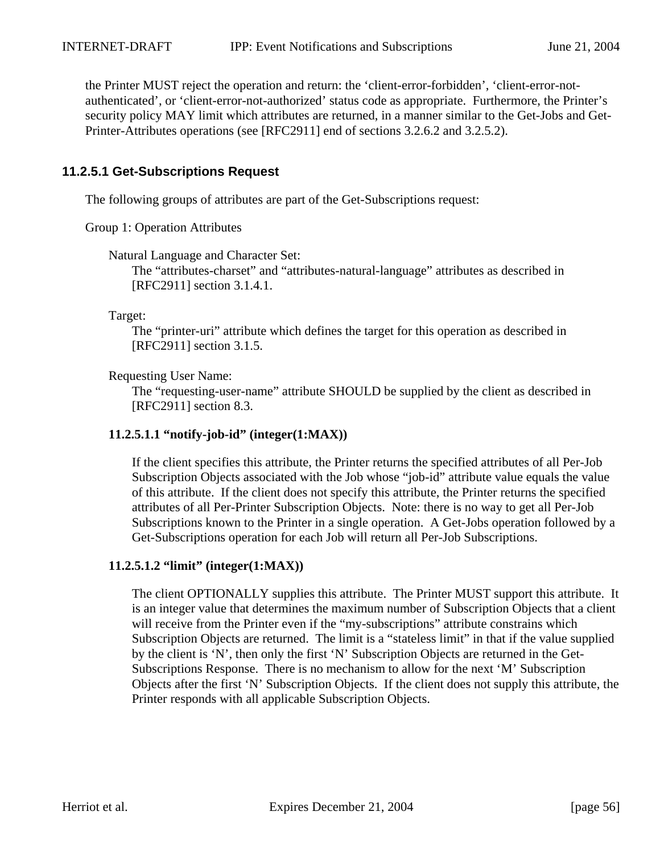the Printer MUST reject the operation and return: the 'client-error-forbidden', 'client-error-notauthenticated', or 'client-error-not-authorized' status code as appropriate. Furthermore, the Printer's security policy MAY limit which attributes are returned, in a manner similar to the Get-Jobs and Get-Printer-Attributes operations (see [RFC2911] end of sections 3.2.6.2 and 3.2.5.2).

# **11.2.5.1 Get-Subscriptions Request**

The following groups of attributes are part of the Get-Subscriptions request:

Group 1: Operation Attributes

Natural Language and Character Set:

The "attributes-charset" and "attributes-natural-language" attributes as described in [RFC2911] section 3.1.4.1.

Target:

The "printer-uri" attribute which defines the target for this operation as described in [RFC2911] section 3.1.5.

Requesting User Name:

The "requesting-user-name" attribute SHOULD be supplied by the client as described in [RFC2911] section 8.3.

#### **11.2.5.1.1 "notify-job-id" (integer(1:MAX))**

If the client specifies this attribute, the Printer returns the specified attributes of all Per-Job Subscription Objects associated with the Job whose "job-id" attribute value equals the value of this attribute. If the client does not specify this attribute, the Printer returns the specified attributes of all Per-Printer Subscription Objects. Note: there is no way to get all Per-Job Subscriptions known to the Printer in a single operation. A Get-Jobs operation followed by a Get-Subscriptions operation for each Job will return all Per-Job Subscriptions.

#### **11.2.5.1.2 "limit" (integer(1:MAX))**

The client OPTIONALLY supplies this attribute. The Printer MUST support this attribute. It is an integer value that determines the maximum number of Subscription Objects that a client will receive from the Printer even if the "my-subscriptions" attribute constrains which Subscription Objects are returned. The limit is a "stateless limit" in that if the value supplied by the client is 'N', then only the first 'N' Subscription Objects are returned in the Get-Subscriptions Response. There is no mechanism to allow for the next 'M' Subscription Objects after the first 'N' Subscription Objects. If the client does not supply this attribute, the Printer responds with all applicable Subscription Objects.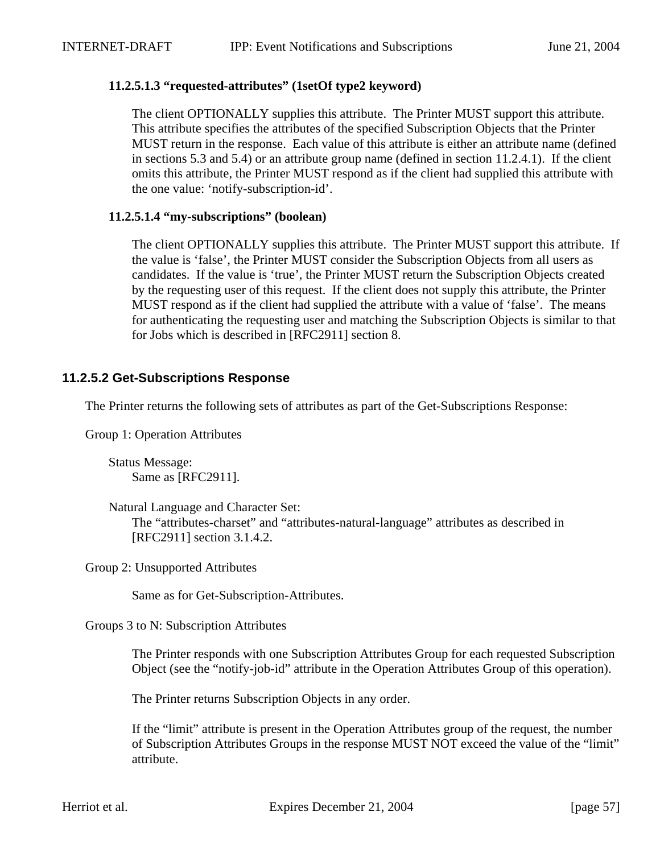#### **11.2.5.1.3 "requested-attributes" (1setOf type2 keyword)**

The client OPTIONALLY supplies this attribute. The Printer MUST support this attribute. This attribute specifies the attributes of the specified Subscription Objects that the Printer MUST return in the response. Each value of this attribute is either an attribute name (defined in sections 5.3 and 5.4) or an attribute group name (defined in section 11.2.4.1). If the client omits this attribute, the Printer MUST respond as if the client had supplied this attribute with the one value: 'notify-subscription-id'.

#### **11.2.5.1.4 "my-subscriptions" (boolean)**

The client OPTIONALLY supplies this attribute. The Printer MUST support this attribute. If the value is 'false', the Printer MUST consider the Subscription Objects from all users as candidates. If the value is 'true', the Printer MUST return the Subscription Objects created by the requesting user of this request. If the client does not supply this attribute, the Printer MUST respond as if the client had supplied the attribute with a value of 'false'. The means for authenticating the requesting user and matching the Subscription Objects is similar to that for Jobs which is described in [RFC2911] section 8.

# **11.2.5.2 Get-Subscriptions Response**

The Printer returns the following sets of attributes as part of the Get-Subscriptions Response:

Group 1: Operation Attributes

Status Message: Same as [RFC2911].

Natural Language and Character Set:

The "attributes-charset" and "attributes-natural-language" attributes as described in [RFC2911] section 3.1.4.2.

Group 2: Unsupported Attributes

Same as for Get-Subscription-Attributes.

Groups 3 to N: Subscription Attributes

The Printer responds with one Subscription Attributes Group for each requested Subscription Object (see the "notify-job-id" attribute in the Operation Attributes Group of this operation).

The Printer returns Subscription Objects in any order.

If the "limit" attribute is present in the Operation Attributes group of the request, the number of Subscription Attributes Groups in the response MUST NOT exceed the value of the "limit" attribute.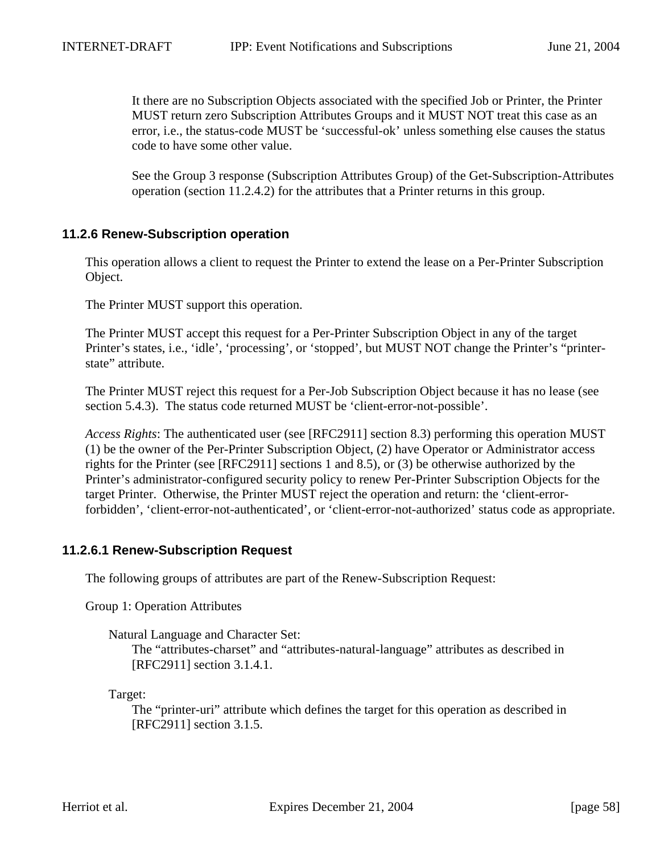It there are no Subscription Objects associated with the specified Job or Printer, the Printer MUST return zero Subscription Attributes Groups and it MUST NOT treat this case as an error, i.e., the status-code MUST be 'successful-ok' unless something else causes the status code to have some other value.

See the Group 3 response (Subscription Attributes Group) of the Get-Subscription-Attributes operation (section 11.2.4.2) for the attributes that a Printer returns in this group.

# **11.2.6 Renew-Subscription operation**

This operation allows a client to request the Printer to extend the lease on a Per-Printer Subscription Object.

The Printer MUST support this operation.

The Printer MUST accept this request for a Per-Printer Subscription Object in any of the target Printer's states, i.e., 'idle', 'processing', or 'stopped', but MUST NOT change the Printer's "printerstate" attribute.

The Printer MUST reject this request for a Per-Job Subscription Object because it has no lease (see section 5.4.3). The status code returned MUST be 'client-error-not-possible'.

*Access Rights*: The authenticated user (see [RFC2911] section 8.3) performing this operation MUST (1) be the owner of the Per-Printer Subscription Object, (2) have Operator or Administrator access rights for the Printer (see [RFC2911] sections 1 and 8.5), or (3) be otherwise authorized by the Printer's administrator-configured security policy to renew Per-Printer Subscription Objects for the target Printer. Otherwise, the Printer MUST reject the operation and return: the 'client-errorforbidden', 'client-error-not-authenticated', or 'client-error-not-authorized' status code as appropriate.

# **11.2.6.1 Renew-Subscription Request**

The following groups of attributes are part of the Renew-Subscription Request:

Group 1: Operation Attributes

Natural Language and Character Set:

The "attributes-charset" and "attributes-natural-language" attributes as described in [RFC2911] section 3.1.4.1.

Target:

The "printer-uri" attribute which defines the target for this operation as described in [RFC2911] section 3.1.5.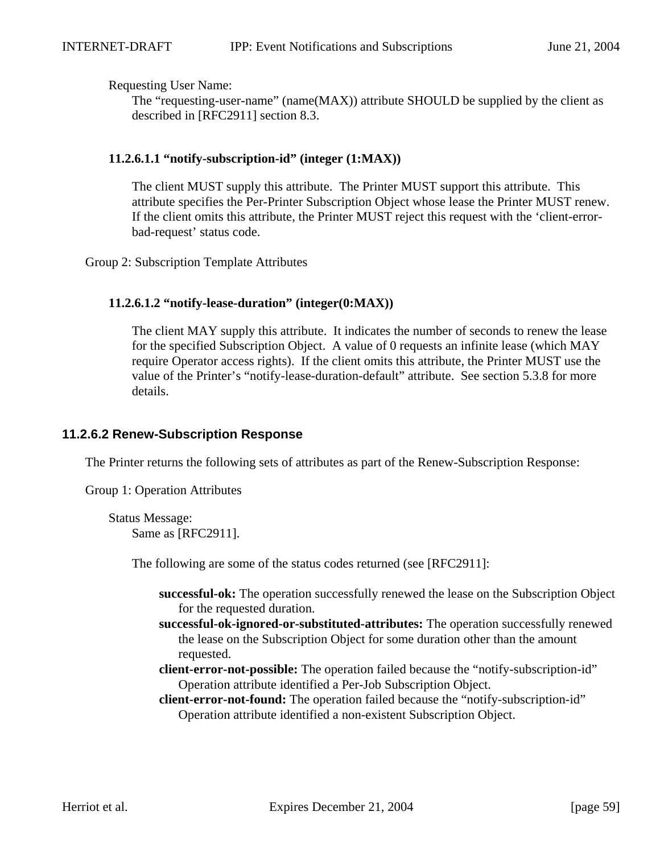Requesting User Name:

The "requesting-user-name" (name(MAX)) attribute SHOULD be supplied by the client as described in [RFC2911] section 8.3.

#### **11.2.6.1.1 "notify-subscription-id" (integer (1:MAX))**

The client MUST supply this attribute. The Printer MUST support this attribute. This attribute specifies the Per-Printer Subscription Object whose lease the Printer MUST renew. If the client omits this attribute, the Printer MUST reject this request with the 'client-errorbad-request' status code.

Group 2: Subscription Template Attributes

#### **11.2.6.1.2 "notify-lease-duration" (integer(0:MAX))**

The client MAY supply this attribute. It indicates the number of seconds to renew the lease for the specified Subscription Object. A value of 0 requests an infinite lease (which MAY require Operator access rights). If the client omits this attribute, the Printer MUST use the value of the Printer's "notify-lease-duration-default" attribute. See section 5.3.8 for more details.

# **11.2.6.2 Renew-Subscription Response**

The Printer returns the following sets of attributes as part of the Renew-Subscription Response:

Group 1: Operation Attributes

Status Message: Same as [RFC2911].

The following are some of the status codes returned (see [RFC2911]:

- **successful-ok:** The operation successfully renewed the lease on the Subscription Object for the requested duration.
- **successful-ok-ignored-or-substituted-attributes:** The operation successfully renewed the lease on the Subscription Object for some duration other than the amount requested.
- **client-error-not-possible:** The operation failed because the "notify-subscription-id" Operation attribute identified a Per-Job Subscription Object.
- **client-error-not-found:** The operation failed because the "notify-subscription-id" Operation attribute identified a non-existent Subscription Object.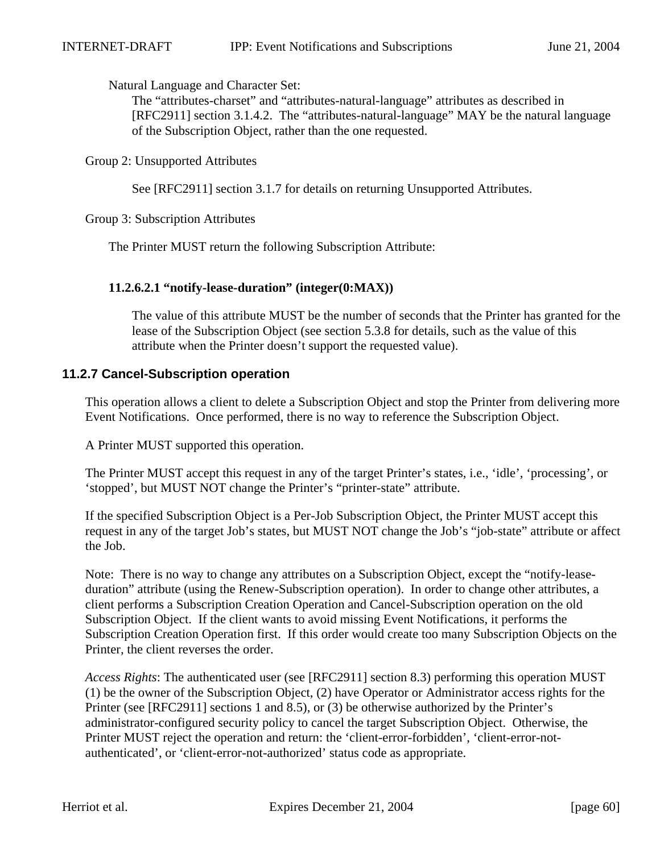Natural Language and Character Set:

The "attributes-charset" and "attributes-natural-language" attributes as described in [RFC2911] section 3.1.4.2. The "attributes-natural-language" MAY be the natural language of the Subscription Object, rather than the one requested.

Group 2: Unsupported Attributes

See [RFC2911] section 3.1.7 for details on returning Unsupported Attributes.

Group 3: Subscription Attributes

The Printer MUST return the following Subscription Attribute:

# **11.2.6.2.1 "notify-lease-duration" (integer(0:MAX))**

The value of this attribute MUST be the number of seconds that the Printer has granted for the lease of the Subscription Object (see section 5.3.8 for details, such as the value of this attribute when the Printer doesn't support the requested value).

# **11.2.7 Cancel-Subscription operation**

This operation allows a client to delete a Subscription Object and stop the Printer from delivering more Event Notifications. Once performed, there is no way to reference the Subscription Object.

A Printer MUST supported this operation.

The Printer MUST accept this request in any of the target Printer's states, i.e., 'idle', 'processing', or 'stopped', but MUST NOT change the Printer's "printer-state" attribute.

If the specified Subscription Object is a Per-Job Subscription Object, the Printer MUST accept this request in any of the target Job's states, but MUST NOT change the Job's "job-state" attribute or affect the Job.

Note: There is no way to change any attributes on a Subscription Object, except the "notify-leaseduration" attribute (using the Renew-Subscription operation). In order to change other attributes, a client performs a Subscription Creation Operation and Cancel-Subscription operation on the old Subscription Object. If the client wants to avoid missing Event Notifications, it performs the Subscription Creation Operation first. If this order would create too many Subscription Objects on the Printer, the client reverses the order.

*Access Rights*: The authenticated user (see [RFC2911] section 8.3) performing this operation MUST (1) be the owner of the Subscription Object, (2) have Operator or Administrator access rights for the Printer (see [RFC2911] sections 1 and 8.5), or (3) be otherwise authorized by the Printer's administrator-configured security policy to cancel the target Subscription Object. Otherwise, the Printer MUST reject the operation and return: the 'client-error-forbidden', 'client-error-notauthenticated', or 'client-error-not-authorized' status code as appropriate.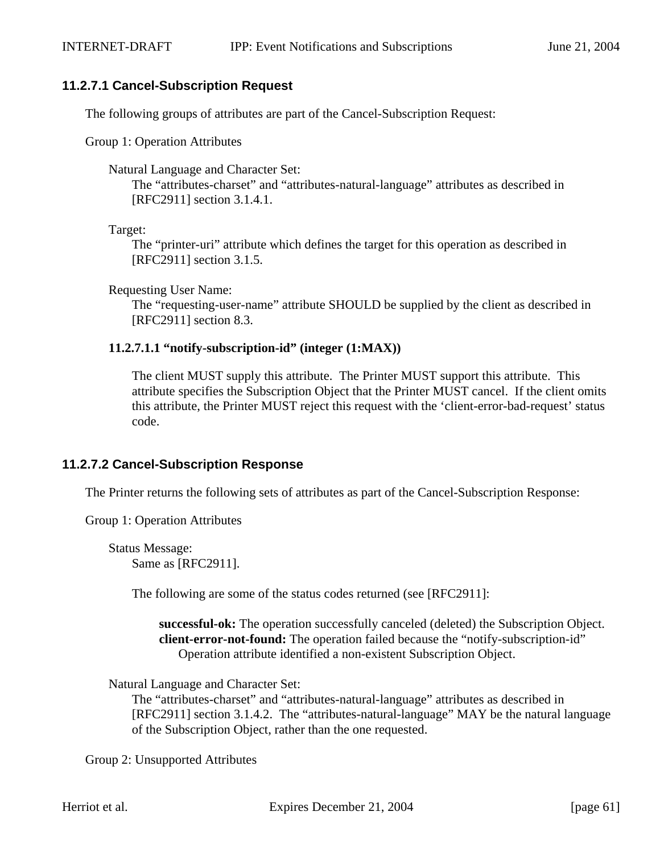#### **11.2.7.1 Cancel-Subscription Request**

The following groups of attributes are part of the Cancel-Subscription Request:

Group 1: Operation Attributes

Natural Language and Character Set:

The "attributes-charset" and "attributes-natural-language" attributes as described in [RFC2911] section 3.1.4.1.

Target:

The "printer-uri" attribute which defines the target for this operation as described in [RFC2911] section 3.1.5.

Requesting User Name:

The "requesting-user-name" attribute SHOULD be supplied by the client as described in [RFC2911] section 8.3.

#### **11.2.7.1.1 "notify-subscription-id" (integer (1:MAX))**

The client MUST supply this attribute. The Printer MUST support this attribute. This attribute specifies the Subscription Object that the Printer MUST cancel. If the client omits this attribute, the Printer MUST reject this request with the 'client-error-bad-request' status code.

# **11.2.7.2 Cancel-Subscription Response**

The Printer returns the following sets of attributes as part of the Cancel-Subscription Response:

Group 1: Operation Attributes

Status Message: Same as [RFC2911].

The following are some of the status codes returned (see [RFC2911]:

**successful-ok:** The operation successfully canceled (deleted) the Subscription Object. **client-error-not-found:** The operation failed because the "notify-subscription-id" Operation attribute identified a non-existent Subscription Object.

Natural Language and Character Set:

The "attributes-charset" and "attributes-natural-language" attributes as described in [RFC2911] section 3.1.4.2. The "attributes-natural-language" MAY be the natural language of the Subscription Object, rather than the one requested.

Group 2: Unsupported Attributes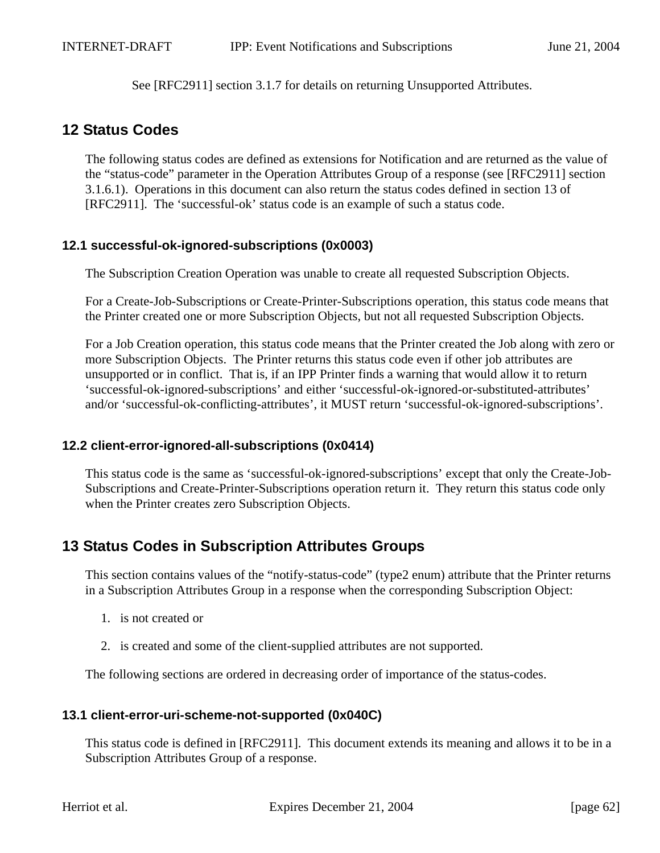See [RFC2911] section 3.1.7 for details on returning Unsupported Attributes.

# **12 Status Codes**

The following status codes are defined as extensions for Notification and are returned as the value of the "status-code" parameter in the Operation Attributes Group of a response (see [RFC2911] section 3.1.6.1). Operations in this document can also return the status codes defined in section 13 of [RFC2911]. The 'successful-ok' status code is an example of such a status code.

# **12.1 successful-ok-ignored-subscriptions (0x0003)**

The Subscription Creation Operation was unable to create all requested Subscription Objects.

For a Create-Job-Subscriptions or Create-Printer-Subscriptions operation, this status code means that the Printer created one or more Subscription Objects, but not all requested Subscription Objects.

For a Job Creation operation, this status code means that the Printer created the Job along with zero or more Subscription Objects. The Printer returns this status code even if other job attributes are unsupported or in conflict. That is, if an IPP Printer finds a warning that would allow it to return 'successful-ok-ignored-subscriptions' and either 'successful-ok-ignored-or-substituted-attributes' and/or 'successful-ok-conflicting-attributes', it MUST return 'successful-ok-ignored-subscriptions'.

# **12.2 client-error-ignored-all-subscriptions (0x0414)**

This status code is the same as 'successful-ok-ignored-subscriptions' except that only the Create-Job-Subscriptions and Create-Printer-Subscriptions operation return it. They return this status code only when the Printer creates zero Subscription Objects.

# **13 Status Codes in Subscription Attributes Groups**

This section contains values of the "notify-status-code" (type2 enum) attribute that the Printer returns in a Subscription Attributes Group in a response when the corresponding Subscription Object:

- 1. is not created or
- 2. is created and some of the client-supplied attributes are not supported.

The following sections are ordered in decreasing order of importance of the status-codes.

# **13.1 client-error-uri-scheme-not-supported (0x040C)**

This status code is defined in [RFC2911]. This document extends its meaning and allows it to be in a Subscription Attributes Group of a response.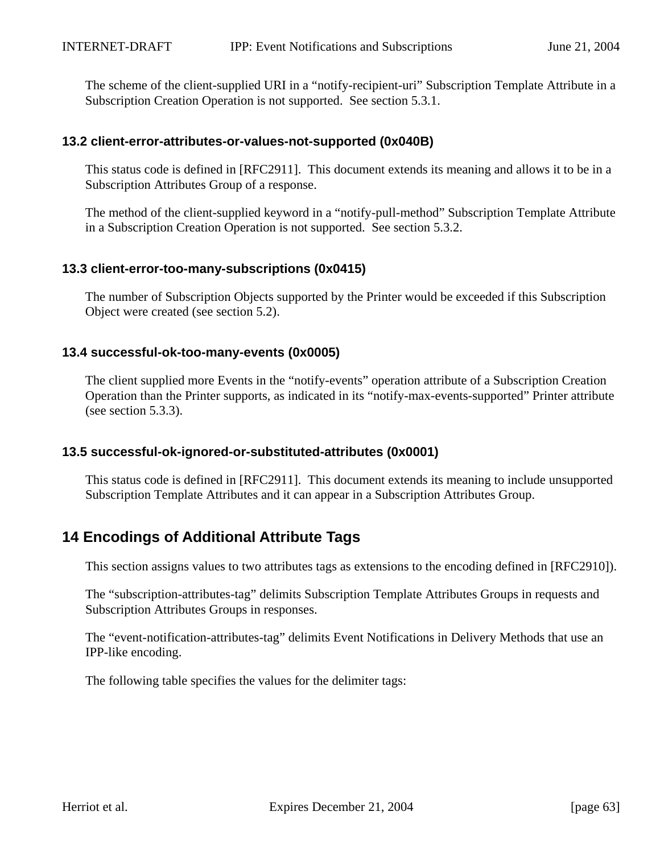The scheme of the client-supplied URI in a "notify-recipient-uri" Subscription Template Attribute in a Subscription Creation Operation is not supported. See section 5.3.1.

#### **13.2 client-error-attributes-or-values-not-supported (0x040B)**

This status code is defined in [RFC2911]. This document extends its meaning and allows it to be in a Subscription Attributes Group of a response.

The method of the client-supplied keyword in a "notify-pull-method" Subscription Template Attribute in a Subscription Creation Operation is not supported. See section 5.3.2.

#### **13.3 client-error-too-many-subscriptions (0x0415)**

The number of Subscription Objects supported by the Printer would be exceeded if this Subscription Object were created (see section 5.2).

#### **13.4 successful-ok-too-many-events (0x0005)**

The client supplied more Events in the "notify-events" operation attribute of a Subscription Creation Operation than the Printer supports, as indicated in its "notify-max-events-supported" Printer attribute (see section 5.3.3).

# **13.5 successful-ok-ignored-or-substituted-attributes (0x0001)**

This status code is defined in [RFC2911]. This document extends its meaning to include unsupported Subscription Template Attributes and it can appear in a Subscription Attributes Group.

# **14 Encodings of Additional Attribute Tags**

This section assigns values to two attributes tags as extensions to the encoding defined in [RFC2910]).

The "subscription-attributes-tag" delimits Subscription Template Attributes Groups in requests and Subscription Attributes Groups in responses.

The "event-notification-attributes-tag" delimits Event Notifications in Delivery Methods that use an IPP-like encoding.

The following table specifies the values for the delimiter tags: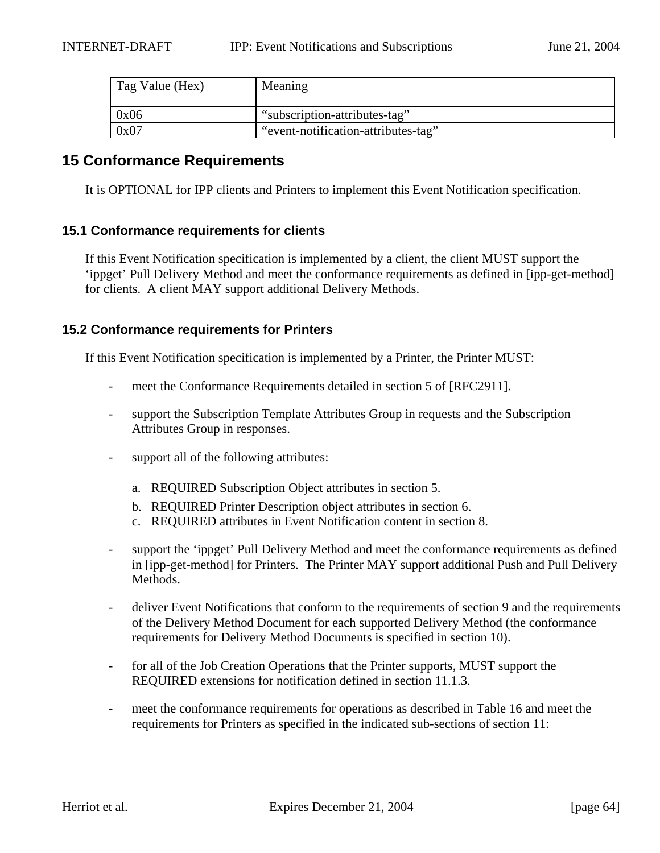| Tag Value (Hex) | Meaning                             |
|-----------------|-------------------------------------|
| 0x06            | "subscription-attributes-tag"       |
| 0x07            | "event-notification-attributes-tag" |

# **15 Conformance Requirements**

It is OPTIONAL for IPP clients and Printers to implement this Event Notification specification.

# **15.1 Conformance requirements for clients**

If this Event Notification specification is implemented by a client, the client MUST support the 'ippget' Pull Delivery Method and meet the conformance requirements as defined in [ipp-get-method] for clients. A client MAY support additional Delivery Methods.

#### **15.2 Conformance requirements for Printers**

If this Event Notification specification is implemented by a Printer, the Printer MUST:

- meet the Conformance Requirements detailed in section 5 of [RFC2911].
- support the Subscription Template Attributes Group in requests and the Subscription Attributes Group in responses.
- support all of the following attributes:
	- a. REQUIRED Subscription Object attributes in section 5.
	- b. REQUIRED Printer Description object attributes in section 6.
	- c. REQUIRED attributes in Event Notification content in section 8.
- support the 'ippget' Pull Delivery Method and meet the conformance requirements as defined in [ipp-get-method] for Printers. The Printer MAY support additional Push and Pull Delivery Methods.
- deliver Event Notifications that conform to the requirements of section 9 and the requirements of the Delivery Method Document for each supported Delivery Method (the conformance requirements for Delivery Method Documents is specified in section 10).
- for all of the Job Creation Operations that the Printer supports, MUST support the REQUIRED extensions for notification defined in section 11.1.3.
- meet the conformance requirements for operations as described in Table 16 and meet the requirements for Printers as specified in the indicated sub-sections of section 11: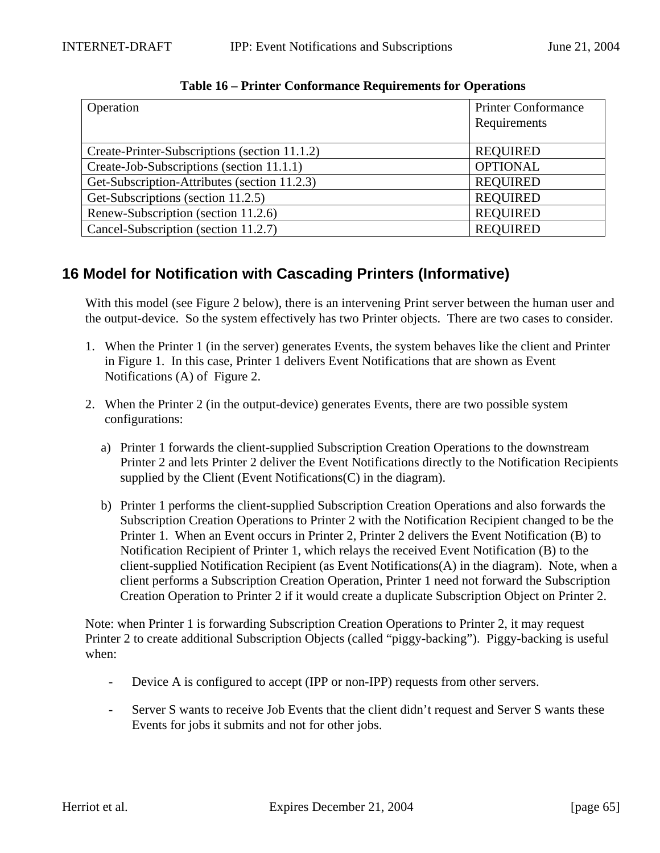| Operation                                     | <b>Printer Conformance</b><br>Requirements |
|-----------------------------------------------|--------------------------------------------|
| Create-Printer-Subscriptions (section 11.1.2) | <b>REQUIRED</b>                            |
| Create-Job-Subscriptions (section 11.1.1)     | <b>OPTIONAL</b>                            |
| Get-Subscription-Attributes (section 11.2.3)  | <b>REQUIRED</b>                            |
| Get-Subscriptions (section 11.2.5)            | <b>REQUIRED</b>                            |
| Renew-Subscription (section 11.2.6)           | <b>REQUIRED</b>                            |
| Cancel-Subscription (section 11.2.7)          | <b>REQUIRED</b>                            |

**Table 16 – Printer Conformance Requirements for Operations**

# **16 Model for Notification with Cascading Printers (Informative)**

With this model (see Figure 2 below), there is an intervening Print server between the human user and the output-device. So the system effectively has two Printer objects. There are two cases to consider.

- 1. When the Printer 1 (in the server) generates Events, the system behaves like the client and Printer in Figure 1. In this case, Printer 1 delivers Event Notifications that are shown as Event Notifications (A) of Figure 2.
- 2. When the Printer 2 (in the output-device) generates Events, there are two possible system configurations:
	- a) Printer 1 forwards the client-supplied Subscription Creation Operations to the downstream Printer 2 and lets Printer 2 deliver the Event Notifications directly to the Notification Recipients supplied by the Client (Event Notifications (C) in the diagram).
	- b) Printer 1 performs the client-supplied Subscription Creation Operations and also forwards the Subscription Creation Operations to Printer 2 with the Notification Recipient changed to be the Printer 1. When an Event occurs in Printer 2, Printer 2 delivers the Event Notification (B) to Notification Recipient of Printer 1, which relays the received Event Notification (B) to the client-supplied Notification Recipient (as Event Notifications(A) in the diagram). Note, when a client performs a Subscription Creation Operation, Printer 1 need not forward the Subscription Creation Operation to Printer 2 if it would create a duplicate Subscription Object on Printer 2.

Note: when Printer 1 is forwarding Subscription Creation Operations to Printer 2, it may request Printer 2 to create additional Subscription Objects (called "piggy-backing"). Piggy-backing is useful when:

- Device A is configured to accept (IPP or non-IPP) requests from other servers.
- Server S wants to receive Job Events that the client didn't request and Server S wants these Events for jobs it submits and not for other jobs.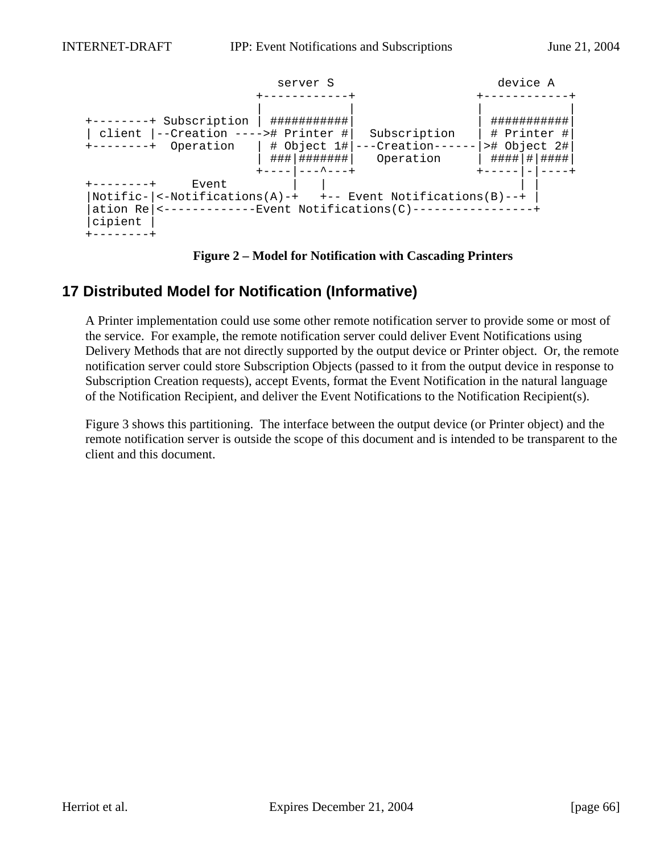

**Figure 2 – Model for Notification with Cascading Printers**

# **17 Distributed Model for Notification (Informative)**

A Printer implementation could use some other remote notification server to provide some or most of the service. For example, the remote notification server could deliver Event Notifications using Delivery Methods that are not directly supported by the output device or Printer object. Or, the remote notification server could store Subscription Objects (passed to it from the output device in response to Subscription Creation requests), accept Events, format the Event Notification in the natural language of the Notification Recipient, and deliver the Event Notifications to the Notification Recipient(s).

Figure 3 shows this partitioning. The interface between the output device (or Printer object) and the remote notification server is outside the scope of this document and is intended to be transparent to the client and this document.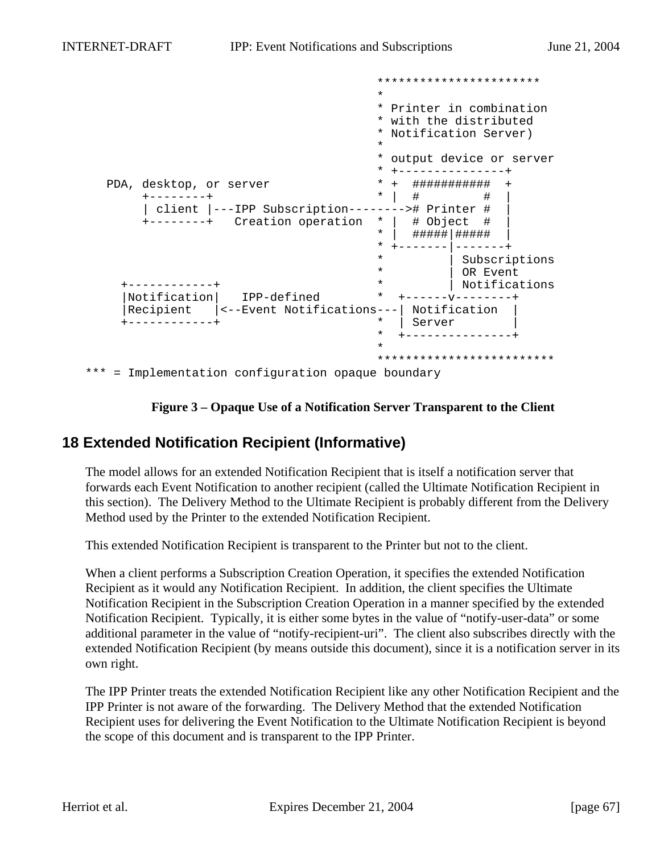|                                                    | *                                                                            |
|----------------------------------------------------|------------------------------------------------------------------------------|
|                                                    | * Printer in combination<br>* with the distributed<br>* Notification Server) |
|                                                    | $\star$                                                                      |
|                                                    | output device or server<br>*                                                 |
|                                                    |                                                                              |
| PDA, desktop, or server                            | ###########                                                                  |
|                                                    | $\star$<br>#                                                                 |
| client  ---IPP Subscription--------># Printer #    |                                                                              |
| +--------+ Creation operation                      | # Object<br>$\star$                                                          |
|                                                    | $\ast$<br>##### #####                                                        |
|                                                    |                                                                              |
|                                                    | $\star$<br>Subscriptions                                                     |
|                                                    | $\star$<br>OR Event                                                          |
|                                                    | Notifications<br>$\star$                                                     |
| Notification<br>IPP-defined                        | $^\star$                                                                     |
| Recipient<br><--Event Notifications---             | Notification                                                                 |
|                                                    | $\star$<br>Server                                                            |
|                                                    | $\star$                                                                      |
|                                                    | ÷                                                                            |
|                                                    |                                                                              |
| *** = Implementation configuration opaque boundary |                                                                              |



# **18 Extended Notification Recipient (Informative)**

The model allows for an extended Notification Recipient that is itself a notification server that forwards each Event Notification to another recipient (called the Ultimate Notification Recipient in this section). The Delivery Method to the Ultimate Recipient is probably different from the Delivery Method used by the Printer to the extended Notification Recipient.

This extended Notification Recipient is transparent to the Printer but not to the client.

When a client performs a Subscription Creation Operation, it specifies the extended Notification Recipient as it would any Notification Recipient. In addition, the client specifies the Ultimate Notification Recipient in the Subscription Creation Operation in a manner specified by the extended Notification Recipient. Typically, it is either some bytes in the value of "notify-user-data" or some additional parameter in the value of "notify-recipient-uri". The client also subscribes directly with the extended Notification Recipient (by means outside this document), since it is a notification server in its own right.

The IPP Printer treats the extended Notification Recipient like any other Notification Recipient and the IPP Printer is not aware of the forwarding. The Delivery Method that the extended Notification Recipient uses for delivering the Event Notification to the Ultimate Notification Recipient is beyond the scope of this document and is transparent to the IPP Printer.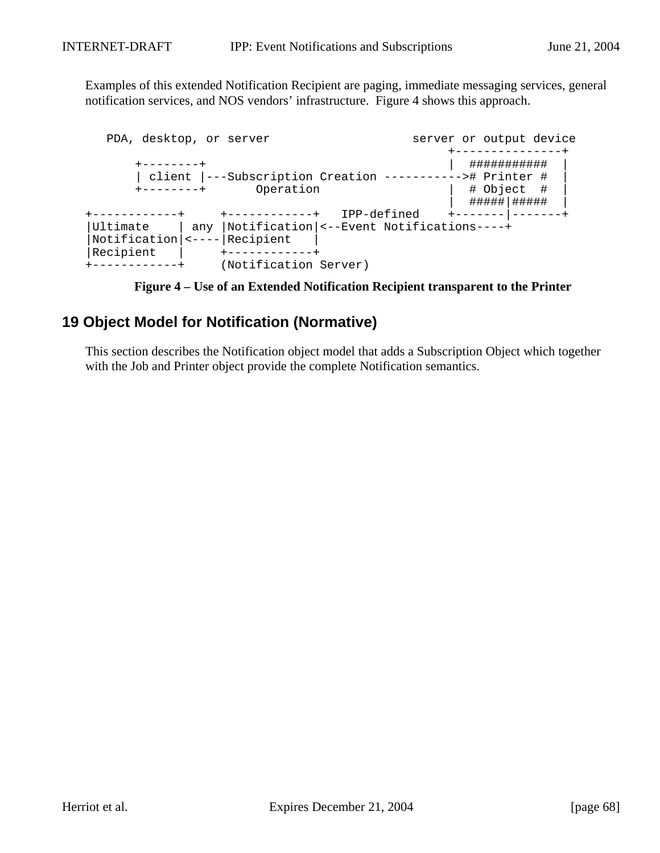Examples of this extended Notification Recipient are paging, immediate messaging services, general notification services, and NOS vendors' infrastructure. Figure 4 shows this approach.

|                       | PDA, desktop, or server                                                          | server or output device                                                                                |
|-----------------------|----------------------------------------------------------------------------------|--------------------------------------------------------------------------------------------------------|
| $+ - - - - - - - +$   | Operation                                                                        | ###########<br>client  ---Subscription Creation -----------># Printer #<br># Object #<br>#####   ##### |
|                       | +-----------+                                                                    | IPP-defined<br>+------- -                                                                              |
| Ultimate<br>Recipient | any  Notification <--Event Notifications----+<br>Notification  <----   Recipient |                                                                                                        |
|                       | (Notification Server)                                                            |                                                                                                        |

**Figure 4 – Use of an Extended Notification Recipient transparent to the Printer**

# **19 Object Model for Notification (Normative)**

This section describes the Notification object model that adds a Subscription Object which together with the Job and Printer object provide the complete Notification semantics.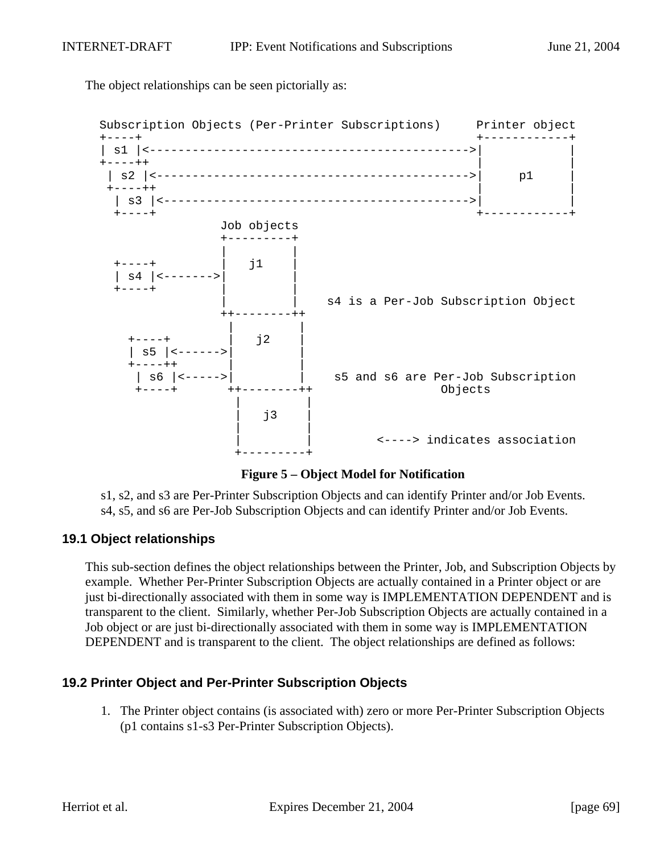The object relationships can be seen pictorially as:



**Figure 5 – Object Model for Notification**

s1, s2, and s3 are Per-Printer Subscription Objects and can identify Printer and/or Job Events. s4, s5, and s6 are Per-Job Subscription Objects and can identify Printer and/or Job Events.

# **19.1 Object relationships**

This sub-section defines the object relationships between the Printer, Job, and Subscription Objects by example. Whether Per-Printer Subscription Objects are actually contained in a Printer object or are just bi-directionally associated with them in some way is IMPLEMENTATION DEPENDENT and is transparent to the client. Similarly, whether Per-Job Subscription Objects are actually contained in a Job object or are just bi-directionally associated with them in some way is IMPLEMENTATION DEPENDENT and is transparent to the client. The object relationships are defined as follows:

# **19.2 Printer Object and Per-Printer Subscription Objects**

1. The Printer object contains (is associated with) zero or more Per-Printer Subscription Objects (p1 contains s1-s3 Per-Printer Subscription Objects).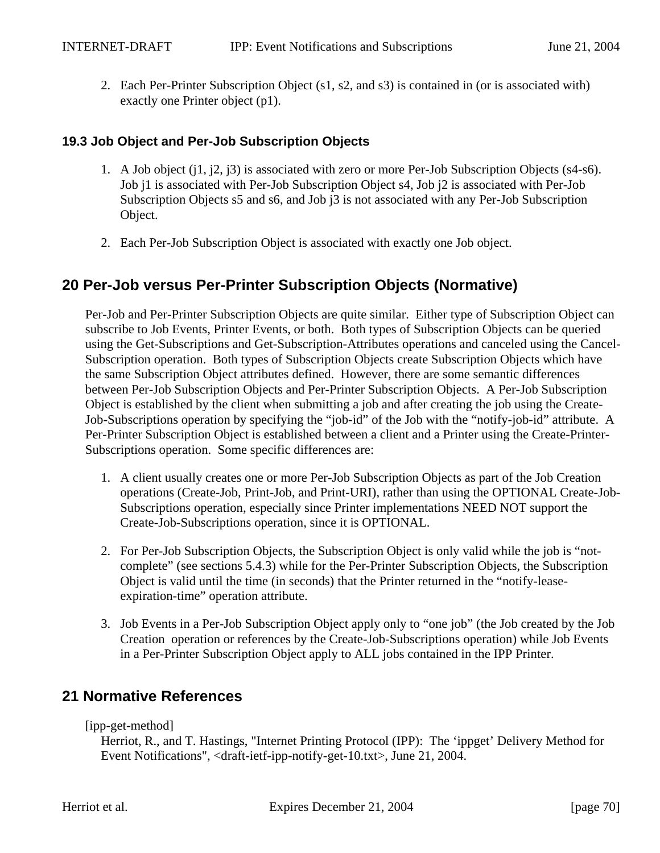2. Each Per-Printer Subscription Object (s1, s2, and s3) is contained in (or is associated with) exactly one Printer object (p1).

# **19.3 Job Object and Per-Job Subscription Objects**

- 1. A Job object (j1, j2, j3) is associated with zero or more Per-Job Subscription Objects (s4-s6). Job j1 is associated with Per-Job Subscription Object s4, Job j2 is associated with Per-Job Subscription Objects s5 and s6, and Job j3 is not associated with any Per-Job Subscription Object.
- 2. Each Per-Job Subscription Object is associated with exactly one Job object.

# **20 Per-Job versus Per-Printer Subscription Objects (Normative)**

Per-Job and Per-Printer Subscription Objects are quite similar. Either type of Subscription Object can subscribe to Job Events, Printer Events, or both. Both types of Subscription Objects can be queried using the Get-Subscriptions and Get-Subscription-Attributes operations and canceled using the Cancel-Subscription operation. Both types of Subscription Objects create Subscription Objects which have the same Subscription Object attributes defined. However, there are some semantic differences between Per-Job Subscription Objects and Per-Printer Subscription Objects. A Per-Job Subscription Object is established by the client when submitting a job and after creating the job using the Create-Job-Subscriptions operation by specifying the "job-id" of the Job with the "notify-job-id" attribute. A Per-Printer Subscription Object is established between a client and a Printer using the Create-Printer-Subscriptions operation. Some specific differences are:

- 1. A client usually creates one or more Per-Job Subscription Objects as part of the Job Creation operations (Create-Job, Print-Job, and Print-URI), rather than using the OPTIONAL Create-Job-Subscriptions operation, especially since Printer implementations NEED NOT support the Create-Job-Subscriptions operation, since it is OPTIONAL.
- 2. For Per-Job Subscription Objects, the Subscription Object is only valid while the job is "notcomplete" (see sections 5.4.3) while for the Per-Printer Subscription Objects, the Subscription Object is valid until the time (in seconds) that the Printer returned in the "notify-leaseexpiration-time" operation attribute.
- 3. Job Events in a Per-Job Subscription Object apply only to "one job" (the Job created by the Job Creation operation or references by the Create-Job-Subscriptions operation) while Job Events in a Per-Printer Subscription Object apply to ALL jobs contained in the IPP Printer.

# **21 Normative References**

[ipp-get-method]

Herriot, R., and T. Hastings, "Internet Printing Protocol (IPP): The 'ippget' Delivery Method for Event Notifications", <draft-ietf-ipp-notify-get-10.txt>, June 21, 2004.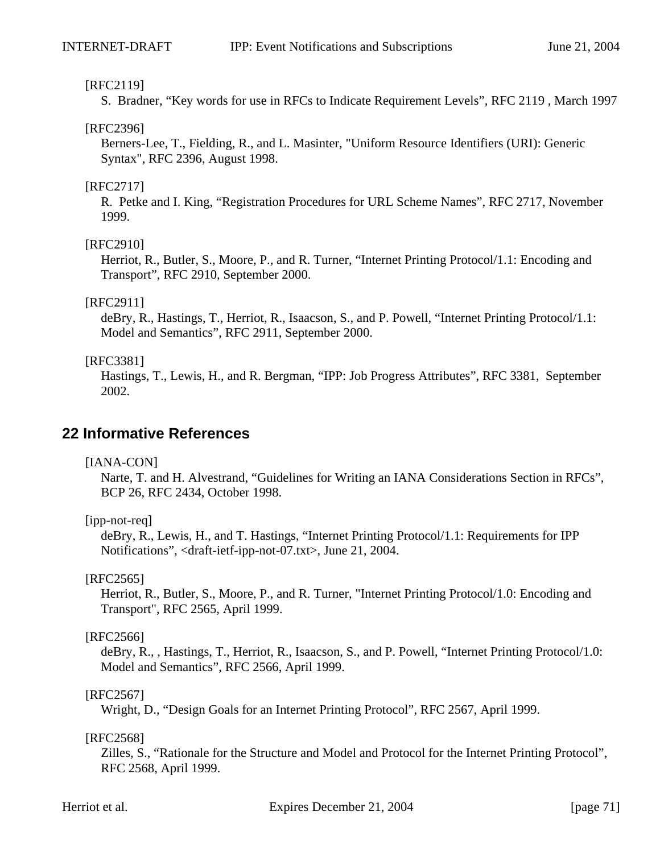#### [RFC2119]

S. Bradner, "Key words for use in RFCs to Indicate Requirement Levels", RFC 2119 , March 1997

#### [RFC2396]

Berners-Lee, T., Fielding, R., and L. Masinter, "Uniform Resource Identifiers (URI): Generic Syntax", RFC 2396, August 1998.

#### [RFC2717]

R. Petke and I. King, "Registration Procedures for URL Scheme Names", RFC 2717, November 1999.

#### [RFC2910]

Herriot, R., Butler, S., Moore, P., and R. Turner, "Internet Printing Protocol/1.1: Encoding and Transport", RFC 2910, September 2000.

#### [RFC2911]

deBry, R., Hastings, T., Herriot, R., Isaacson, S., and P. Powell, "Internet Printing Protocol/1.1: Model and Semantics", RFC 2911, September 2000.

#### [RFC3381]

Hastings, T., Lewis, H., and R. Bergman, "IPP: Job Progress Attributes", RFC 3381, September 2002.

# **22 Informative References**

#### [IANA-CON]

Narte, T. and H. Alvestrand, "Guidelines for Writing an IANA Considerations Section in RFCs", BCP 26, RFC 2434, October 1998.

#### [ipp-not-req]

deBry, R., Lewis, H., and T. Hastings, "Internet Printing Protocol/1.1: Requirements for IPP Notifications", <draft-ietf-ipp-not-07.txt>, June 21, 2004.

#### [RFC2565]

Herriot, R., Butler, S., Moore, P., and R. Turner, "Internet Printing Protocol/1.0: Encoding and Transport", RFC 2565, April 1999.

#### [RFC2566]

deBry, R., , Hastings, T., Herriot, R., Isaacson, S., and P. Powell, "Internet Printing Protocol/1.0: Model and Semantics", RFC 2566, April 1999.

#### [RFC2567]

Wright, D., "Design Goals for an Internet Printing Protocol", RFC 2567, April 1999.

#### [RFC2568]

Zilles, S., "Rationale for the Structure and Model and Protocol for the Internet Printing Protocol", RFC 2568, April 1999.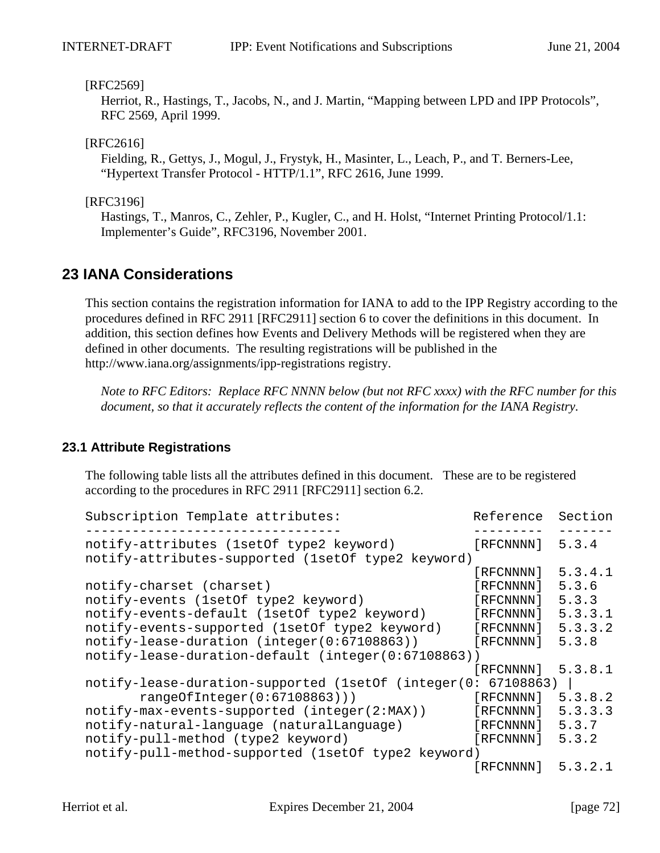#### [RFC2569]

Herriot, R., Hastings, T., Jacobs, N., and J. Martin, "Mapping between LPD and IPP Protocols", RFC 2569, April 1999.

#### [RFC2616]

Fielding, R., Gettys, J., Mogul, J., Frystyk, H., Masinter, L., Leach, P., and T. Berners-Lee, "Hypertext Transfer Protocol - HTTP/1.1", RFC 2616, June 1999.

#### [RFC3196]

Hastings, T., Manros, C., Zehler, P., Kugler, C., and H. Holst, "Internet Printing Protocol/1.1: Implementer's Guide", RFC3196, November 2001.

# **23 IANA Considerations**

This section contains the registration information for IANA to add to the IPP Registry according to the procedures defined in RFC 2911 [RFC2911] section 6 to cover the definitions in this document. In addition, this section defines how Events and Delivery Methods will be registered when they are defined in other documents. The resulting registrations will be published in the http://www.iana.org/assignments/ipp-registrations registry.

*Note to RFC Editors: Replace RFC NNNN below (but not RFC xxxx) with the RFC number for this document, so that it accurately reflects the content of the information for the IANA Registry.*

#### **23.1 Attribute Registrations**

The following table lists all the attributes defined in this document. These are to be registered according to the procedures in RFC 2911 [RFC2911] section 6.2.

| Subscription Template attributes:                   | Reference   | Section |
|-----------------------------------------------------|-------------|---------|
| notify-attributes (1setOf type2 keyword)            | [RFCNNNN]   | 5.3.4   |
| notify-attributes-supported (1setOf type2 keyword)  | [RFCNNNN]   | 5.3.4.1 |
| notify-charset (charset)                            | [RFCNNNN]   | 5.3.6   |
| notify-events (1setOf type2 keyword)                | [RFCNNNN]   | 5.3.3   |
| notify-events-default (1setOf type2 keyword)        | [RFCNNNN]   | 5.3.3.1 |
| notify-events-supported (1setOf type2 keyword)      | [RFCNNNN]   | 5.3.3.2 |
| notify-lease-duration (integer(0:67108863))         | [RFCNNNN]   | 5.3.8   |
| notify-lease-duration-default (integer(0:67108863)) |             |         |
|                                                     | [RFCNNNN]   | 5.3.8.1 |
| notify-lease-duration-supported (1setOf (integer(0: | 67108863)   |         |
| rangeOfInteger(0:67108863))                         | [RFCNNNN]   | 5.3.8.2 |
| notify-max-events-supported (integer(2:MAX))        | [RFCNNNN]   | 5.3.3.3 |
| notify-natural-language (naturalLanguage)           | [RFCNNNN]   | 5.3.7   |
| notify-pull-method (type2 keyword)                  | [RFCNNNN]   | 5.3.2   |
| notify-pull-method-supported (1setOf type2 keyword) |             |         |
|                                                     | [ RFCNNNN ] | 5.3.2.1 |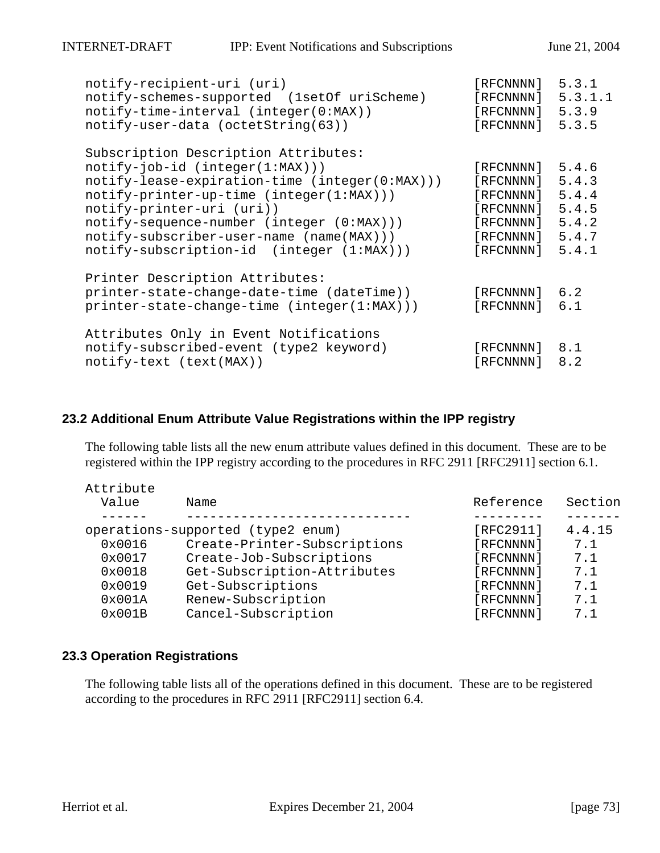| notify-recipient-uri (uri)                     | [RFCNNNN]         | 5.3.1   |
|------------------------------------------------|-------------------|---------|
| notify-schemes-supported (1setOf uriScheme)    | [ RFCNNNN ]       | 5.3.1.1 |
| notify-time-interval (integer(0:MAX))          | [ RFCNNNN ]       | 5.3.9   |
| notify-user-data (octetString(63))             | [RFCNNNN]         | 5.3.5   |
| Subscription Description Attributes:           |                   |         |
| $notify-job-id (integer(1:MAX)))$              | [RECNNNN] 5.4.6   |         |
| notify-lease-expiration-time (integer(0:MAX))) | [ RFCNNNN ]       | 5.4.3   |
| notify-printer-up-time (integer(1:MAX)))       | [RECNNNN] 5.4.4   |         |
| notify-printer-uri (uri))                      | $[RECNNNN]$ 5.4.5 |         |
| $notify-sequence-number (integer (0:MAX)))$    | [RECNNNN] 5.4.2   |         |
| notify-subscriber-user-name (name(MAX)))       | [RFCNNNN]         | 5.4.7   |
| notify-subscription-id (integer (1:MAX)))      | [ RFCNNNN ]       | 5.4.1   |
| Printer Description Attributes:                |                   |         |
| printer-state-change-date-time (dateTime))     | [RFCNNNN]         | 6.2     |
| printer-state-change-time (integer(1:MAX)))    | [RFCNNNN]         | 6.1     |
| Attributes Only in Event Notifications         |                   |         |
| notify-subscribed-event (type2 keyword)        | [RFCNNNN] 8.1     |         |
| notify-text (text(MAX))                        | [RFCNNNN]         | 8.2     |
|                                                |                   |         |

#### **23.2 Additional Enum Attribute Value Registrations within the IPP registry**

The following table lists all the new enum attribute values defined in this document. These are to be registered within the IPP registry according to the procedures in RFC 2911 [RFC2911] section 6.1.

| Attribute |                                   |           |         |
|-----------|-----------------------------------|-----------|---------|
| Value     | Name                              | Reference | Section |
|           |                                   |           |         |
|           | operations-supported (type2 enum) | [RFC2911] | 4.4.15  |
| 0x0016    | Create-Printer-Subscriptions      | [RFCNNNN] | 7.1     |
| 0x0017    | Create-Job-Subscriptions          | [RFCNNNN] | 7.1     |
| 0x0018    | Get-Subscription-Attributes       | [RFCNNNN] | 7.1     |
| 0x0019    | Get-Subscriptions                 | [RFCNNNN] | 7.1     |
| 0x001A    | Renew-Subscription                | [RFCNNNN] | 7.1     |
| 0x001B    | Cancel-Subscription               | [RFCNNNN] | 7.1     |

#### **23.3 Operation Registrations**

The following table lists all of the operations defined in this document. These are to be registered according to the procedures in RFC 2911 [RFC2911] section 6.4.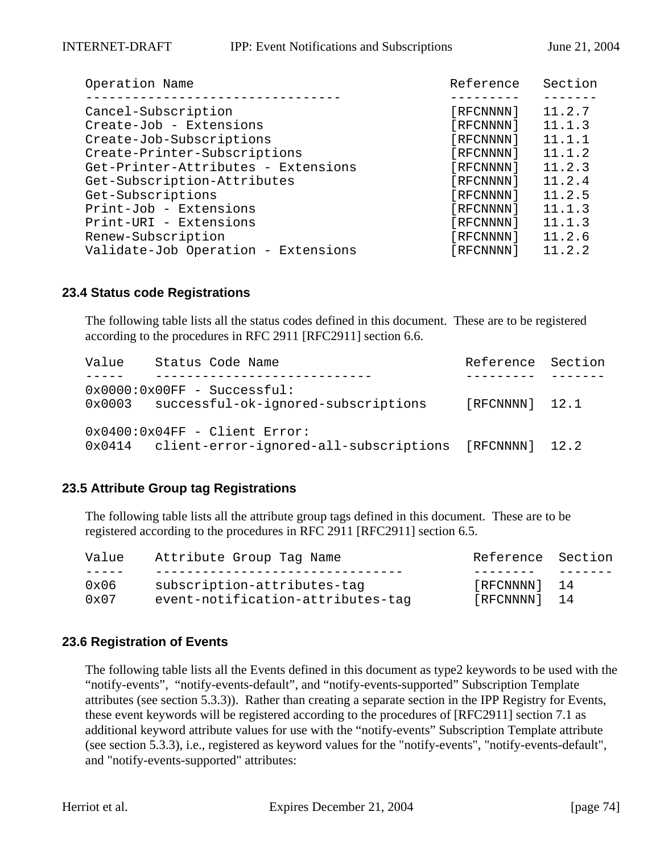| Operation Name                      | Reference | Section |
|-------------------------------------|-----------|---------|
|                                     |           |         |
| Cancel-Subscription                 | [RFCNNNN] | 11.2.7  |
| Create-Job - Extensions             | [RFCNNNN] | 11.1.3  |
| Create-Job-Subscriptions            | [RFCNNNN] | 11.1.1  |
| Create-Printer-Subscriptions        | [RFCNNNN] | 11.1.2  |
| Get-Printer-Attributes - Extensions | [RFCNNNN] | 11.2.3  |
| Get-Subscription-Attributes         | [RFCNNNN] | 11.2.4  |
| Get-Subscriptions                   | [RFCNNNN] | 11.2.5  |
| Print-Job - Extensions              | [RFCNNNN] | 11.1.3  |
| Print-URI - Extensions              | [RFCNNNN] | 11.1.3  |
| Renew-Subscription                  | [RFCNNNN] | 11.2.6  |
| Validate-Job Operation - Extensions | [RFCNNNN] | 11.2.2  |

#### **23.4 Status code Registrations**

The following table lists all the status codes defined in this document. These are to be registered according to the procedures in RFC 2911 [RFC2911] section 6.6.

| Value | Status Code Name                                                              | Reference Section |  |
|-------|-------------------------------------------------------------------------------|-------------------|--|
|       | $0x0000:0x00FF - Successful:$                                                 |                   |  |
|       | 0x0003 successful-ok-ignored-subscriptions<br>$0x0400:0x04FF - Client Error:$ | [RFCNNNN] 12.1    |  |
|       | 0x0414 client-error-ignored-all-subscriptions [RFCNNNN] 12.2                  |                   |  |

## **23.5 Attribute Group tag Registrations**

The following table lists all the attribute group tags defined in this document. These are to be registered according to the procedures in RFC 2911 [RFC2911] section 6.5.

| Value | Attribute Group Tag Name          | Reference Section |  |
|-------|-----------------------------------|-------------------|--|
|       |                                   |                   |  |
| 0x06  | subscription-attributes-tag       | [RFCNNNN] 14      |  |
| 0x07  | event-notification-attributes-tag | [RFCNNNN] 14      |  |

#### **23.6 Registration of Events**

The following table lists all the Events defined in this document as type2 keywords to be used with the "notify-events", "notify-events-default", and "notify-events-supported" Subscription Template attributes (see section 5.3.3)). Rather than creating a separate section in the IPP Registry for Events, these event keywords will be registered according to the procedures of [RFC2911] section 7.1 as additional keyword attribute values for use with the "notify-events" Subscription Template attribute (see section 5.3.3), i.e., registered as keyword values for the "notify-events", "notify-events-default", and "notify-events-supported" attributes: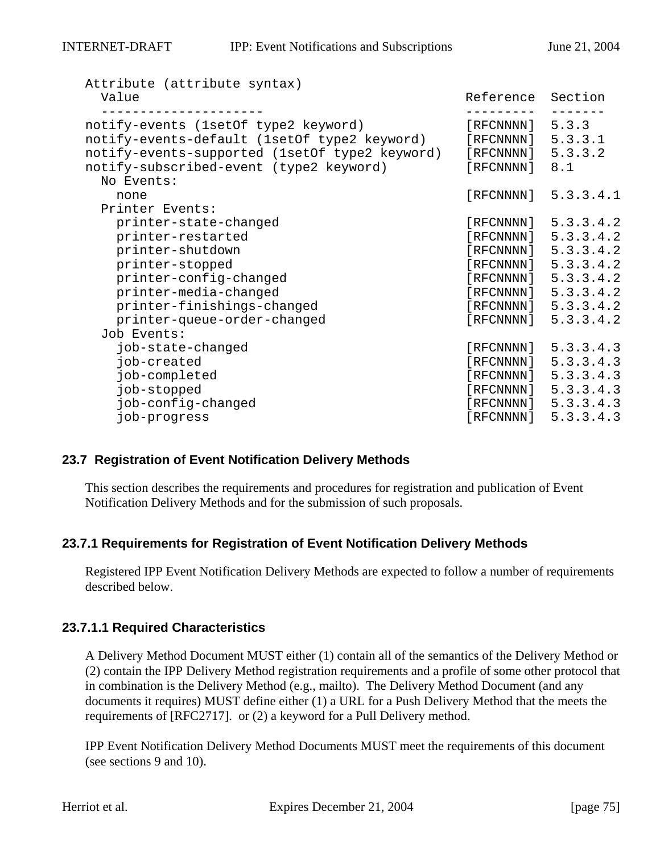| Attribute (attribute syntax)<br>Value                                                                                                                                                                                | Reference Section                                                        |                                                                                                                                                                            |
|----------------------------------------------------------------------------------------------------------------------------------------------------------------------------------------------------------------------|--------------------------------------------------------------------------|----------------------------------------------------------------------------------------------------------------------------------------------------------------------------|
| notify-events (lsetOf type2 keyword)<br>notify-events-default (1setOf type2 keyword)<br>notify-events-supported (lsetOf type2 keyword)<br>notify-subscribed-event (type2 keyword)<br>No Events:                      | [RFCNNNN]<br>$[RECNNNN]$ 5.3.3.1<br>$[RECNNNN]$ 5.3.3.2<br>[RFCNNNN] 8.1 | 5.3.3                                                                                                                                                                      |
| none                                                                                                                                                                                                                 | [RFCNNNN]                                                                | 5.3.3.4.1                                                                                                                                                                  |
| Printer Events:<br>printer-state-changed<br>printer-restarted<br>printer-shutdown<br>printer-stopped<br>printer-config-changed<br>printer-media-changed<br>printer-finishings-changed<br>printer-queue-order-changed | [RFCNNNN]                                                                | [RECNNNN] 5.3.3.4.2<br>[RECNNNN] 5.3.3.4.2<br>[RECNNNN] 5.3.3.4.2<br>[RECNNNN] 5.3.3.4.2<br>[RECNNNN] 5.3.3.4.2<br>[RECNNNN] 5.3.3.4.2<br>[RECNNNN] 5.3.3.4.2<br>5.3.3.4.2 |
| Job Events:<br>job-state-changed<br>job-created<br>job-completed<br>job-stopped<br>job-config-changed<br>job-progress                                                                                                | [RFCNNNN]<br>[ RFCNNNN ]                                                 | 5.3.3.4.3<br>[RECNNNN] 5.3.3.4.3<br>[RECNNNN] 5.3.3.4.3<br>[RECNNNN] 5.3.3.4.3<br>[RECNNNN] 5.3.3.4.3<br>5.3.3.4.3                                                         |

## **23.7 Registration of Event Notification Delivery Methods**

This section describes the requirements and procedures for registration and publication of Event Notification Delivery Methods and for the submission of such proposals.

## **23.7.1 Requirements for Registration of Event Notification Delivery Methods**

Registered IPP Event Notification Delivery Methods are expected to follow a number of requirements described below.

## **23.7.1.1 Required Characteristics**

A Delivery Method Document MUST either (1) contain all of the semantics of the Delivery Method or (2) contain the IPP Delivery Method registration requirements and a profile of some other protocol that in combination is the Delivery Method (e.g., mailto). The Delivery Method Document (and any documents it requires) MUST define either (1) a URL for a Push Delivery Method that the meets the requirements of [RFC2717]. or (2) a keyword for a Pull Delivery method.

IPP Event Notification Delivery Method Documents MUST meet the requirements of this document (see sections 9 and 10).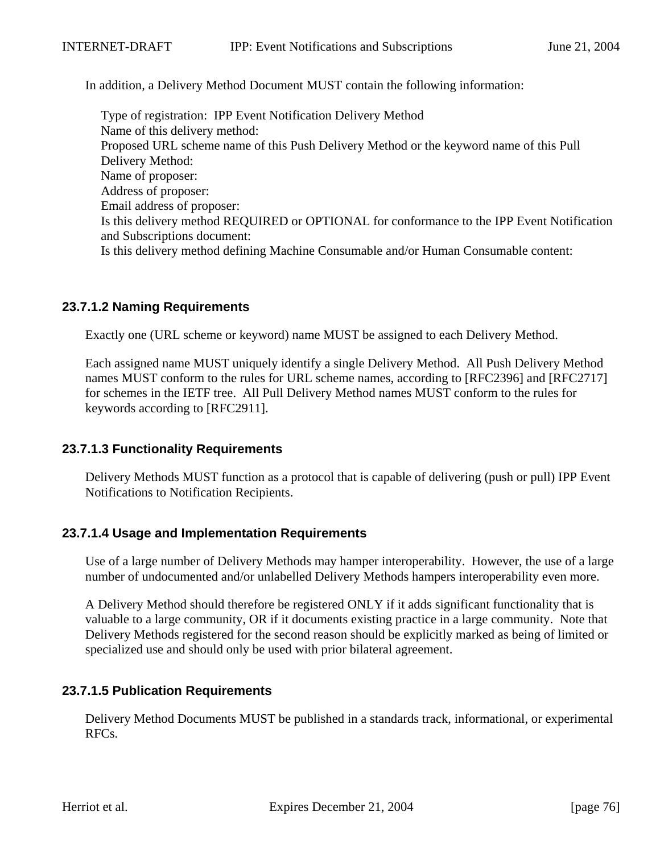In addition, a Delivery Method Document MUST contain the following information:

Type of registration: IPP Event Notification Delivery Method Name of this delivery method: Proposed URL scheme name of this Push Delivery Method or the keyword name of this Pull Delivery Method: Name of proposer: Address of proposer: Email address of proposer: Is this delivery method REQUIRED or OPTIONAL for conformance to the IPP Event Notification and Subscriptions document: Is this delivery method defining Machine Consumable and/or Human Consumable content:

## **23.7.1.2 Naming Requirements**

Exactly one (URL scheme or keyword) name MUST be assigned to each Delivery Method.

Each assigned name MUST uniquely identify a single Delivery Method. All Push Delivery Method names MUST conform to the rules for URL scheme names, according to [RFC2396] and [RFC2717] for schemes in the IETF tree. All Pull Delivery Method names MUST conform to the rules for keywords according to [RFC2911].

## **23.7.1.3 Functionality Requirements**

Delivery Methods MUST function as a protocol that is capable of delivering (push or pull) IPP Event Notifications to Notification Recipients.

## **23.7.1.4 Usage and Implementation Requirements**

Use of a large number of Delivery Methods may hamper interoperability. However, the use of a large number of undocumented and/or unlabelled Delivery Methods hampers interoperability even more.

A Delivery Method should therefore be registered ONLY if it adds significant functionality that is valuable to a large community, OR if it documents existing practice in a large community. Note that Delivery Methods registered for the second reason should be explicitly marked as being of limited or specialized use and should only be used with prior bilateral agreement.

## **23.7.1.5 Publication Requirements**

Delivery Method Documents MUST be published in a standards track, informational, or experimental RFCs.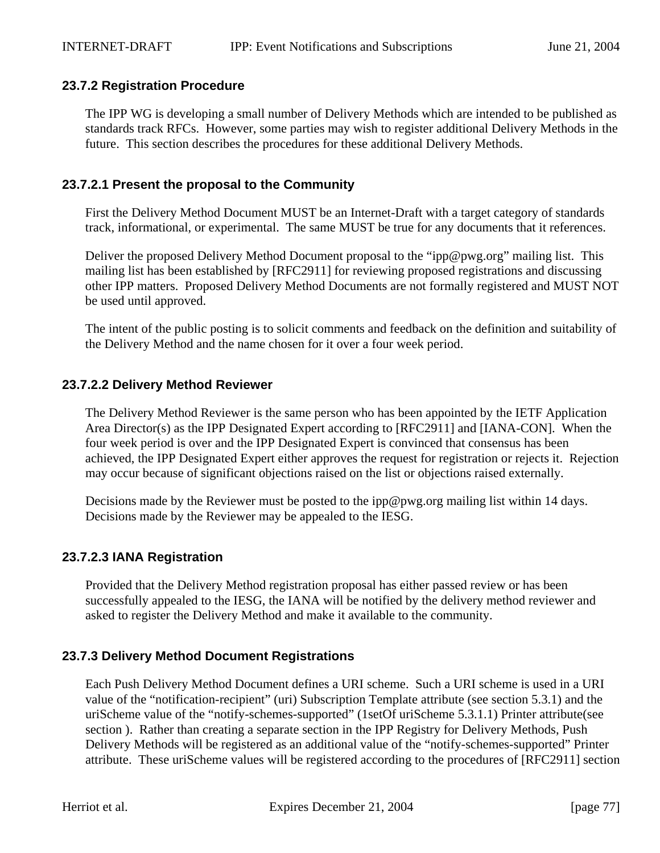## **23.7.2 Registration Procedure**

The IPP WG is developing a small number of Delivery Methods which are intended to be published as standards track RFCs. However, some parties may wish to register additional Delivery Methods in the future. This section describes the procedures for these additional Delivery Methods.

## **23.7.2.1 Present the proposal to the Community**

First the Delivery Method Document MUST be an Internet-Draft with a target category of standards track, informational, or experimental. The same MUST be true for any documents that it references.

Deliver the proposed Delivery Method Document proposal to the "ipp@pwg.org" mailing list. This mailing list has been established by [RFC2911] for reviewing proposed registrations and discussing other IPP matters. Proposed Delivery Method Documents are not formally registered and MUST NOT be used until approved.

The intent of the public posting is to solicit comments and feedback on the definition and suitability of the Delivery Method and the name chosen for it over a four week period.

## **23.7.2.2 Delivery Method Reviewer**

The Delivery Method Reviewer is the same person who has been appointed by the IETF Application Area Director(s) as the IPP Designated Expert according to [RFC2911] and [IANA-CON]. When the four week period is over and the IPP Designated Expert is convinced that consensus has been achieved, the IPP Designated Expert either approves the request for registration or rejects it. Rejection may occur because of significant objections raised on the list or objections raised externally.

Decisions made by the Reviewer must be posted to the ipp@pwg.org mailing list within 14 days. Decisions made by the Reviewer may be appealed to the IESG.

## **23.7.2.3 IANA Registration**

Provided that the Delivery Method registration proposal has either passed review or has been successfully appealed to the IESG, the IANA will be notified by the delivery method reviewer and asked to register the Delivery Method and make it available to the community.

## **23.7.3 Delivery Method Document Registrations**

Each Push Delivery Method Document defines a URI scheme. Such a URI scheme is used in a URI value of the "notification-recipient" (uri) Subscription Template attribute (see section 5.3.1) and the uriScheme value of the "notify-schemes-supported" (1setOf uriScheme 5.3.1.1) Printer attribute(see section ). Rather than creating a separate section in the IPP Registry for Delivery Methods, Push Delivery Methods will be registered as an additional value of the "notify-schemes-supported" Printer attribute. These uriScheme values will be registered according to the procedures of [RFC2911] section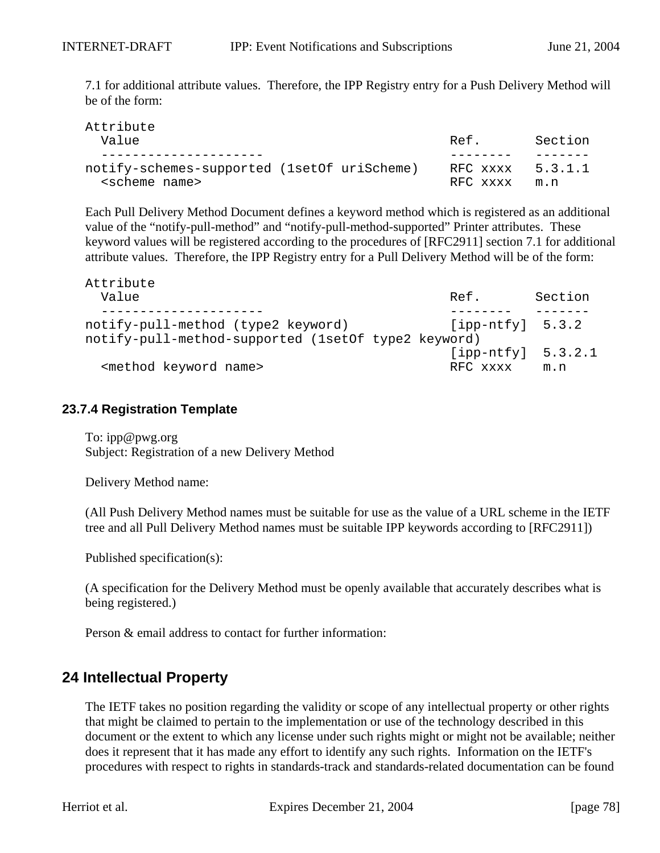7.1 for additional attribute values. Therefore, the IPP Registry entry for a Push Delivery Method will be of the form:

| Attribute                                    |                  |         |
|----------------------------------------------|------------------|---------|
| Value                                        | Ref.             | Section |
|                                              |                  |         |
| notify-schemes-supported (1set Of uriScheme) | RFC xxxx 5.3.1.1 |         |
| <scheme name=""></scheme>                    | RFC xxxx         | m.n     |

Each Pull Delivery Method Document defines a keyword method which is registered as an additional value of the "notify-pull-method" and "notify-pull-method-supported" Printer attributes. These keyword values will be registered according to the procedures of [RFC2911] section 7.1 for additional attribute values. Therefore, the IPP Registry entry for a Pull Delivery Method will be of the form:

| Attribute                                           |                      |         |
|-----------------------------------------------------|----------------------|---------|
| Value                                               | Ref.                 | Section |
|                                                     |                      |         |
| notify-pull-method (type2 keyword)                  | $[ipp-ntfy]$ 5.3.2   |         |
| notify-pull-method-supported (1setOf type2 keyword) |                      |         |
|                                                     | $[ipp-ntfy] 5.3.2.1$ |         |
| <method keyword="" name=""></method>                | RFC xxxx             | m.n     |

#### **23.7.4 Registration Template**

To: ipp@pwg.org Subject: Registration of a new Delivery Method

Delivery Method name:

(All Push Delivery Method names must be suitable for use as the value of a URL scheme in the IETF tree and all Pull Delivery Method names must be suitable IPP keywords according to [RFC2911])

Published specification(s):

(A specification for the Delivery Method must be openly available that accurately describes what is being registered.)

Person & email address to contact for further information:

## **24 Intellectual Property**

The IETF takes no position regarding the validity or scope of any intellectual property or other rights that might be claimed to pertain to the implementation or use of the technology described in this document or the extent to which any license under such rights might or might not be available; neither does it represent that it has made any effort to identify any such rights. Information on the IETF's procedures with respect to rights in standards-track and standards-related documentation can be found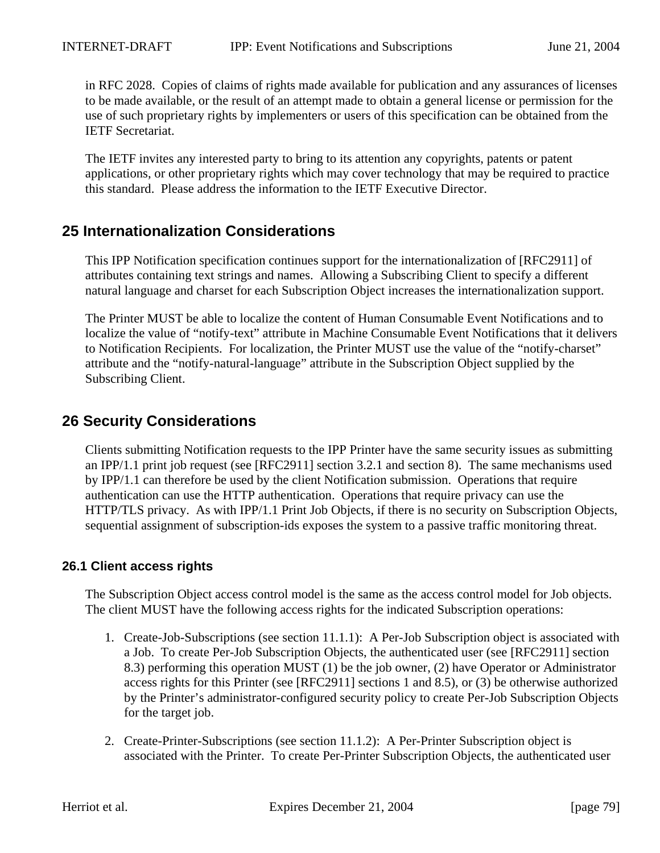in RFC 2028. Copies of claims of rights made available for publication and any assurances of licenses to be made available, or the result of an attempt made to obtain a general license or permission for the use of such proprietary rights by implementers or users of this specification can be obtained from the IETF Secretariat.

The IETF invites any interested party to bring to its attention any copyrights, patents or patent applications, or other proprietary rights which may cover technology that may be required to practice this standard. Please address the information to the IETF Executive Director.

## **25 Internationalization Considerations**

This IPP Notification specification continues support for the internationalization of [RFC2911] of attributes containing text strings and names. Allowing a Subscribing Client to specify a different natural language and charset for each Subscription Object increases the internationalization support.

The Printer MUST be able to localize the content of Human Consumable Event Notifications and to localize the value of "notify-text" attribute in Machine Consumable Event Notifications that it delivers to Notification Recipients. For localization, the Printer MUST use the value of the "notify-charset" attribute and the "notify-natural-language" attribute in the Subscription Object supplied by the Subscribing Client.

## **26 Security Considerations**

Clients submitting Notification requests to the IPP Printer have the same security issues as submitting an IPP/1.1 print job request (see [RFC2911] section 3.2.1 and section 8). The same mechanisms used by IPP/1.1 can therefore be used by the client Notification submission. Operations that require authentication can use the HTTP authentication. Operations that require privacy can use the HTTP/TLS privacy. As with IPP/1.1 Print Job Objects, if there is no security on Subscription Objects, sequential assignment of subscription-ids exposes the system to a passive traffic monitoring threat.

## **26.1 Client access rights**

The Subscription Object access control model is the same as the access control model for Job objects. The client MUST have the following access rights for the indicated Subscription operations:

- 1. Create-Job-Subscriptions (see section 11.1.1): A Per-Job Subscription object is associated with a Job. To create Per-Job Subscription Objects, the authenticated user (see [RFC2911] section 8.3) performing this operation MUST (1) be the job owner, (2) have Operator or Administrator access rights for this Printer (see [RFC2911] sections 1 and 8.5), or (3) be otherwise authorized by the Printer's administrator-configured security policy to create Per-Job Subscription Objects for the target job.
- 2. Create-Printer-Subscriptions (see section 11.1.2): A Per-Printer Subscription object is associated with the Printer. To create Per-Printer Subscription Objects, the authenticated user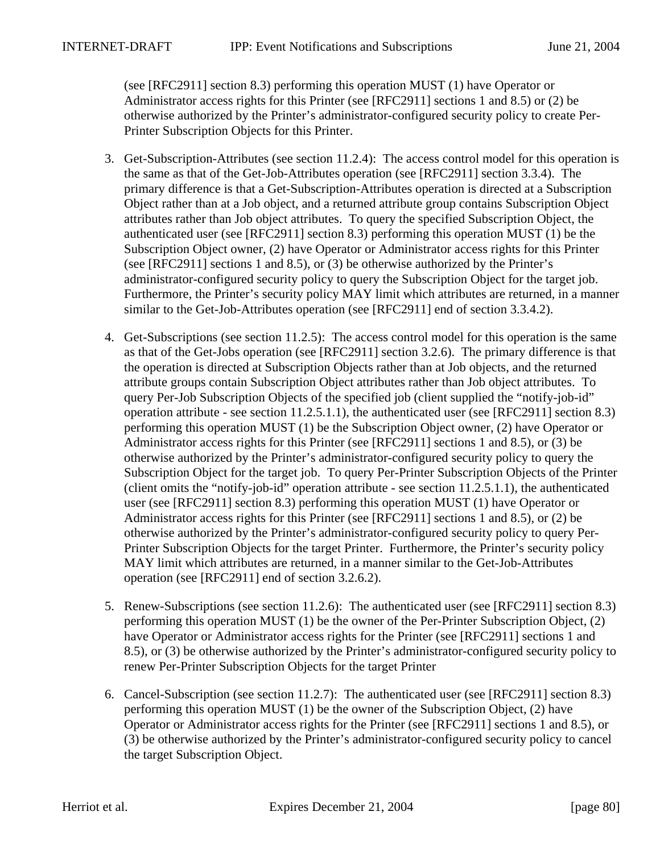(see [RFC2911] section 8.3) performing this operation MUST (1) have Operator or Administrator access rights for this Printer (see [RFC2911] sections 1 and 8.5) or (2) be otherwise authorized by the Printer's administrator-configured security policy to create Per-Printer Subscription Objects for this Printer.

- 3. Get-Subscription-Attributes (see section 11.2.4): The access control model for this operation is the same as that of the Get-Job-Attributes operation (see [RFC2911] section 3.3.4). The primary difference is that a Get-Subscription-Attributes operation is directed at a Subscription Object rather than at a Job object, and a returned attribute group contains Subscription Object attributes rather than Job object attributes. To query the specified Subscription Object, the authenticated user (see [RFC2911] section 8.3) performing this operation MUST (1) be the Subscription Object owner, (2) have Operator or Administrator access rights for this Printer (see [RFC2911] sections 1 and 8.5), or (3) be otherwise authorized by the Printer's administrator-configured security policy to query the Subscription Object for the target job. Furthermore, the Printer's security policy MAY limit which attributes are returned, in a manner similar to the Get-Job-Attributes operation (see [RFC2911] end of section 3.3.4.2).
- 4. Get-Subscriptions (see section 11.2.5): The access control model for this operation is the same as that of the Get-Jobs operation (see [RFC2911] section 3.2.6). The primary difference is that the operation is directed at Subscription Objects rather than at Job objects, and the returned attribute groups contain Subscription Object attributes rather than Job object attributes. To query Per-Job Subscription Objects of the specified job (client supplied the "notify-job-id" operation attribute - see section 11.2.5.1.1), the authenticated user (see [RFC2911] section 8.3) performing this operation MUST (1) be the Subscription Object owner, (2) have Operator or Administrator access rights for this Printer (see [RFC2911] sections 1 and 8.5), or (3) be otherwise authorized by the Printer's administrator-configured security policy to query the Subscription Object for the target job. To query Per-Printer Subscription Objects of the Printer (client omits the "notify-job-id" operation attribute - see section 11.2.5.1.1), the authenticated user (see [RFC2911] section 8.3) performing this operation MUST (1) have Operator or Administrator access rights for this Printer (see [RFC2911] sections 1 and 8.5), or (2) be otherwise authorized by the Printer's administrator-configured security policy to query Per-Printer Subscription Objects for the target Printer. Furthermore, the Printer's security policy MAY limit which attributes are returned, in a manner similar to the Get-Job-Attributes operation (see [RFC2911] end of section 3.2.6.2).
- 5. Renew-Subscriptions (see section 11.2.6): The authenticated user (see [RFC2911] section 8.3) performing this operation MUST (1) be the owner of the Per-Printer Subscription Object, (2) have Operator or Administrator access rights for the Printer (see [RFC2911] sections 1 and 8.5), or (3) be otherwise authorized by the Printer's administrator-configured security policy to renew Per-Printer Subscription Objects for the target Printer
- 6. Cancel-Subscription (see section 11.2.7): The authenticated user (see [RFC2911] section 8.3) performing this operation MUST (1) be the owner of the Subscription Object, (2) have Operator or Administrator access rights for the Printer (see [RFC2911] sections 1 and 8.5), or (3) be otherwise authorized by the Printer's administrator-configured security policy to cancel the target Subscription Object.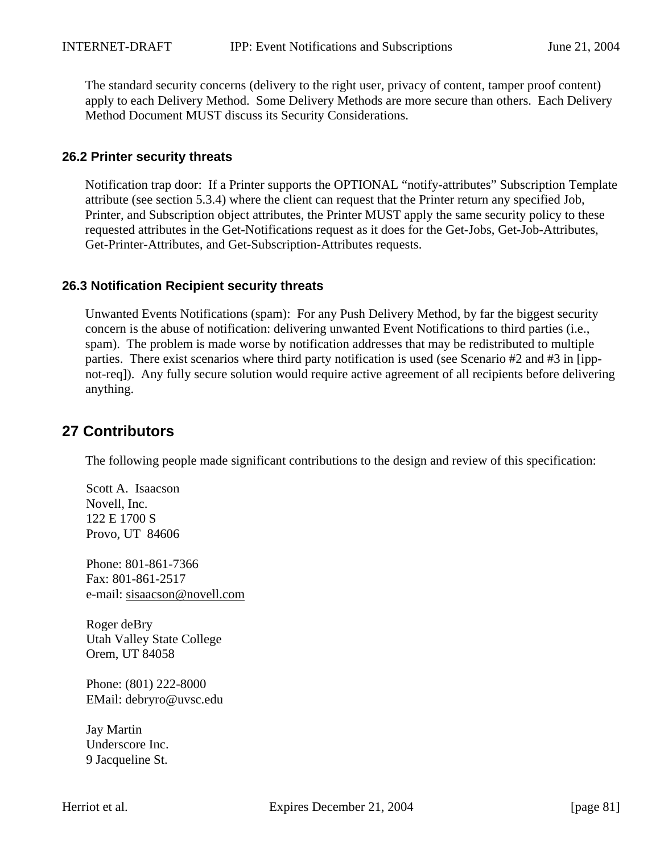The standard security concerns (delivery to the right user, privacy of content, tamper proof content) apply to each Delivery Method. Some Delivery Methods are more secure than others. Each Delivery Method Document MUST discuss its Security Considerations.

## **26.2 Printer security threats**

Notification trap door: If a Printer supports the OPTIONAL "notify-attributes" Subscription Template attribute (see section 5.3.4) where the client can request that the Printer return any specified Job, Printer, and Subscription object attributes, the Printer MUST apply the same security policy to these requested attributes in the Get-Notifications request as it does for the Get-Jobs, Get-Job-Attributes, Get-Printer-Attributes, and Get-Subscription-Attributes requests.

## **26.3 Notification Recipient security threats**

Unwanted Events Notifications (spam): For any Push Delivery Method, by far the biggest security concern is the abuse of notification: delivering unwanted Event Notifications to third parties (i.e., spam). The problem is made worse by notification addresses that may be redistributed to multiple parties. There exist scenarios where third party notification is used (see Scenario #2 and #3 in [ippnot-req]). Any fully secure solution would require active agreement of all recipients before delivering anything.

# **27 Contributors**

The following people made significant contributions to the design and review of this specification:

Scott A. Isaacson Novell, Inc. 122 E 1700 S Provo, UT 84606

Phone: 801-861-7366 Fax: 801-861-2517 e-mail: sisaacson@novell.com

Roger deBry Utah Valley State College Orem, UT 84058

Phone: (801) 222-8000 EMail: debryro@uvsc.edu

Jay Martin Underscore Inc. 9 Jacqueline St.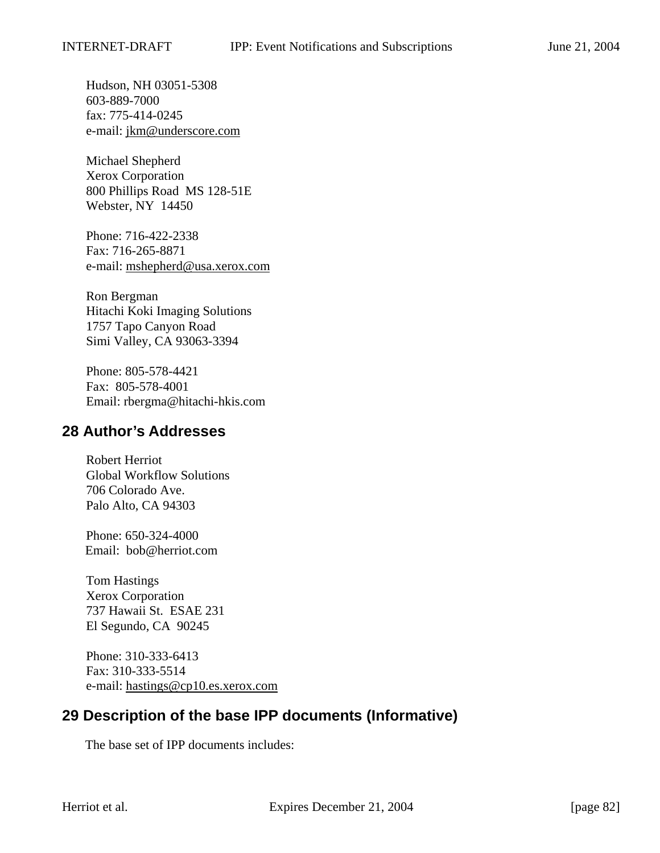Hudson, NH 03051-5308 603-889-7000 fax: 775-414-0245 e-mail: jkm@underscore.com

Michael Shepherd Xerox Corporation 800 Phillips Road MS 128-51E Webster, NY 14450

Phone: 716-422-2338 Fax: 716-265-8871 e-mail: mshepherd@usa.xerox.com

Ron Bergman Hitachi Koki Imaging Solutions 1757 Tapo Canyon Road Simi Valley, CA 93063-3394

Phone: 805-578-4421 Fax: 805-578-4001 Email: rbergma@hitachi-hkis.com

## **28 Author's Addresses**

Robert Herriot Global Workflow Solutions 706 Colorado Ave. Palo Alto, CA 94303

Phone: 650-324-4000 Email: bob@herriot.com

Tom Hastings Xerox Corporation 737 Hawaii St. ESAE 231 El Segundo, CA 90245

Phone: 310-333-6413 Fax: 310-333-5514 e-mail: hastings@cp10.es.xerox.com

# **29 Description of the base IPP documents (Informative)**

The base set of IPP documents includes: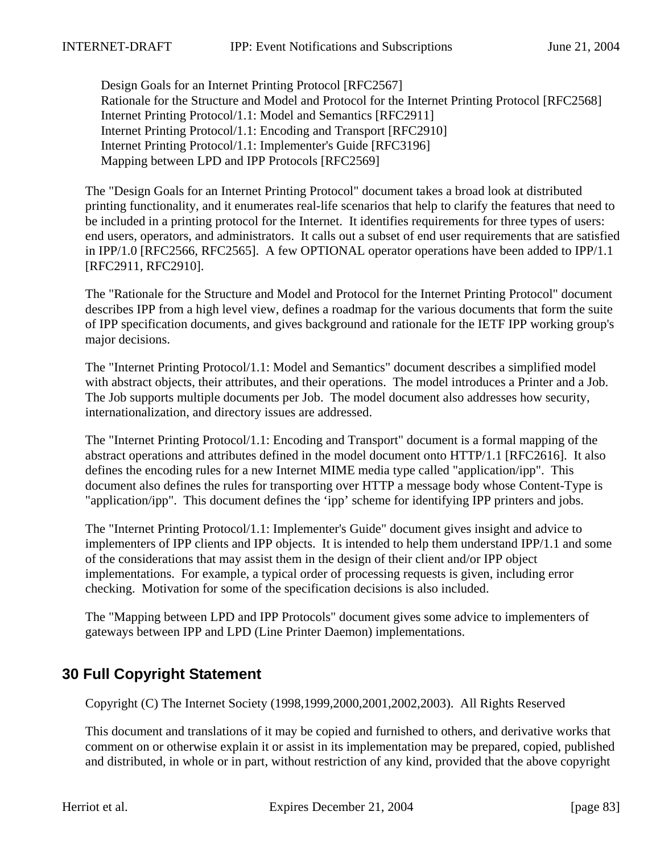Design Goals for an Internet Printing Protocol [RFC2567] Rationale for the Structure and Model and Protocol for the Internet Printing Protocol [RFC2568] Internet Printing Protocol/1.1: Model and Semantics [RFC2911] Internet Printing Protocol/1.1: Encoding and Transport [RFC2910] Internet Printing Protocol/1.1: Implementer's Guide [RFC3196] Mapping between LPD and IPP Protocols [RFC2569]

The "Design Goals for an Internet Printing Protocol" document takes a broad look at distributed printing functionality, and it enumerates real-life scenarios that help to clarify the features that need to be included in a printing protocol for the Internet. It identifies requirements for three types of users: end users, operators, and administrators. It calls out a subset of end user requirements that are satisfied in IPP/1.0 [RFC2566, RFC2565]. A few OPTIONAL operator operations have been added to IPP/1.1 [RFC2911, RFC2910].

The "Rationale for the Structure and Model and Protocol for the Internet Printing Protocol" document describes IPP from a high level view, defines a roadmap for the various documents that form the suite of IPP specification documents, and gives background and rationale for the IETF IPP working group's major decisions.

The "Internet Printing Protocol/1.1: Model and Semantics" document describes a simplified model with abstract objects, their attributes, and their operations. The model introduces a Printer and a Job. The Job supports multiple documents per Job. The model document also addresses how security, internationalization, and directory issues are addressed.

The "Internet Printing Protocol/1.1: Encoding and Transport" document is a formal mapping of the abstract operations and attributes defined in the model document onto HTTP/1.1 [RFC2616]. It also defines the encoding rules for a new Internet MIME media type called "application/ipp". This document also defines the rules for transporting over HTTP a message body whose Content-Type is "application/ipp". This document defines the 'ipp' scheme for identifying IPP printers and jobs.

The "Internet Printing Protocol/1.1: Implementer's Guide" document gives insight and advice to implementers of IPP clients and IPP objects. It is intended to help them understand IPP/1.1 and some of the considerations that may assist them in the design of their client and/or IPP object implementations. For example, a typical order of processing requests is given, including error checking. Motivation for some of the specification decisions is also included.

The "Mapping between LPD and IPP Protocols" document gives some advice to implementers of gateways between IPP and LPD (Line Printer Daemon) implementations.

# **30 Full Copyright Statement**

Copyright (C) The Internet Society (1998,1999,2000,2001,2002,2003). All Rights Reserved

This document and translations of it may be copied and furnished to others, and derivative works that comment on or otherwise explain it or assist in its implementation may be prepared, copied, published and distributed, in whole or in part, without restriction of any kind, provided that the above copyright